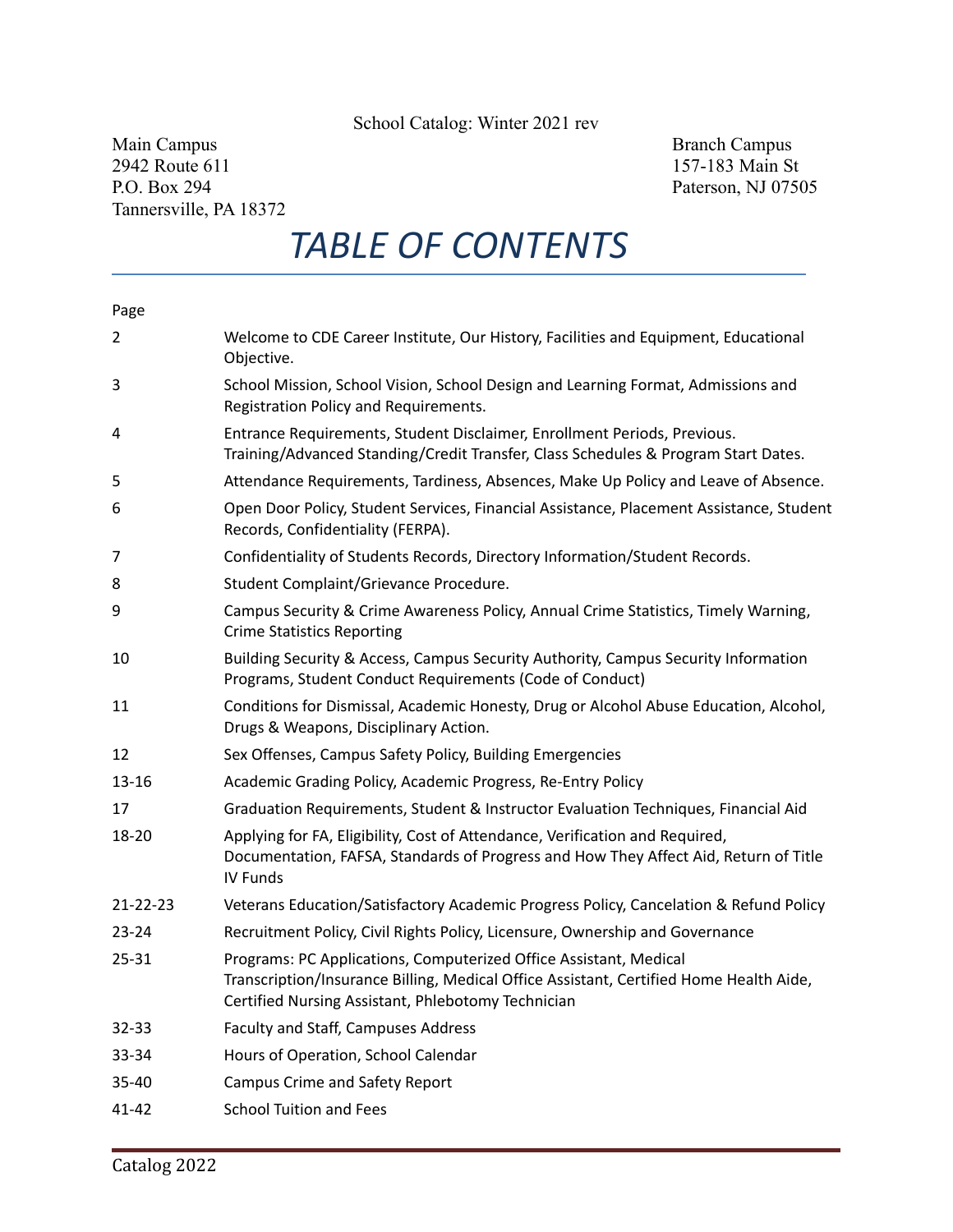School Catalog: Winter 2021 rev

Main Campus Branch Campus Branch Campus Branch Campus Branch Campus Branch Campus Branch Campus Branch Campus Branch Campus Branch Campus Branch Campus Branch Campus Branch Campus Branch Campus Branch Campus Branch Campus 2942 Route 611 157-183 Main St P.O. Box 294 Paterson, NJ 07505 Tannersville, PA 18372

# *TABLE OF CONTENTS*

### Page

| $\overline{2}$ | Welcome to CDE Career Institute, Our History, Facilities and Equipment, Educational<br>Objective.                                                                                                                 |
|----------------|-------------------------------------------------------------------------------------------------------------------------------------------------------------------------------------------------------------------|
| 3              | School Mission, School Vision, School Design and Learning Format, Admissions and<br>Registration Policy and Requirements.                                                                                         |
| 4              | Entrance Requirements, Student Disclaimer, Enrollment Periods, Previous.<br>Training/Advanced Standing/Credit Transfer, Class Schedules & Program Start Dates.                                                    |
| 5              | Attendance Requirements, Tardiness, Absences, Make Up Policy and Leave of Absence.                                                                                                                                |
| 6              | Open Door Policy, Student Services, Financial Assistance, Placement Assistance, Student<br>Records, Confidentiality (FERPA).                                                                                      |
| 7              | Confidentiality of Students Records, Directory Information/Student Records.                                                                                                                                       |
| 8              | Student Complaint/Grievance Procedure.                                                                                                                                                                            |
| 9              | Campus Security & Crime Awareness Policy, Annual Crime Statistics, Timely Warning,<br><b>Crime Statistics Reporting</b>                                                                                           |
| 10             | Building Security & Access, Campus Security Authority, Campus Security Information<br>Programs, Student Conduct Requirements (Code of Conduct)                                                                    |
| 11             | Conditions for Dismissal, Academic Honesty, Drug or Alcohol Abuse Education, Alcohol,<br>Drugs & Weapons, Disciplinary Action.                                                                                    |
| 12             | Sex Offenses, Campus Safety Policy, Building Emergencies                                                                                                                                                          |
| $13 - 16$      | Academic Grading Policy, Academic Progress, Re-Entry Policy                                                                                                                                                       |
| 17             | Graduation Requirements, Student & Instructor Evaluation Techniques, Financial Aid                                                                                                                                |
| 18-20          | Applying for FA, Eligibility, Cost of Attendance, Verification and Required,<br>Documentation, FAFSA, Standards of Progress and How They Affect Aid, Return of Title<br>IV Funds                                  |
| $21 - 22 - 23$ | Veterans Education/Satisfactory Academic Progress Policy, Cancelation & Refund Policy                                                                                                                             |
| $23 - 24$      | Recruitment Policy, Civil Rights Policy, Licensure, Ownership and Governance                                                                                                                                      |
| 25-31          | Programs: PC Applications, Computerized Office Assistant, Medical<br>Transcription/Insurance Billing, Medical Office Assistant, Certified Home Health Aide,<br>Certified Nursing Assistant, Phlebotomy Technician |
| $32 - 33$      | Faculty and Staff, Campuses Address                                                                                                                                                                               |
| 33-34          | Hours of Operation, School Calendar                                                                                                                                                                               |
| 35-40          | <b>Campus Crime and Safety Report</b>                                                                                                                                                                             |
| $41 - 42$      | <b>School Tuition and Fees</b>                                                                                                                                                                                    |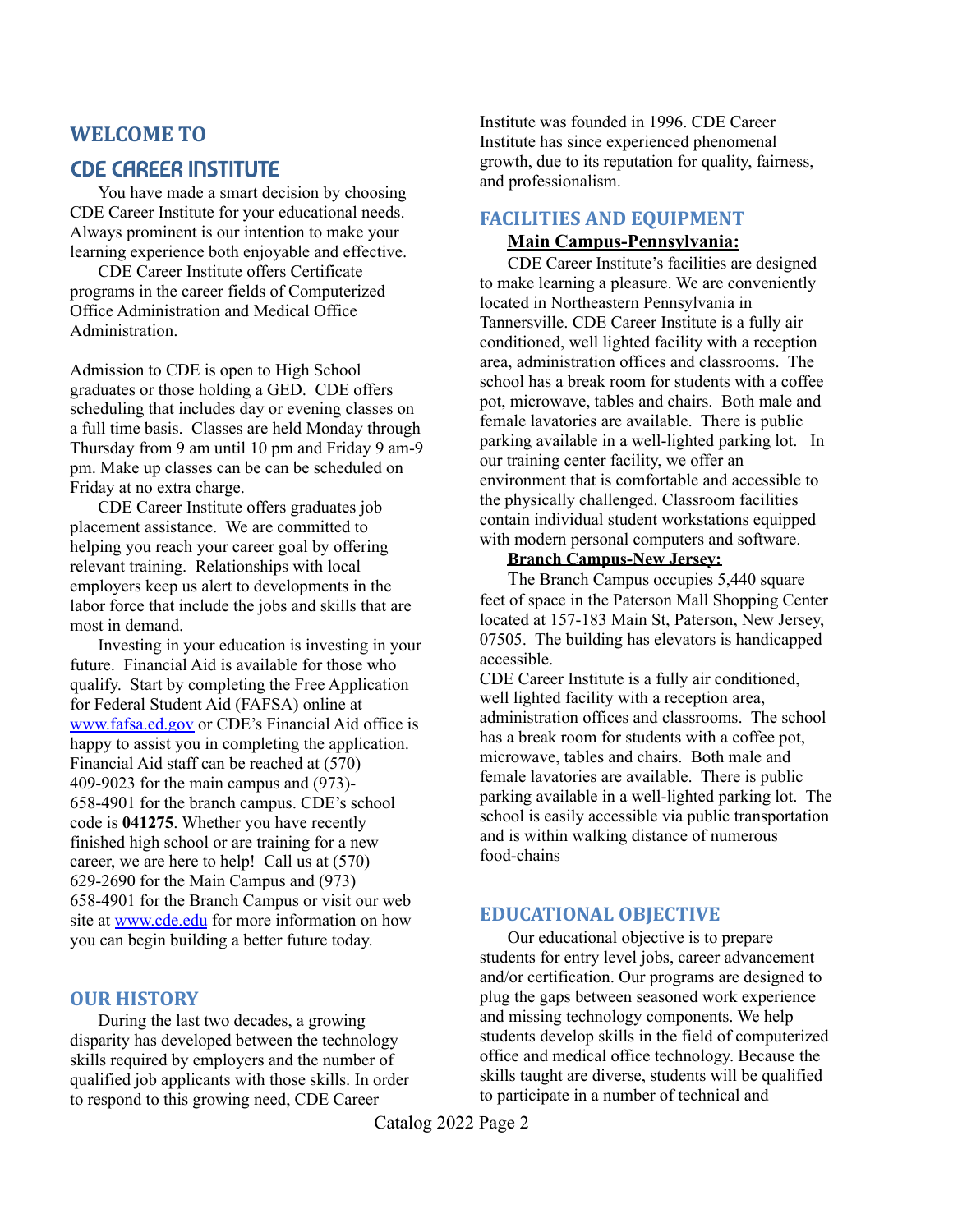# **WELCOME TO**

# CDE CAREER INSTITUTE

You have made a smart decision by choosing CDE Career Institute for your educational needs. Always prominent is our intention to make your learning experience both enjoyable and effective.

CDE Career Institute offers Certificate programs in the career fields of Computerized Office Administration and Medical Office Administration.

Admission to CDE is open to High School graduates or those holding a GED. CDE offers scheduling that includes day or evening classes on a full time basis. Classes are held Monday through Thursday from 9 am until 10 pm and Friday 9 am-9 pm. Make up classes can be can be scheduled on Friday at no extra charge.

CDE Career Institute offers graduates job placement assistance. We are committed to helping you reach your career goal by offering relevant training. Relationships with local employers keep us alert to developments in the labor force that include the jobs and skills that are most in demand.

Investing in your education is investing in your future. Financial Aid is available for those who qualify. Start by completing the Free Application for Federal Student Aid (FAFSA) online at [www.fafsa.ed.gov](http://www.fafsa.ed.gov) or CDE's Financial Aid office is happy to assist you in completing the application. Financial Aid staff can be reached at (570) 409-9023 for the main campus and (973)- 658-4901 for the branch campus. CDE's school code is **041275**. Whether you have recently finished high school or are training for a new career, we are here to help! Call us at (570) 629-2690 for the Main Campus and (973) 658-4901 for the Branch Campus or visit our web site at [www.cde.edu](http://www.cde.edu) for more information on how you can begin building a better future today.

### **OUR HISTORY**

During the last two decades, a growing disparity has developed between the technology skills required by employers and the number of qualified job applicants with those skills. In order to respond to this growing need, CDE Career

Institute was founded in 1996. CDE Career Institute has since experienced phenomenal growth, due to its reputation for quality, fairness, and professionalism.

## **FACILITIES AND EQUIPMENT**

### **Main Campus-Pennsylvania:**

CDE Career Institute's facilities are designed to make learning a pleasure. We are conveniently located in Northeastern Pennsylvania in Tannersville. CDE Career Institute is a fully air conditioned, well lighted facility with a reception area, administration offices and classrooms. The school has a break room for students with a coffee pot, microwave, tables and chairs. Both male and female lavatories are available. There is public parking available in a well-lighted parking lot. In our training center facility, we offer an environment that is comfortable and accessible to the physically challenged. Classroom facilities contain individual student workstations equipped with modern personal computers and software.

### **Branch Campus-New Jersey:**

The Branch Campus occupies 5,440 square feet of space in the Paterson Mall Shopping Center located at 157-183 Main St, Paterson, New Jersey, 07505. The building has elevators is handicapped accessible.

CDE Career Institute is a fully air conditioned, well lighted facility with a reception area, administration offices and classrooms. The school has a break room for students with a coffee pot, microwave, tables and chairs. Both male and female lavatories are available. There is public parking available in a well-lighted parking lot. The school is easily accessible via public transportation and is within walking distance of numerous food-chains

## **EDUCATIONAL OBJECTIVE**

Our educational objective is to prepare students for entry level jobs, career advancement and/or certification. Our programs are designed to plug the gaps between seasoned work experience and missing technology components. We help students develop skills in the field of computerized office and medical office technology. Because the skills taught are diverse, students will be qualified to participate in a number of technical and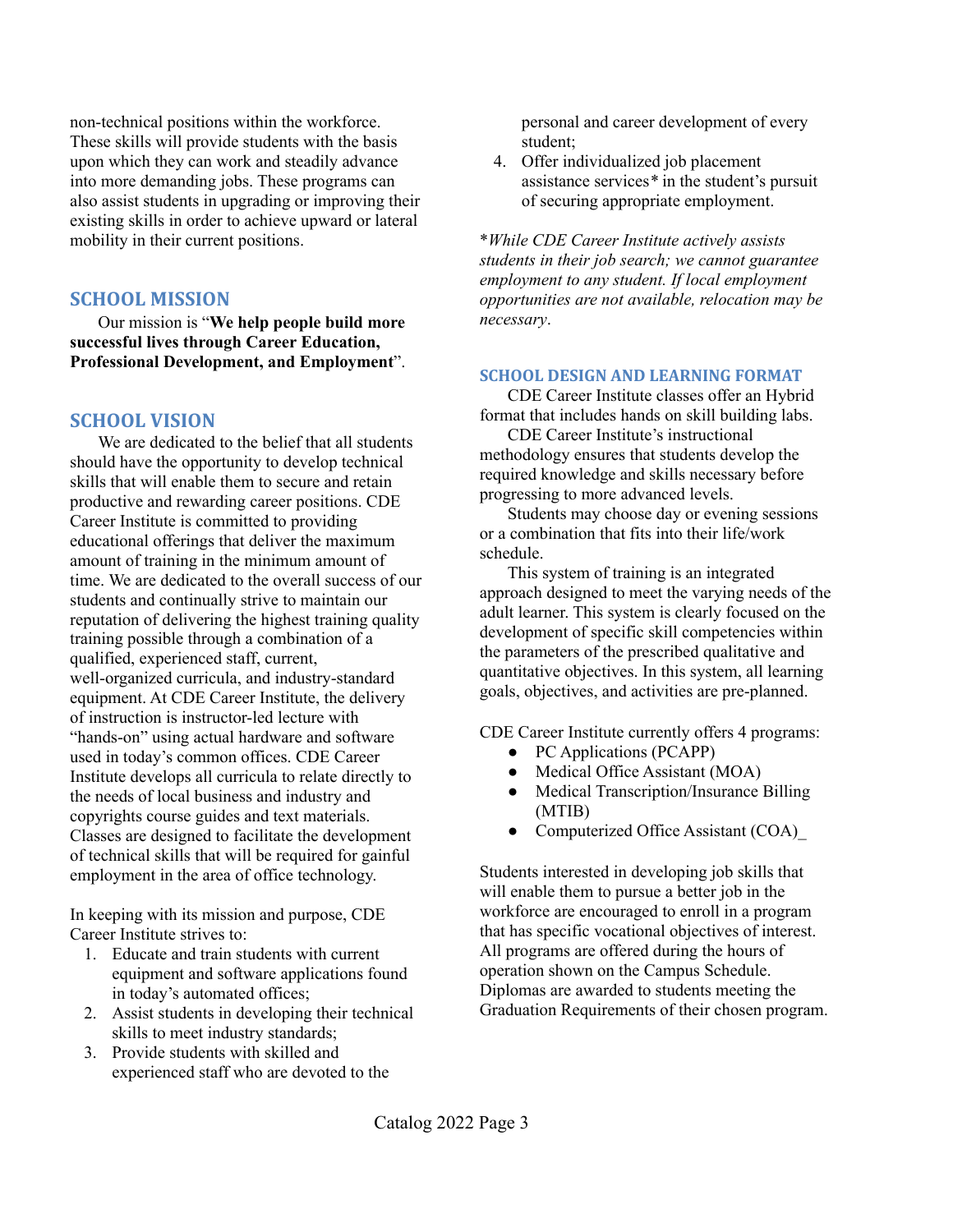non-technical positions within the workforce. These skills will provide students with the basis upon which they can work and steadily advance into more demanding jobs. These programs can also assist students in upgrading or improving their existing skills in order to achieve upward or lateral mobility in their current positions.

### **SCHOOL MISSION**

Our mission is "**We help people build more successful lives through Career Education, Professional Development, and Employment**".

### **SCHOOL VISION**

We are dedicated to the belief that all students should have the opportunity to develop technical skills that will enable them to secure and retain productive and rewarding career positions. CDE Career Institute is committed to providing educational offerings that deliver the maximum amount of training in the minimum amount of time. We are dedicated to the overall success of our students and continually strive to maintain our reputation of delivering the highest training quality training possible through a combination of a qualified, experienced staff, current, well-organized curricula, and industry-standard equipment. At CDE Career Institute, the delivery of instruction is instructor-led lecture with "hands-on" using actual hardware and software used in today's common offices. CDE Career Institute develops all curricula to relate directly to the needs of local business and industry and copyrights course guides and text materials. Classes are designed to facilitate the development of technical skills that will be required for gainful employment in the area of office technology.

In keeping with its mission and purpose, CDE Career Institute strives to:

- 1. Educate and train students with current equipment and software applications found in today's automated offices;
- 2. Assist students in developing their technical skills to meet industry standards;
- 3. Provide students with skilled and experienced staff who are devoted to the

personal and career development of every student;

4. Offer individualized job placement assistance services*\** in the student's pursuit of securing appropriate employment.

\**While CDE Career Institute actively assists students in their job search; we cannot guarantee employment to any student. If local employment opportunities are not available, relocation may be necessary*.

### **SCHOOL DESIGN AND LEARNING FORMAT**

CDE Career Institute classes offer an Hybrid format that includes hands on skill building labs.

CDE Career Institute's instructional methodology ensures that students develop the required knowledge and skills necessary before progressing to more advanced levels.

Students may choose day or evening sessions or a combination that fits into their life/work schedule.

This system of training is an integrated approach designed to meet the varying needs of the adult learner. This system is clearly focused on the development of specific skill competencies within the parameters of the prescribed qualitative and quantitative objectives. In this system, all learning goals, objectives, and activities are pre-planned.

CDE Career Institute currently offers 4 programs:

- PC Applications (PCAPP)
- Medical Office Assistant (MOA)
- Medical Transcription/Insurance Billing (MTIB)
- Computerized Office Assistant (COA)

Students interested in developing job skills that will enable them to pursue a better job in the workforce are encouraged to enroll in a program that has specific vocational objectives of interest. All programs are offered during the hours of operation shown on the Campus Schedule. Diplomas are awarded to students meeting the Graduation Requirements of their chosen program.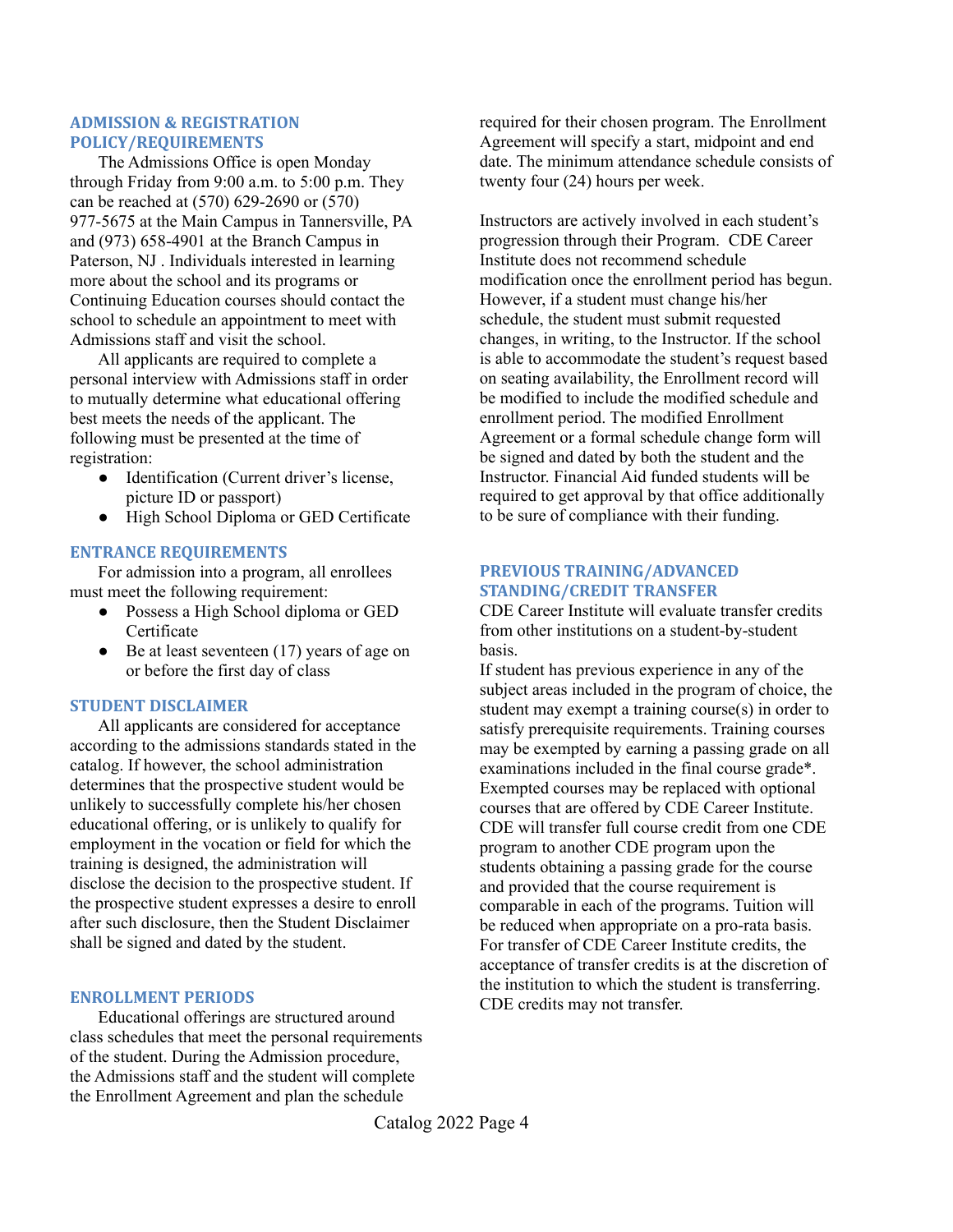### **ADMISSION & REGISTRATION POLICY/REQUIREMENTS**

The Admissions Office is open Monday through Friday from 9:00 a.m. to 5:00 p.m. They can be reached at (570) 629-2690 or (570) 977-5675 at the Main Campus in Tannersville, PA and (973) 658-4901 at the Branch Campus in Paterson, NJ . Individuals interested in learning more about the school and its programs or Continuing Education courses should contact the school to schedule an appointment to meet with Admissions staff and visit the school.

All applicants are required to complete a personal interview with Admissions staff in order to mutually determine what educational offering best meets the needs of the applicant. The following must be presented at the time of registration:

- Identification (Current driver's license, picture ID or passport)
- High School Diploma or GED Certificate

### **ENTRANCE REQUIREMENTS**

For admission into a program, all enrollees must meet the following requirement:

- Possess a High School diploma or GED Certificate
- Be at least seventeen (17) years of age on or before the first day of class

### **STUDENT DISCLAIMER**

All applicants are considered for acceptance according to the admissions standards stated in the catalog. If however, the school administration determines that the prospective student would be unlikely to successfully complete his/her chosen educational offering, or is unlikely to qualify for employment in the vocation or field for which the training is designed, the administration will disclose the decision to the prospective student. If the prospective student expresses a desire to enroll after such disclosure, then the Student Disclaimer shall be signed and dated by the student.

### **ENROLLMENT PERIODS**

Educational offerings are structured around class schedules that meet the personal requirements of the student. During the Admission procedure, the Admissions staff and the student will complete the Enrollment Agreement and plan the schedule

required for their chosen program. The Enrollment Agreement will specify a start, midpoint and end date. The minimum attendance schedule consists of twenty four (24) hours per week.

Instructors are actively involved in each student's progression through their Program. CDE Career Institute does not recommend schedule modification once the enrollment period has begun. However, if a student must change his/her schedule, the student must submit requested changes, in writing, to the Instructor. If the school is able to accommodate the student's request based on seating availability, the Enrollment record will be modified to include the modified schedule and enrollment period. The modified Enrollment Agreement or a formal schedule change form will be signed and dated by both the student and the Instructor. Financial Aid funded students will be required to get approval by that office additionally to be sure of compliance with their funding.

### **PREVIOUS TRAINING/ADVANCED STANDING/CREDIT TRANSFER**

CDE Career Institute will evaluate transfer credits from other institutions on a student-by-student basis.

If student has previous experience in any of the subject areas included in the program of choice, the student may exempt a training course(s) in order to satisfy prerequisite requirements. Training courses may be exempted by earning a passing grade on all examinations included in the final course grade\*. Exempted courses may be replaced with optional courses that are offered by CDE Career Institute. CDE will transfer full course credit from one CDE program to another CDE program upon the students obtaining a passing grade for the course and provided that the course requirement is comparable in each of the programs. Tuition will be reduced when appropriate on a pro-rata basis. For transfer of CDE Career Institute credits, the acceptance of transfer credits is at the discretion of the institution to which the student is transferring. CDE credits may not transfer.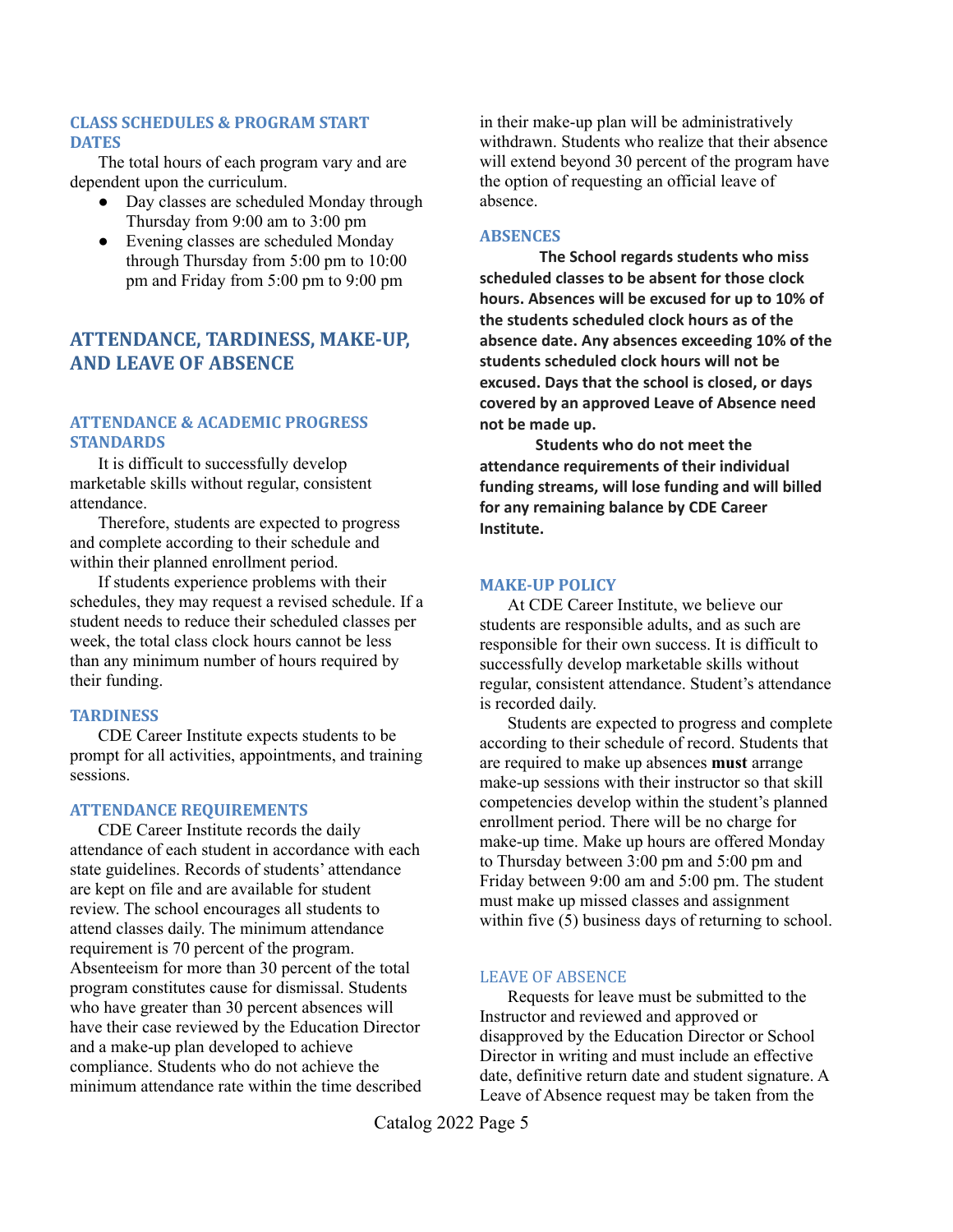### **CLASS SCHEDULES & PROGRAM START DATES**

The total hours of each program vary and are dependent upon the curriculum.

- Day classes are scheduled Monday through Thursday from 9:00 am to 3:00 pm
- Evening classes are scheduled Monday through Thursday from 5:00 pm to 10:00 pm and Friday from 5:00 pm to 9:00 pm

## **ATTENDANCE, TARDINESS, MAKE-UP, AND LEAVE OF ABSENCE**

### **ATTENDANCE & ACADEMIC PROGRESS STANDARDS**

It is difficult to successfully develop marketable skills without regular, consistent attendance.

Therefore, students are expected to progress and complete according to their schedule and within their planned enrollment period.

If students experience problems with their schedules, they may request a revised schedule. If a student needs to reduce their scheduled classes per week, the total class clock hours cannot be less than any minimum number of hours required by their funding.

### **TARDINESS**

CDE Career Institute expects students to be prompt for all activities, appointments, and training sessions.

### **ATTENDANCE REQUIREMENTS**

CDE Career Institute records the daily attendance of each student in accordance with each state guidelines. Records of students' attendance are kept on file and are available for student review. The school encourages all students to attend classes daily. The minimum attendance requirement is 70 percent of the program. Absenteeism for more than 30 percent of the total program constitutes cause for dismissal. Students who have greater than 30 percent absences will have their case reviewed by the Education Director and a make-up plan developed to achieve compliance. Students who do not achieve the minimum attendance rate within the time described in their make-up plan will be administratively withdrawn. Students who realize that their absence will extend beyond 30 percent of the program have the option of requesting an official leave of absence.

### **ABSENCES**

**The School regards students who miss scheduled classes to be absent for those clock hours. Absences will be excused for up to 10% of the students scheduled clock hours as of the absence date. Any absences exceeding 10% of the students scheduled clock hours will not be excused. Days that the school is closed, or days covered by an approved Leave of Absence need not be made up.**

**Students who do not meet the attendance requirements of their individual funding streams, will lose funding and will billed for any remaining balance by CDE Career Institute.**

### **MAKE-UP POLICY**

At CDE Career Institute, we believe our students are responsible adults, and as such are responsible for their own success. It is difficult to successfully develop marketable skills without regular, consistent attendance. Student's attendance is recorded daily.

Students are expected to progress and complete according to their schedule of record. Students that are required to make up absences **must** arrange make-up sessions with their instructor so that skill competencies develop within the student's planned enrollment period. There will be no charge for make-up time. Make up hours are offered Monday to Thursday between 3:00 pm and 5:00 pm and Friday between 9:00 am and 5:00 pm. The student must make up missed classes and assignment within five (5) business days of returning to school.

### LEAVE OF ABSENCE

Requests for leave must be submitted to the Instructor and reviewed and approved or disapproved by the Education Director or School Director in writing and must include an effective date, definitive return date and student signature. A Leave of Absence request may be taken from the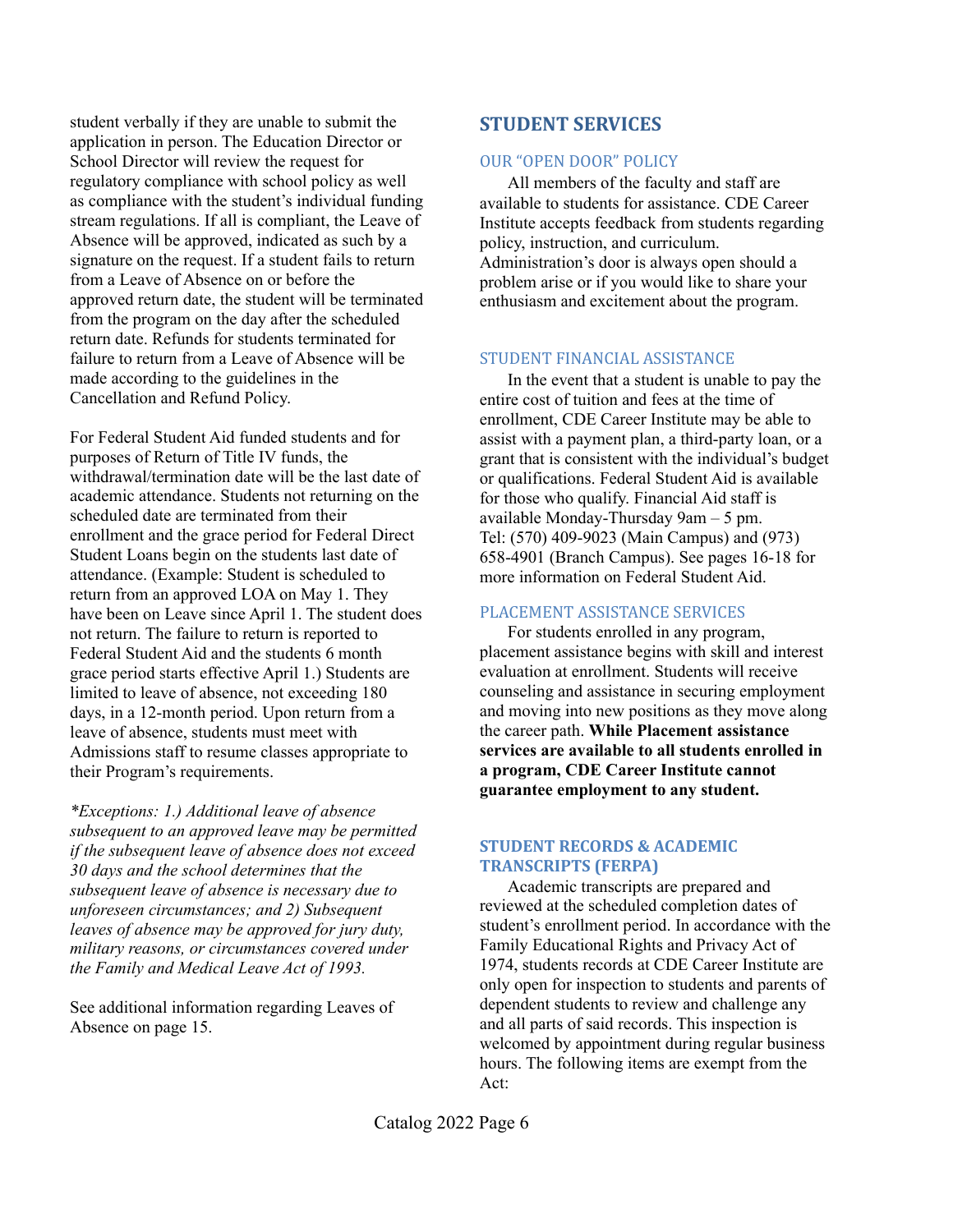student verbally if they are unable to submit the application in person. The Education Director or School Director will review the request for regulatory compliance with school policy as well as compliance with the student's individual funding stream regulations. If all is compliant, the Leave of Absence will be approved, indicated as such by a signature on the request. If a student fails to return from a Leave of Absence on or before the approved return date, the student will be terminated from the program on the day after the scheduled return date. Refunds for students terminated for failure to return from a Leave of Absence will be made according to the guidelines in the Cancellation and Refund Policy.

For Federal Student Aid funded students and for purposes of Return of Title IV funds, the withdrawal/termination date will be the last date of academic attendance. Students not returning on the scheduled date are terminated from their enrollment and the grace period for Federal Direct Student Loans begin on the students last date of attendance. (Example: Student is scheduled to return from an approved LOA on May 1. They have been on Leave since April 1. The student does not return. The failure to return is reported to Federal Student Aid and the students 6 month grace period starts effective April 1.) Students are limited to leave of absence, not exceeding 180 days, in a 12-month period. Upon return from a leave of absence, students must meet with Admissions staff to resume classes appropriate to their Program's requirements.

*\*Exceptions: 1.) Additional leave of absence subsequent to an approved leave may be permitted if the subsequent leave of absence does not exceed 30 days and the school determines that the subsequent leave of absence is necessary due to unforeseen circumstances; and 2) Subsequent leaves of absence may be approved for jury duty, military reasons, or circumstances covered under the Family and Medical Leave Act of 1993.*

See additional information regarding Leaves of Absence on page 15.

## **STUDENT SERVICES**

### OUR "OPEN DOOR" POLICY

All members of the faculty and staff are available to students for assistance. CDE Career Institute accepts feedback from students regarding policy, instruction, and curriculum. Administration's door is always open should a problem arise or if you would like to share your enthusiasm and excitement about the program.

### STUDENT FINANCIAL ASSISTANCE

In the event that a student is unable to pay the entire cost of tuition and fees at the time of enrollment, CDE Career Institute may be able to assist with a payment plan, a third-party loan, or a grant that is consistent with the individual's budget or qualifications. Federal Student Aid is available for those who qualify. Financial Aid staff is available Monday-Thursday 9am – 5 pm. Tel: (570) 409-9023 (Main Campus) and (973) 658-4901 (Branch Campus). See pages 16-18 for more information on Federal Student Aid.

### PLACEMENT ASSISTANCE SERVICES

For students enrolled in any program, placement assistance begins with skill and interest evaluation at enrollment. Students will receive counseling and assistance in securing employment and moving into new positions as they move along the career path. **While Placement assistance services are available to all students enrolled in a program, CDE Career Institute cannot guarantee employment to any student.**

### **STUDENT RECORDS & ACADEMIC TRANSCRIPTS (FERPA)**

Academic transcripts are prepared and reviewed at the scheduled completion dates of student's enrollment period. In accordance with the Family Educational Rights and Privacy Act of 1974, students records at CDE Career Institute are only open for inspection to students and parents of dependent students to review and challenge any and all parts of said records. This inspection is welcomed by appointment during regular business hours. The following items are exempt from the Act: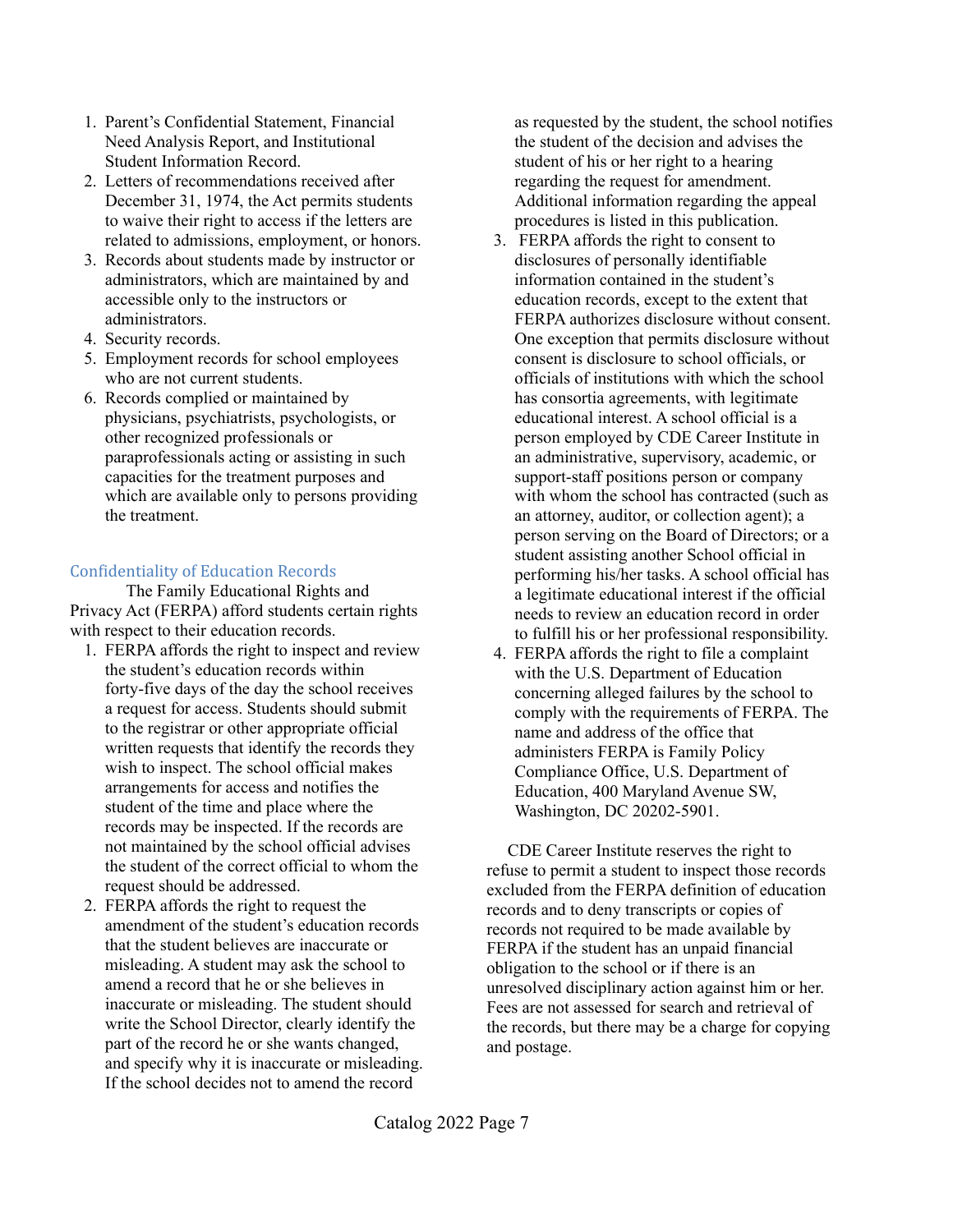- 1. Parent's Confidential Statement, Financial Need Analysis Report, and Institutional Student Information Record.
- 2. Letters of recommendations received after December 31, 1974, the Act permits students to waive their right to access if the letters are related to admissions, employment, or honors.
- 3. Records about students made by instructor or administrators, which are maintained by and accessible only to the instructors or administrators.
- 4. Security records.
- 5. Employment records for school employees who are not current students.
- 6. Records complied or maintained by physicians, psychiatrists, psychologists, or other recognized professionals or paraprofessionals acting or assisting in such capacities for the treatment purposes and which are available only to persons providing the treatment.

### Confidentiality of Education Records

The Family Educational Rights and Privacy Act (FERPA) afford students certain rights with respect to their education records.

- 1. FERPA affords the right to inspect and review the student's education records within forty-five days of the day the school receives a request for access. Students should submit to the registrar or other appropriate official written requests that identify the records they wish to inspect. The school official makes arrangements for access and notifies the student of the time and place where the records may be inspected. If the records are not maintained by the school official advises the student of the correct official to whom the request should be addressed.
- 2. FERPA affords the right to request the amendment of the student's education records that the student believes are inaccurate or misleading. A student may ask the school to amend a record that he or she believes in inaccurate or misleading. The student should write the School Director, clearly identify the part of the record he or she wants changed, and specify why it is inaccurate or misleading. If the school decides not to amend the record

as requested by the student, the school notifies the student of the decision and advises the student of his or her right to a hearing regarding the request for amendment. Additional information regarding the appeal procedures is listed in this publication.

- 3. FERPA affords the right to consent to disclosures of personally identifiable information contained in the student's education records, except to the extent that FERPA authorizes disclosure without consent. One exception that permits disclosure without consent is disclosure to school officials, or officials of institutions with which the school has consortia agreements, with legitimate educational interest. A school official is a person employed by CDE Career Institute in an administrative, supervisory, academic, or support-staff positions person or company with whom the school has contracted (such as an attorney, auditor, or collection agent); a person serving on the Board of Directors; or a student assisting another School official in performing his/her tasks. A school official has a legitimate educational interest if the official needs to review an education record in order to fulfill his or her professional responsibility.
- 4. FERPA affords the right to file a complaint with the U.S. Department of Education concerning alleged failures by the school to comply with the requirements of FERPA. The name and address of the office that administers FERPA is Family Policy Compliance Office, U.S. Department of Education, 400 Maryland Avenue SW, Washington, DC 20202-5901.

CDE Career Institute reserves the right to refuse to permit a student to inspect those records excluded from the FERPA definition of education records and to deny transcripts or copies of records not required to be made available by FERPA if the student has an unpaid financial obligation to the school or if there is an unresolved disciplinary action against him or her. Fees are not assessed for search and retrieval of the records, but there may be a charge for copying and postage.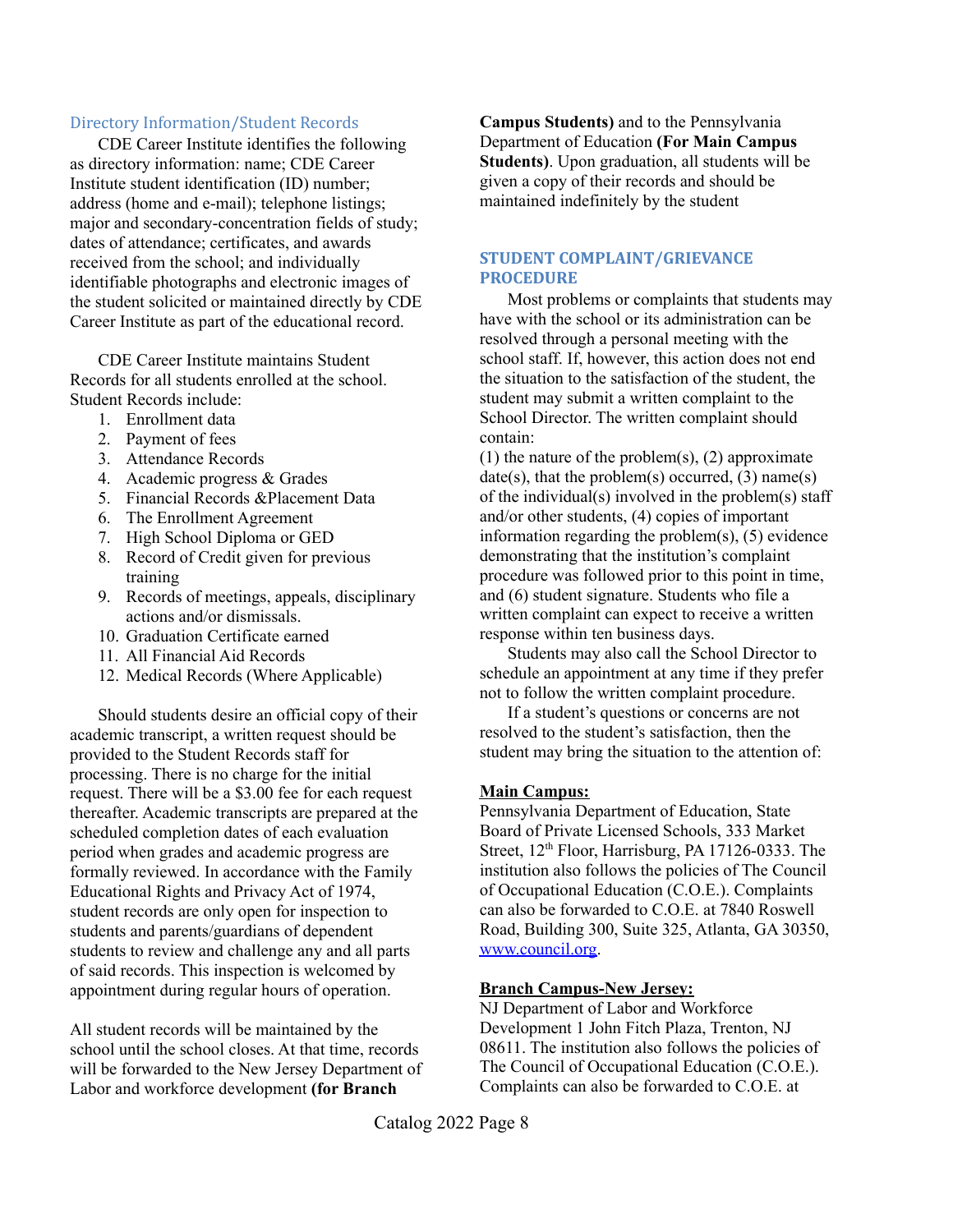### Directory Information/Student Records

CDE Career Institute identifies the following as directory information: name; CDE Career Institute student identification (ID) number; address (home and e-mail); telephone listings; major and secondary-concentration fields of study; dates of attendance; certificates, and awards received from the school; and individually identifiable photographs and electronic images of the student solicited or maintained directly by CDE Career Institute as part of the educational record.

CDE Career Institute maintains Student Records for all students enrolled at the school. Student Records include:

- 1. Enrollment data
- 2. Payment of fees
- 3. Attendance Records
- 4. Academic progress & Grades
- 5. Financial Records &Placement Data
- 6. The Enrollment Agreement
- 7. High School Diploma or GED
- 8. Record of Credit given for previous training
- 9. Records of meetings, appeals, disciplinary actions and/or dismissals.
- 10. Graduation Certificate earned
- 11. All Financial Aid Records
- 12. Medical Records (Where Applicable)

Should students desire an official copy of their academic transcript, a written request should be provided to the Student Records staff for processing. There is no charge for the initial request. There will be a \$3.00 fee for each request thereafter. Academic transcripts are prepared at the scheduled completion dates of each evaluation period when grades and academic progress are formally reviewed. In accordance with the Family Educational Rights and Privacy Act of 1974, student records are only open for inspection to students and parents/guardians of dependent students to review and challenge any and all parts of said records. This inspection is welcomed by appointment during regular hours of operation.

All student records will be maintained by the school until the school closes. At that time, records will be forwarded to the New Jersey Department of Labor and workforce development **(for Branch**

**Campus Students)** and to the Pennsylvania Department of Education **(For Main Campus Students)**. Upon graduation, all students will be given a copy of their records and should be maintained indefinitely by the student

### **STUDENT COMPLAINT/GRIEVANCE PROCEDURE**

Most problems or complaints that students may have with the school or its administration can be resolved through a personal meeting with the school staff. If, however, this action does not end the situation to the satisfaction of the student, the student may submit a written complaint to the School Director. The written complaint should contain:

(1) the nature of the problem $(s)$ ,  $(2)$  approximate  $date(s)$ , that the problem(s) occurred, (3) name(s) of the individual(s) involved in the problem(s) staff and/or other students, (4) copies of important information regarding the problem $(s)$ ,  $(5)$  evidence demonstrating that the institution's complaint procedure was followed prior to this point in time, and (6) student signature. Students who file a written complaint can expect to receive a written response within ten business days.

Students may also call the School Director to schedule an appointment at any time if they prefer not to follow the written complaint procedure.

If a student's questions or concerns are not resolved to the student's satisfaction, then the student may bring the situation to the attention of:

### **Main Campus:**

Pennsylvania Department of Education, State Board of Private Licensed Schools, 333 Market Street, 12<sup>th</sup> Floor, Harrisburg, PA 17126-0333. The institution also follows the policies of The Council of Occupational Education (C.O.E.). Complaints can also be forwarded to C.O.E. at 7840 Roswell Road, Building 300, Suite 325, Atlanta, GA 30350, [www.council.org.](http://www.council.org)

### **Branch Campus-New Jersey:**

NJ Department of Labor and Workforce Development 1 John Fitch Plaza, Trenton, NJ 08611. The institution also follows the policies of The Council of Occupational Education (C.O.E.). Complaints can also be forwarded to C.O.E. at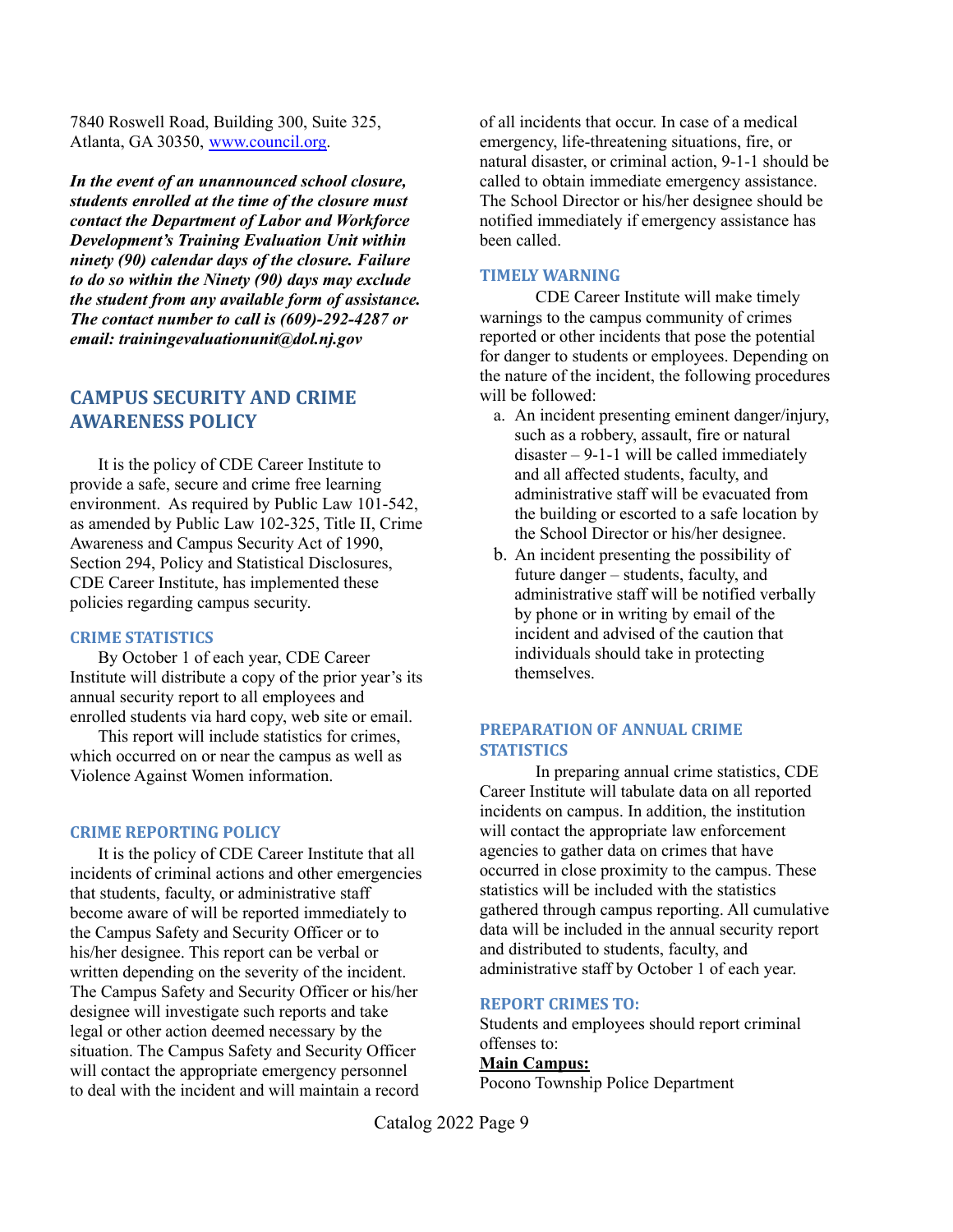7840 Roswell Road, Building 300, Suite 325, Atlanta, GA 30350, [www.council.org.](http://www.council.org)

*In the event of an unannounced school closure, students enrolled at the time of the closure must contact the Department of Labor and Workforce Development's Training Evaluation Unit within ninety (90) calendar days of the closure. Failure to do so within the Ninety (90) days may exclude the student from any available form of assistance. The contact number to call is (609)-292-4287 or email: trainingevaluationunit@dol.nj.gov*

### **CAMPUS SECURITY AND CRIME AWARENESS POLICY**

It is the policy of CDE Career Institute to provide a safe, secure and crime free learning environment. As required by Public Law 101-542, as amended by Public Law 102-325, Title II, Crime Awareness and Campus Security Act of 1990, Section 294, Policy and Statistical Disclosures, CDE Career Institute, has implemented these policies regarding campus security.

### **CRIME STATISTICS**

By October 1 of each year, CDE Career Institute will distribute a copy of the prior year's its annual security report to all employees and enrolled students via hard copy, web site or email.

This report will include statistics for crimes, which occurred on or near the campus as well as Violence Against Women information.

### **CRIME REPORTING POLICY**

It is the policy of CDE Career Institute that all incidents of criminal actions and other emergencies that students, faculty, or administrative staff become aware of will be reported immediately to the Campus Safety and Security Officer or to his/her designee. This report can be verbal or written depending on the severity of the incident. The Campus Safety and Security Officer or his/her designee will investigate such reports and take legal or other action deemed necessary by the situation. The Campus Safety and Security Officer will contact the appropriate emergency personnel to deal with the incident and will maintain a record

of all incidents that occur. In case of a medical emergency, life-threatening situations, fire, or natural disaster, or criminal action, 9-1-1 should be called to obtain immediate emergency assistance. The School Director or his/her designee should be notified immediately if emergency assistance has been called.

### **TIMELY WARNING**

CDE Career Institute will make timely warnings to the campus community of crimes reported or other incidents that pose the potential for danger to students or employees. Depending on the nature of the incident, the following procedures will be followed:

- a. An incident presenting eminent danger/injury, such as a robbery, assault, fire or natural disaster  $-9-1-1$  will be called immediately and all affected students, faculty, and administrative staff will be evacuated from the building or escorted to a safe location by the School Director or his/her designee.
- b. An incident presenting the possibility of future danger – students, faculty, and administrative staff will be notified verbally by phone or in writing by email of the incident and advised of the caution that individuals should take in protecting themselves.

### **PREPARATION OF ANNUAL CRIME STATISTICS**

In preparing annual crime statistics, CDE Career Institute will tabulate data on all reported incidents on campus. In addition, the institution will contact the appropriate law enforcement agencies to gather data on crimes that have occurred in close proximity to the campus. These statistics will be included with the statistics gathered through campus reporting. All cumulative data will be included in the annual security report and distributed to students, faculty, and administrative staff by October 1 of each year.

### **REPORT CRIMES TO:**

Students and employees should report criminal offenses to:

### **Main Campus:**

Pocono Township Police Department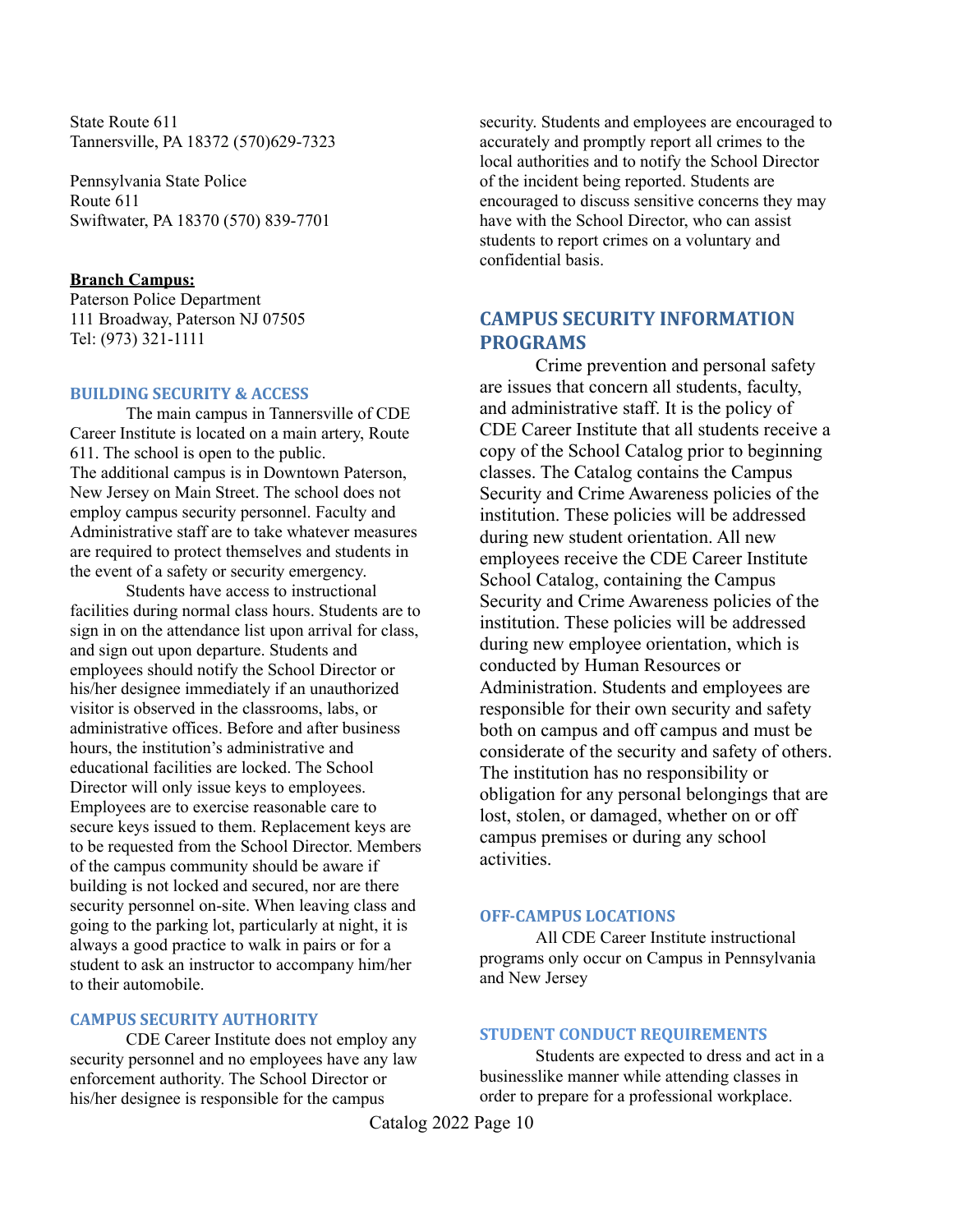State Route 611 Tannersville, PA 18372 (570)629-7323

Pennsylvania State Police Route 611 Swiftwater, PA 18370 (570) 839-7701

### **Branch Campus:**

Paterson Police Department 111 Broadway, Paterson NJ 07505 Tel: (973) 321-1111

### **BUILDING SECURITY & ACCESS**

The main campus in Tannersville of CDE Career Institute is located on a main artery, Route 611. The school is open to the public. The additional campus is in Downtown Paterson, New Jersey on Main Street. The school does not employ campus security personnel. Faculty and Administrative staff are to take whatever measures are required to protect themselves and students in the event of a safety or security emergency.

Students have access to instructional facilities during normal class hours. Students are to sign in on the attendance list upon arrival for class, and sign out upon departure. Students and employees should notify the School Director or his/her designee immediately if an unauthorized visitor is observed in the classrooms, labs, or administrative offices. Before and after business hours, the institution's administrative and educational facilities are locked. The School Director will only issue keys to employees. Employees are to exercise reasonable care to secure keys issued to them. Replacement keys are to be requested from the School Director. Members of the campus community should be aware if building is not locked and secured, nor are there security personnel on-site. When leaving class and going to the parking lot, particularly at night, it is always a good practice to walk in pairs or for a student to ask an instructor to accompany him/her to their automobile.

### **CAMPUS SECURITY AUTHORITY**

CDE Career Institute does not employ any security personnel and no employees have any law enforcement authority. The School Director or his/her designee is responsible for the campus

security. Students and employees are encouraged to accurately and promptly report all crimes to the local authorities and to notify the School Director of the incident being reported. Students are encouraged to discuss sensitive concerns they may have with the School Director, who can assist students to report crimes on a voluntary and confidential basis.

### **CAMPUS SECURITY INFORMATION PROGRAMS**

Crime prevention and personal safety are issues that concern all students, faculty, and administrative staff. It is the policy of CDE Career Institute that all students receive a copy of the School Catalog prior to beginning classes. The Catalog contains the Campus Security and Crime Awareness policies of the institution. These policies will be addressed during new student orientation. All new employees receive the CDE Career Institute School Catalog, containing the Campus Security and Crime Awareness policies of the institution. These policies will be addressed during new employee orientation, which is conducted by Human Resources or Administration. Students and employees are responsible for their own security and safety both on campus and off campus and must be considerate of the security and safety of others. The institution has no responsibility or obligation for any personal belongings that are lost, stolen, or damaged, whether on or off campus premises or during any school activities.

### **OFF-CAMPUS LOCATIONS**

All CDE Career Institute instructional programs only occur on Campus in Pennsylvania and New Jersey

### **STUDENT CONDUCT REQUIREMENTS**

Students are expected to dress and act in a businesslike manner while attending classes in order to prepare for a professional workplace.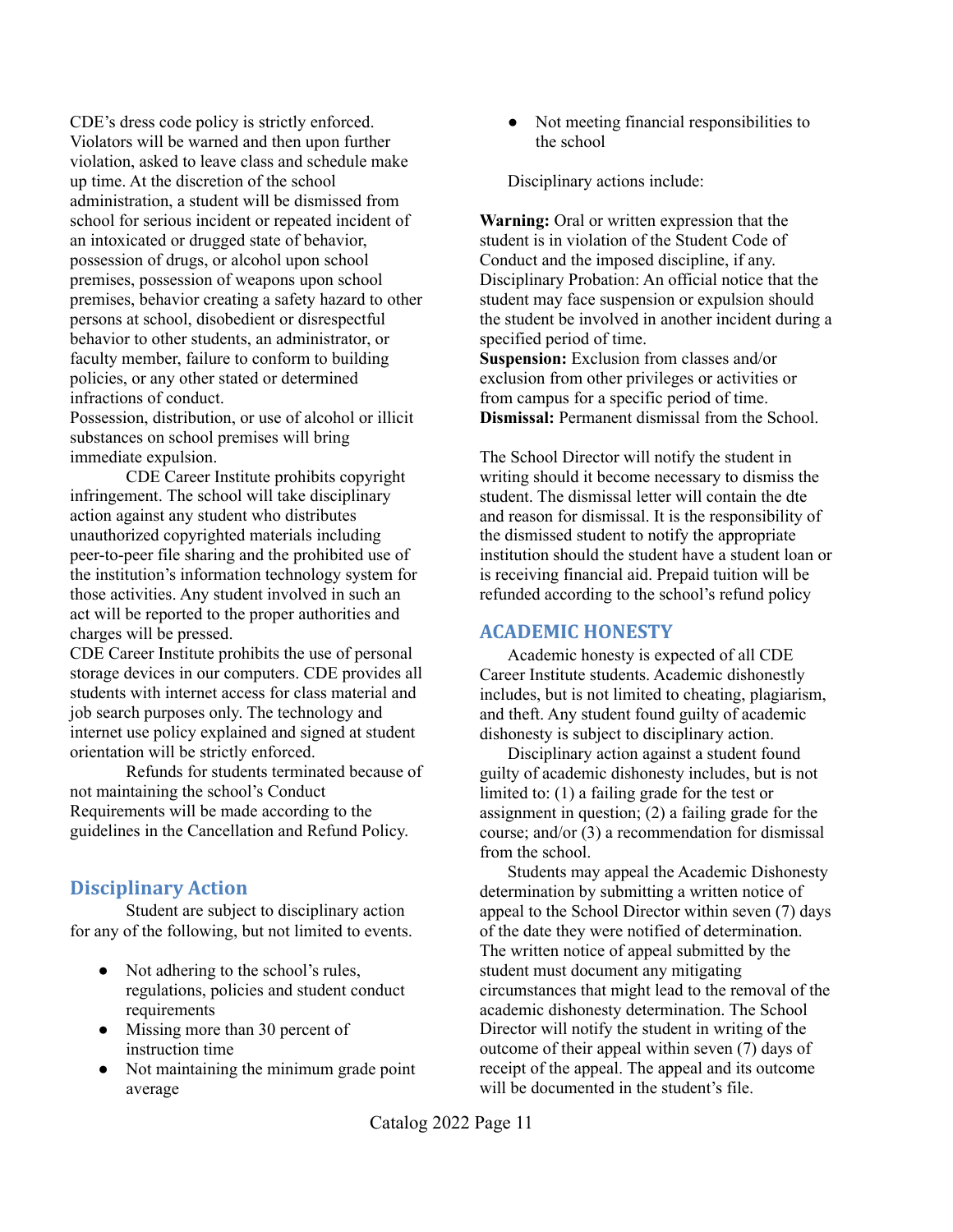CDE's dress code policy is strictly enforced. Violators will be warned and then upon further violation, asked to leave class and schedule make up time. At the discretion of the school administration, a student will be dismissed from school for serious incident or repeated incident of an intoxicated or drugged state of behavior, possession of drugs, or alcohol upon school premises, possession of weapons upon school premises, behavior creating a safety hazard to other persons at school, disobedient or disrespectful behavior to other students, an administrator, or faculty member, failure to conform to building policies, or any other stated or determined infractions of conduct.

Possession, distribution, or use of alcohol or illicit substances on school premises will bring immediate expulsion.

CDE Career Institute prohibits copyright infringement. The school will take disciplinary action against any student who distributes unauthorized copyrighted materials including peer-to-peer file sharing and the prohibited use of the institution's information technology system for those activities. Any student involved in such an act will be reported to the proper authorities and charges will be pressed.

CDE Career Institute prohibits the use of personal storage devices in our computers. CDE provides all students with internet access for class material and job search purposes only. The technology and internet use policy explained and signed at student orientation will be strictly enforced.

Refunds for students terminated because of not maintaining the school's Conduct Requirements will be made according to the guidelines in the Cancellation and Refund Policy.

## **Disciplinary Action**

Student are subject to disciplinary action for any of the following, but not limited to events.

- Not adhering to the school's rules, regulations, policies and student conduct requirements
- Missing more than 30 percent of instruction time
- Not maintaining the minimum grade point average

● Not meeting financial responsibilities to the school

Disciplinary actions include:

**Warning:** Oral or written expression that the student is in violation of the Student Code of Conduct and the imposed discipline, if any. Disciplinary Probation: An official notice that the student may face suspension or expulsion should the student be involved in another incident during a specified period of time. **Suspension:** Exclusion from classes and/or exclusion from other privileges or activities or

from campus for a specific period of time. **Dismissal:** Permanent dismissal from the School.

The School Director will notify the student in writing should it become necessary to dismiss the student. The dismissal letter will contain the dte and reason for dismissal. It is the responsibility of the dismissed student to notify the appropriate institution should the student have a student loan or is receiving financial aid. Prepaid tuition will be refunded according to the school's refund policy

## **ACADEMIC HONESTY**

Academic honesty is expected of all CDE Career Institute students. Academic dishonestly includes, but is not limited to cheating, plagiarism, and theft. Any student found guilty of academic dishonesty is subject to disciplinary action.

Disciplinary action against a student found guilty of academic dishonesty includes, but is not limited to: (1) a failing grade for the test or assignment in question; (2) a failing grade for the course; and/or (3) a recommendation for dismissal from the school.

Students may appeal the Academic Dishonesty determination by submitting a written notice of appeal to the School Director within seven (7) days of the date they were notified of determination. The written notice of appeal submitted by the student must document any mitigating circumstances that might lead to the removal of the academic dishonesty determination. The School Director will notify the student in writing of the outcome of their appeal within seven (7) days of receipt of the appeal. The appeal and its outcome will be documented in the student's file.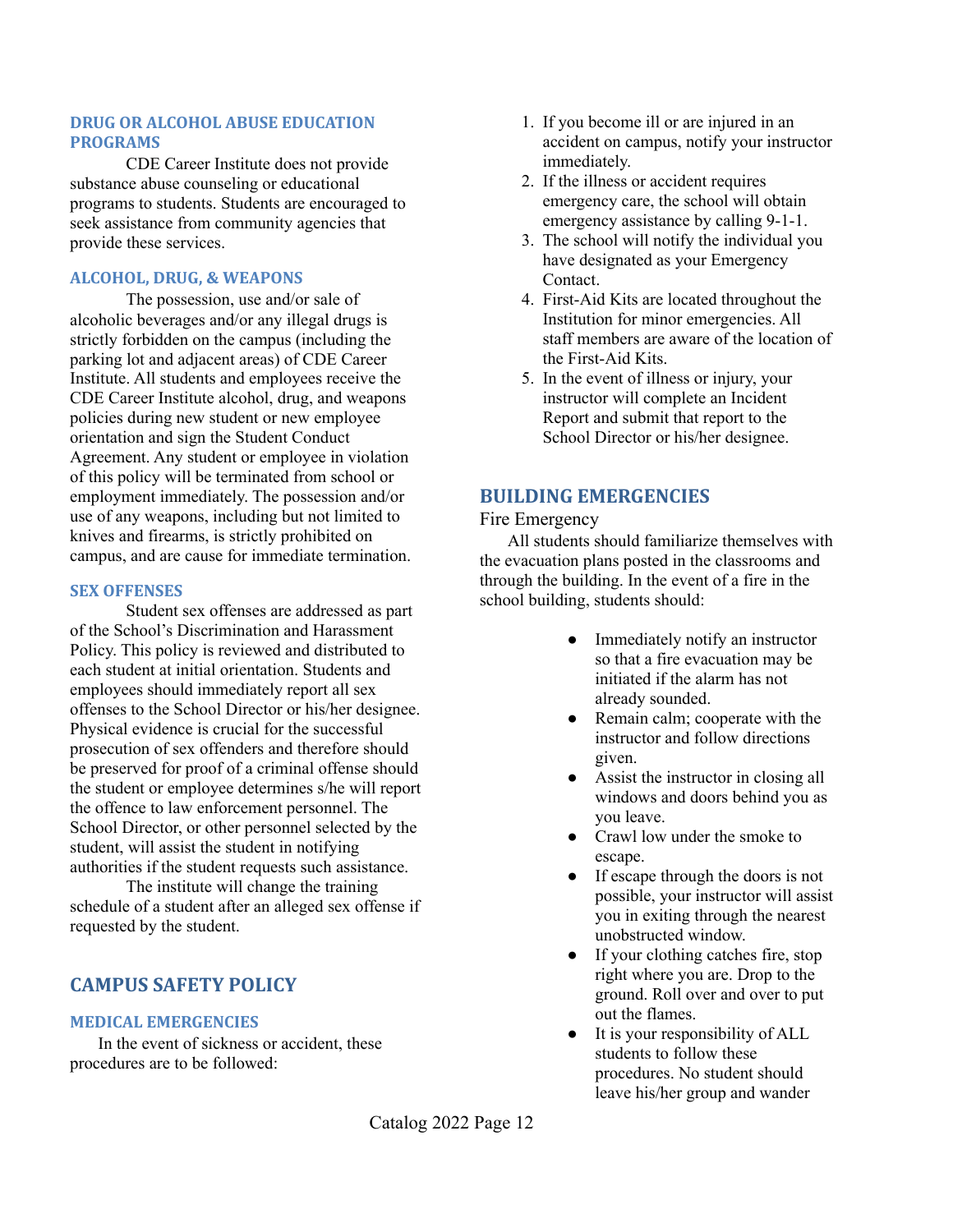### **DRUG OR ALCOHOL ABUSE EDUCATION PROGRAMS**

CDE Career Institute does not provide substance abuse counseling or educational programs to students. Students are encouraged to seek assistance from community agencies that provide these services.

### **ALCOHOL, DRUG, & WEAPONS**

The possession, use and/or sale of alcoholic beverages and/or any illegal drugs is strictly forbidden on the campus (including the parking lot and adjacent areas) of CDE Career Institute. All students and employees receive the CDE Career Institute alcohol, drug, and weapons policies during new student or new employee orientation and sign the Student Conduct Agreement. Any student or employee in violation of this policy will be terminated from school or employment immediately. The possession and/or use of any weapons, including but not limited to knives and firearms, is strictly prohibited on campus, and are cause for immediate termination.

### **SEX OFFENSES**

Student sex offenses are addressed as part of the School's Discrimination and Harassment Policy. This policy is reviewed and distributed to each student at initial orientation. Students and employees should immediately report all sex offenses to the School Director or his/her designee. Physical evidence is crucial for the successful prosecution of sex offenders and therefore should be preserved for proof of a criminal offense should the student or employee determines s/he will report the offence to law enforcement personnel. The School Director, or other personnel selected by the student, will assist the student in notifying authorities if the student requests such assistance.

The institute will change the training schedule of a student after an alleged sex offense if requested by the student.

## **CAMPUS SAFETY POLICY**

### **MEDICAL EMERGENCIES**

In the event of sickness or accident, these procedures are to be followed:

- 1. If you become ill or are injured in an accident on campus, notify your instructor immediately.
- 2. If the illness or accident requires emergency care, the school will obtain emergency assistance by calling 9-1-1.
- 3. The school will notify the individual you have designated as your Emergency Contact.
- 4. First-Aid Kits are located throughout the Institution for minor emergencies. All staff members are aware of the location of the First-Aid Kits.
- 5. In the event of illness or injury, your instructor will complete an Incident Report and submit that report to the School Director or his/her designee.

### **BUILDING EMERGENCIES**

### Fire Emergency

All students should familiarize themselves with the evacuation plans posted in the classrooms and through the building. In the event of a fire in the school building, students should:

- Immediately notify an instructor so that a fire evacuation may be initiated if the alarm has not already sounded.
- Remain calm; cooperate with the instructor and follow directions given.
- Assist the instructor in closing all windows and doors behind you as you leave.
- Crawl low under the smoke to escape.
- If escape through the doors is not possible, your instructor will assist you in exiting through the nearest unobstructed window.
- If your clothing catches fire, stop right where you are. Drop to the ground. Roll over and over to put out the flames.
- It is your responsibility of ALL students to follow these procedures. No student should leave his/her group and wander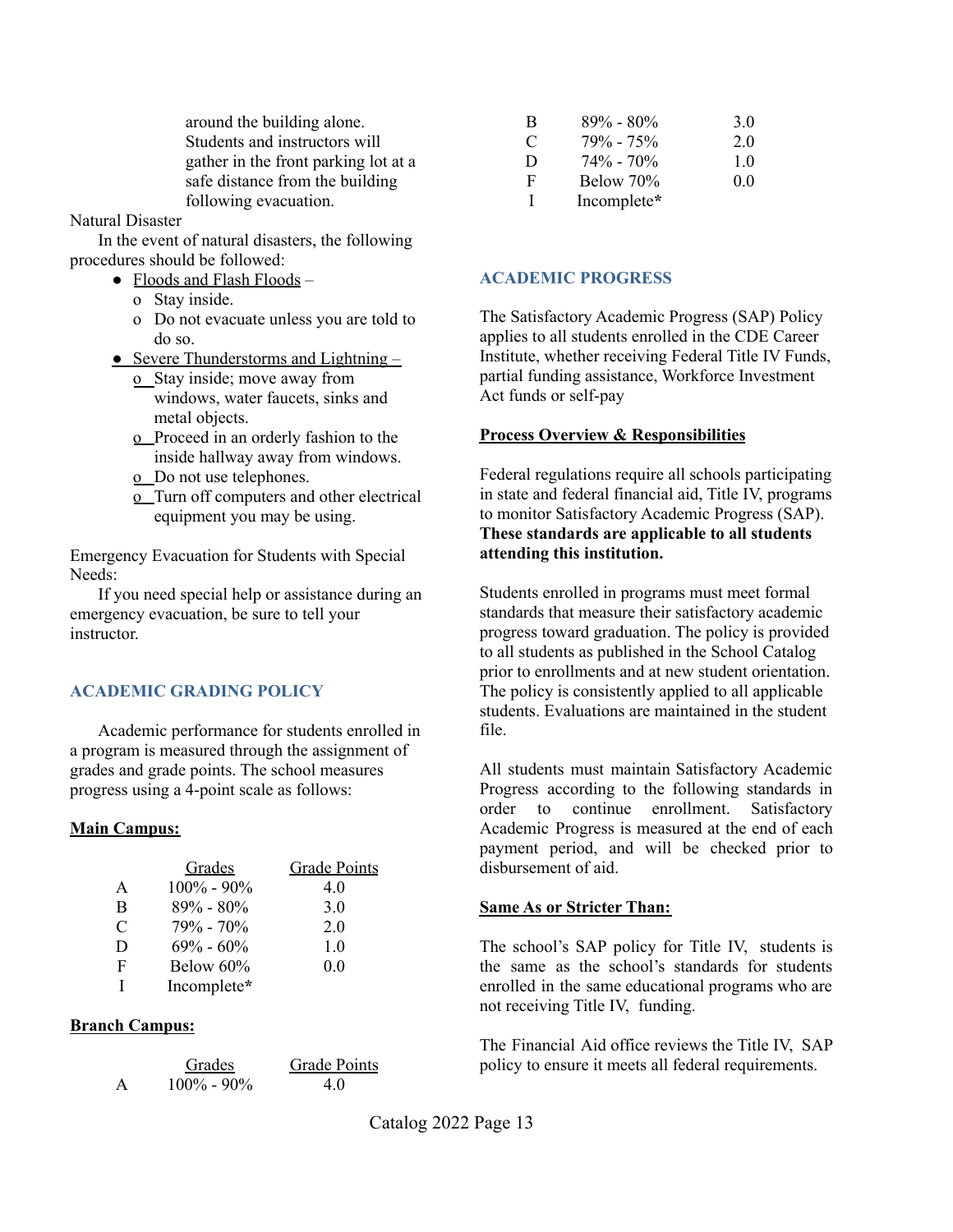around the building alone. Students and instructors will gather in the front parking lot at a safe distance from the building following evacuation.

### Natural Disaster

In the event of natural disasters, the following procedures should be followed:

- Floods and Flash Floods
	- o Stay inside.
	- o Do not evacuate unless you are told to do so.
- Severe Thunderstorms and Lightning  $$ 
	- o Stay inside; move away from windows, water faucets, sinks and metal objects.
	- o Proceed in an orderly fashion to the inside hallway away from windows.
	- o Do not use telephones.
	- o Turn off computers and other electrical equipment you may be using.

Emergency Evacuation for Students with Special Needs:

If you need special help or assistance during an emergency evacuation, be sure to tell your **instructor** 

### **ACADEMIC GRADING POLICY**

Academic performance for students enrolled in a program is measured through the assignment of grades and grade points. The school measures progress using a 4-point scale as follows:

### **Main Campus:**

|               | <b>Grades</b>  | <b>Grade Points</b> |
|---------------|----------------|---------------------|
| A             | $100\% - 90\%$ | 4.0                 |
| B             | $89\% - 80\%$  | 3.0                 |
| $\mathcal{C}$ | $79\% - 70\%$  | 2.0                 |
| D             | $69\% - 60\%$  | 1.0                 |
| F             | Below 60%      | 0.0                 |
|               | Incomplete*    |                     |

### **Branch Campus:**

|              | Grades         | <b>Grade Points</b> |
|--------------|----------------|---------------------|
| $\mathsf{A}$ | $100\% - 90\%$ | 40                  |

| B            | $89\% - 80\%$ | 3.0 |
|--------------|---------------|-----|
| C            | $79\% - 75\%$ | 20  |
| D            | $74\% - 70\%$ | 10  |
| $\mathbf{F}$ | Below 70%     | 0.0 |
| Т.           | Incomplete*   |     |

### **ACADEMIC PROGRESS**

The Satisfactory Academic Progress (SAP) Policy applies to all students enrolled in the CDE Career Institute, whether receiving Federal Title IV Funds, partial funding assistance, Workforce Investment Act funds or self-pay

### **Process Overview & Responsibilities**

Federal regulations require all schools participating in state and federal financial aid, Title IV, programs to monitor Satisfactory Academic Progress (SAP). **These standards are applicable to all students attending this institution.**

Students enrolled in programs must meet formal standards that measure their satisfactory academic progress toward graduation. The policy is provided to all students as published in the School Catalog prior to enrollments and at new student orientation. The policy is consistently applied to all applicable students. Evaluations are maintained in the student file.

All students must maintain Satisfactory Academic Progress according to the following standards in order to continue enrollment. Satisfactory Academic Progress is measured at the end of each payment period, and will be checked prior to disbursement of aid.

### **Same As or Stricter Than:**

The school's SAP policy for Title IV, students is the same as the school's standards for students enrolled in the same educational programs who are not receiving Title IV, funding.

The Financial Aid office reviews the Title IV, SAP policy to ensure it meets all federal requirements.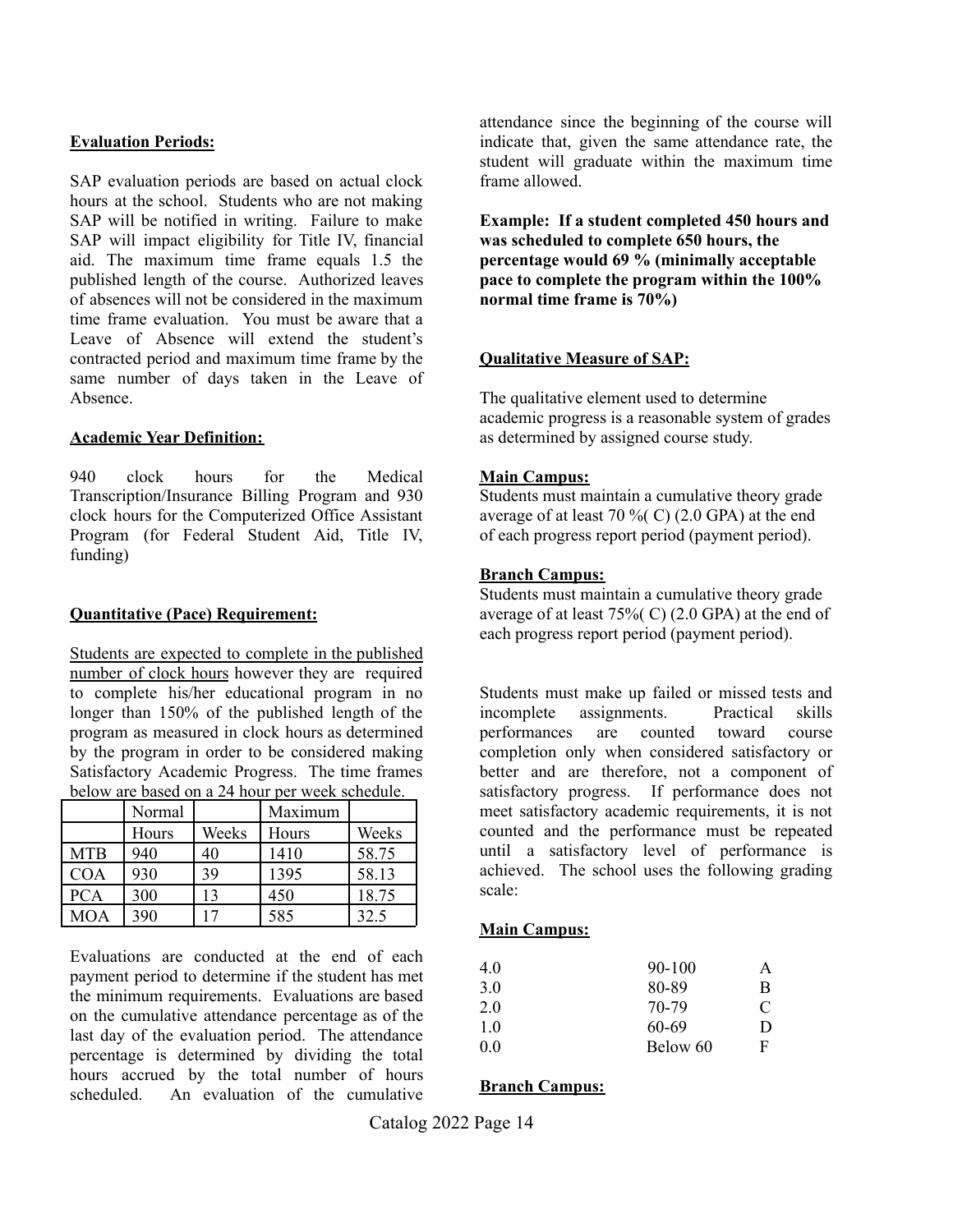### **Evaluation Periods:**

SAP evaluation periods are based on actual clock hours at the school. Students who are not making SAP will be notified in writing. Failure to make SAP will impact eligibility for Title IV, financial aid. The maximum time frame equals 1.5 the published length of the course. Authorized leaves of absences will not be considered in the maximum time frame evaluation. You must be aware that a Leave of Absence will extend the student's contracted period and maximum time frame by the same number of days taken in the Leave of Absence.

### **Academic Year Definition:**

940 clock hours for the Medical Transcription/Insurance Billing Program and 930 clock hours for the Computerized Office Assistant Program (for Federal Student Aid, Title IV, funding)

### **Quantitative (Pace) Requirement:**

Students are expected to complete in the published number of clock hours however they are required to complete his/her educational program in no longer than 150% of the published length of the program as measured in clock hours as determined by the program in order to be considered making Satisfactory Academic Progress. The time frames below are based on a 24 hour per week schedule.

|            | Normal |       | Maximum |       |
|------------|--------|-------|---------|-------|
|            | Hours  | Weeks | Hours   | Weeks |
| <b>MTB</b> | 940    | 40    | 1410    | 58.75 |
| <b>COA</b> | 930    | 39    | 1395    | 58.13 |
| <b>PCA</b> | 300    |       | 450     | 18.75 |
| <b>MOA</b> | 390    |       | 585     | 32.5  |

Evaluations are conducted at the end of each payment period to determine if the student has met the minimum requirements. Evaluations are based on the cumulative attendance percentage as of the last day of the evaluation period. The attendance percentage is determined by dividing the total hours accrued by the total number of hours scheduled. An evaluation of the cumulative

attendance since the beginning of the course will indicate that, given the same attendance rate, the student will graduate within the maximum time frame allowed.

**Example: If a student completed 450 hours and was scheduled to complete 650 hours, the percentage would 69 % (minimally acceptable pace to complete the program within the 100% normal time frame is 70%)**

### **Qualitative Measure of SAP:**

The qualitative element used to determine academic progress is a reasonable system of grades as determined by assigned course study.

### **Main Campus:**

Students must maintain a cumulative theory grade average of at least 70  $\%$  C) (2.0 GPA) at the end of each progress report period (payment period).

### **Branch Campus:**

Students must maintain a cumulative theory grade average of at least  $75\%$  (C) (2.0 GPA) at the end of each progress report period (payment period).

Students must make up failed or missed tests and incomplete assignments. Practical skills performances are counted toward course completion only when considered satisfactory or better and are therefore, not a component of satisfactory progress. If performance does not meet satisfactory academic requirements, it is not counted and the performance must be repeated until a satisfactory level of performance is achieved. The school uses the following grading scale:

### **Main Campus:**

| 4.0 | $90 - 100$ | A |
|-----|------------|---|
| 3.0 | 80-89      | B |
| 2.0 | 70-79      | C |
| 10  | 60-69      | D |
| 0.0 | Below 60   | F |

### **Branch Campus:**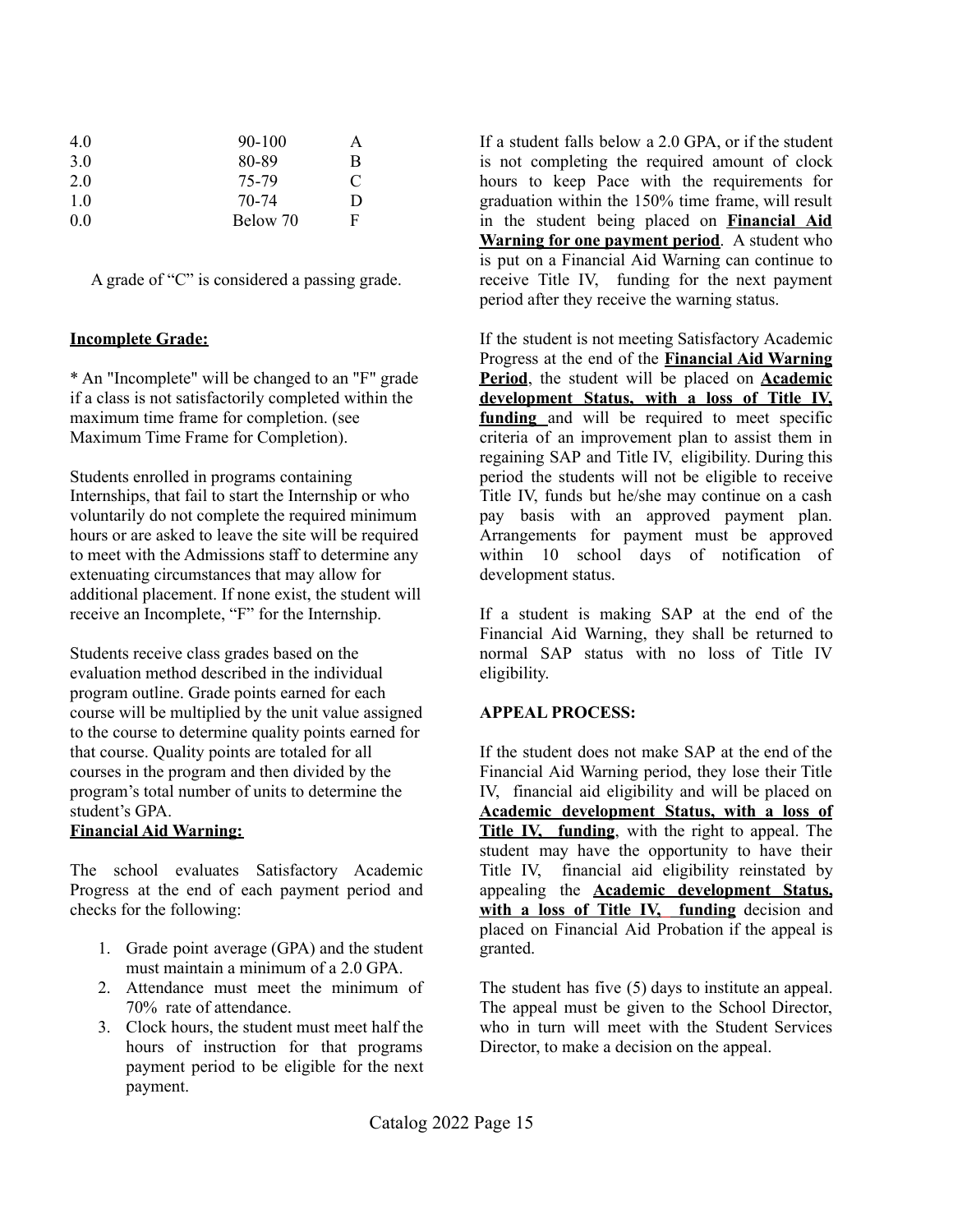| 4.0 | $90 - 100$ |   |
|-----|------------|---|
| 3.0 | 80-89      | B |
| 2.0 | 75-79      | C |
| 10  | 70-74      | Ð |
| 0.0 | Below 70   | F |

A grade of "C" is considered a passing grade.

### **Incomplete Grade:**

\* An "Incomplete" will be changed to an "F" grade if a class is not satisfactorily completed within the maximum time frame for completion. (see Maximum Time Frame for Completion).

Students enrolled in programs containing Internships, that fail to start the Internship or who voluntarily do not complete the required minimum hours or are asked to leave the site will be required to meet with the Admissions staff to determine any extenuating circumstances that may allow for additional placement. If none exist, the student will receive an Incomplete, "F" for the Internship.

Students receive class grades based on the evaluation method described in the individual program outline. Grade points earned for each course will be multiplied by the unit value assigned to the course to determine quality points earned for that course. Quality points are totaled for all courses in the program and then divided by the program's total number of units to determine the student's GPA.

### **Financial Aid Warning:**

The school evaluates Satisfactory Academic Progress at the end of each payment period and checks for the following:

- 1. Grade point average (GPA) and the student must maintain a minimum of a 2.0 GPA.
- 2. Attendance must meet the minimum of 70% rate of attendance.
- 3. Clock hours, the student must meet half the hours of instruction for that programs payment period to be eligible for the next payment.

If a student falls below a 2.0 GPA, or if the student is not completing the required amount of clock hours to keep Pace with the requirements for graduation within the 150% time frame, will result in the student being placed on **Financial Aid Warning for one payment period**. A student who is put on a Financial Aid Warning can continue to receive Title IV, funding for the next payment period after they receive the warning status.

If the student is not meeting Satisfactory Academic Progress at the end of the **Financial Aid Warning Period**, the student will be placed on **Academic development Status, with a loss of Title IV, funding** and will be required to meet specific criteria of an improvement plan to assist them in regaining SAP and Title IV, eligibility. During this period the students will not be eligible to receive Title IV, funds but he/she may continue on a cash pay basis with an approved payment plan. Arrangements for payment must be approved within 10 school days of notification of development status.

If a student is making SAP at the end of the Financial Aid Warning, they shall be returned to normal SAP status with no loss of Title IV eligibility.

### **APPEAL PROCESS:**

If the student does not make SAP at the end of the Financial Aid Warning period, they lose their Title IV, financial aid eligibility and will be placed on **Academic development Status, with a loss of Title IV, funding**, with the right to appeal. The student may have the opportunity to have their Title IV, financial aid eligibility reinstated by appealing the **Academic development Status, with a loss of Title IV, funding** decision and placed on Financial Aid Probation if the appeal is granted.

The student has five (5) days to institute an appeal. The appeal must be given to the School Director, who in turn will meet with the Student Services Director, to make a decision on the appeal.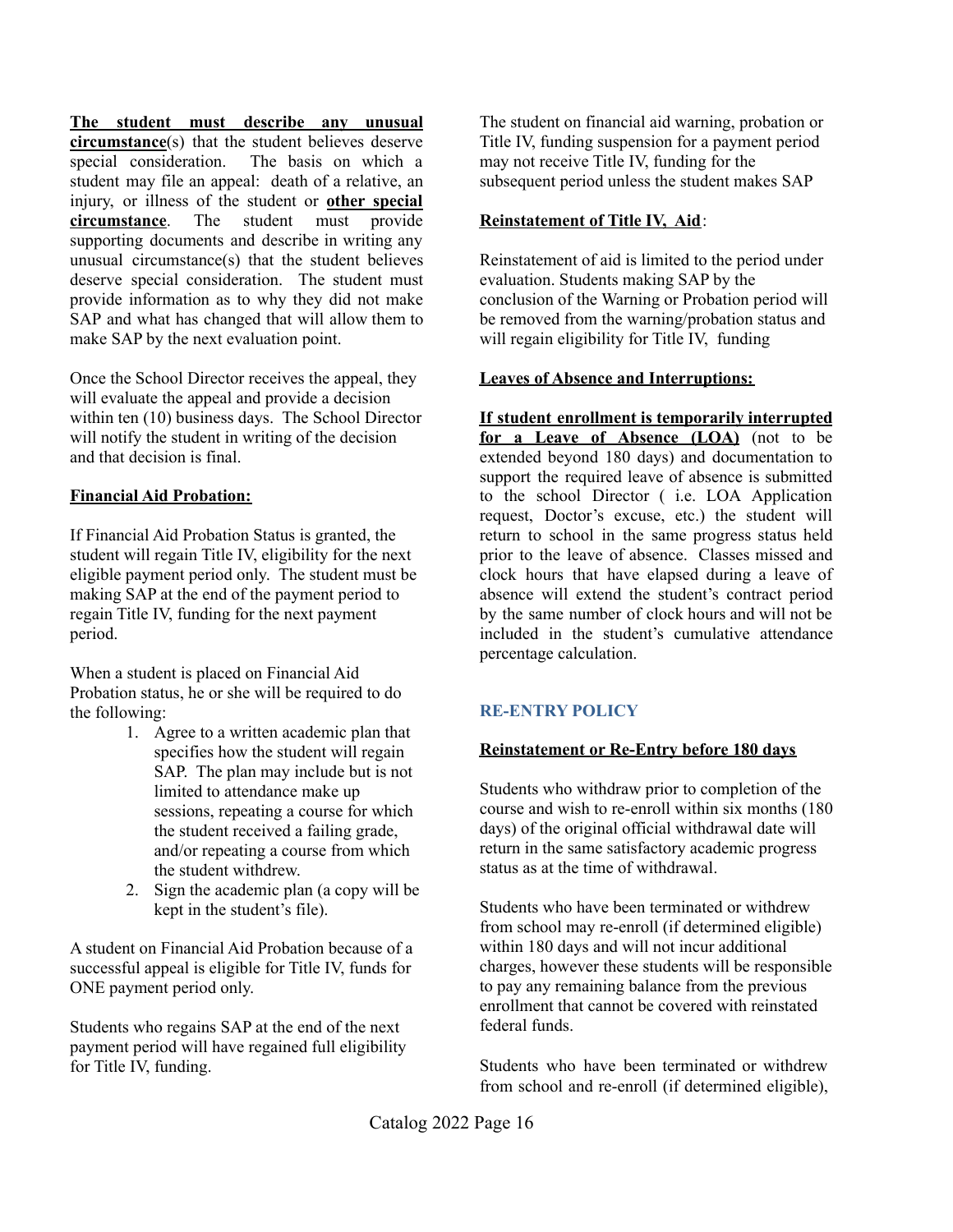**The student must describe any unusual circumstance**(s) that the student believes deserve special consideration. The basis on which a student may file an appeal: death of a relative, an injury, or illness of the student or **other special circumstance**. The student must provide supporting documents and describe in writing any unusual circumstance(s) that the student believes deserve special consideration. The student must provide information as to why they did not make SAP and what has changed that will allow them to make SAP by the next evaluation point.

Once the School Director receives the appeal, they will evaluate the appeal and provide a decision within ten (10) business days. The School Director will notify the student in writing of the decision and that decision is final.

### **Financial Aid Probation:**

If Financial Aid Probation Status is granted, the student will regain Title IV, eligibility for the next eligible payment period only. The student must be making SAP at the end of the payment period to regain Title IV, funding for the next payment period.

When a student is placed on Financial Aid Probation status, he or she will be required to do the following:

- 1. Agree to a written academic plan that specifies how the student will regain SAP. The plan may include but is not limited to attendance make up sessions, repeating a course for which the student received a failing grade, and/or repeating a course from which the student withdrew.
- 2. Sign the academic plan (a copy will be kept in the student's file).

A student on Financial Aid Probation because of a successful appeal is eligible for Title IV, funds for ONE payment period only.

Students who regains SAP at the end of the next payment period will have regained full eligibility for Title IV, funding.

The student on financial aid warning, probation or Title IV, funding suspension for a payment period may not receive Title IV, funding for the subsequent period unless the student makes SAP

### **Reinstatement of Title IV, Aid**:

Reinstatement of aid is limited to the period under evaluation. Students making SAP by the conclusion of the Warning or Probation period will be removed from the warning/probation status and will regain eligibility for Title IV, funding

### **Leaves of Absence and Interruptions:**

**If student enrollment is temporarily interrupted for a Leave of Absence (LOA)** (not to be extended beyond 180 days) and documentation to support the required leave of absence is submitted to the school Director ( i.e. LOA Application request, Doctor's excuse, etc.) the student will return to school in the same progress status held prior to the leave of absence. Classes missed and clock hours that have elapsed during a leave of absence will extend the student's contract period by the same number of clock hours and will not be included in the student's cumulative attendance percentage calculation.

## **RE-ENTRY POLICY**

### **Reinstatement or Re-Entry before 180 days**

Students who withdraw prior to completion of the course and wish to re-enroll within six months (180 days) of the original official withdrawal date will return in the same satisfactory academic progress status as at the time of withdrawal.

Students who have been terminated or withdrew from school may re-enroll (if determined eligible) within 180 days and will not incur additional charges, however these students will be responsible to pay any remaining balance from the previous enrollment that cannot be covered with reinstated federal funds.

Students who have been terminated or withdrew from school and re-enroll (if determined eligible),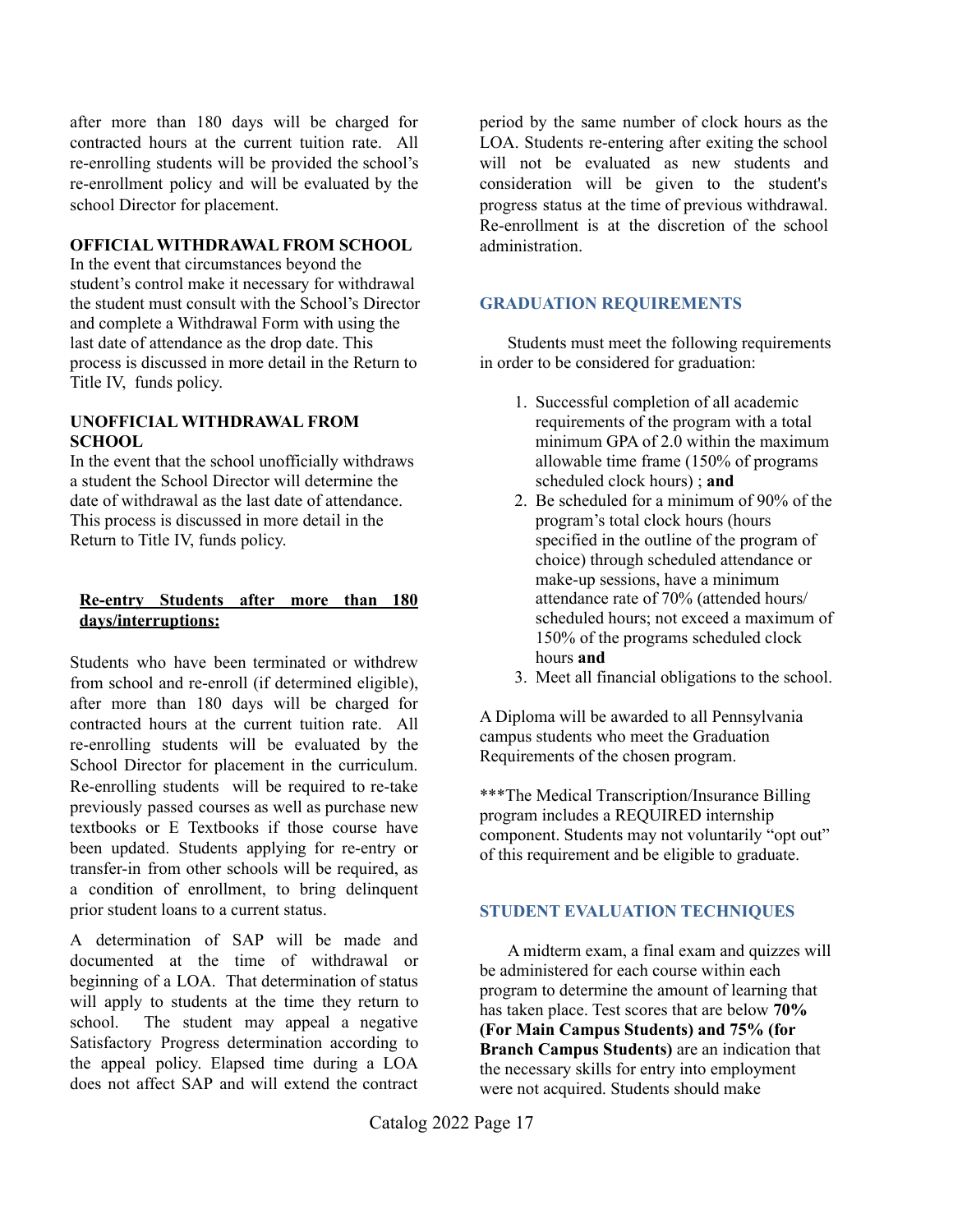after more than 180 days will be charged for contracted hours at the current tuition rate. All re-enrolling students will be provided the school's re-enrollment policy and will be evaluated by the school Director for placement.

### **OFFICIAL WITHDRAWAL FROM SCHOOL**

In the event that circumstances beyond the student's control make it necessary for withdrawal the student must consult with the School's Director and complete a Withdrawal Form with using the last date of attendance as the drop date. This process is discussed in more detail in the Return to Title IV, funds policy.

### **UNOFFICIAL WITHDRAWAL FROM SCHOOL**

In the event that the school unofficially withdraws a student the School Director will determine the date of withdrawal as the last date of attendance. This process is discussed in more detail in the Return to Title IV, funds policy.

### **Re-entry Students after more than 180 days/interruptions:**

Students who have been terminated or withdrew from school and re-enroll (if determined eligible), after more than 180 days will be charged for contracted hours at the current tuition rate. All re-enrolling students will be evaluated by the School Director for placement in the curriculum. Re-enrolling students will be required to re-take previously passed courses as well as purchase new textbooks or E Textbooks if those course have been updated. Students applying for re-entry or transfer-in from other schools will be required, as a condition of enrollment, to bring delinquent prior student loans to a current status.

A determination of SAP will be made and documented at the time of withdrawal or beginning of a LOA. That determination of status will apply to students at the time they return to school. The student may appeal a negative Satisfactory Progress determination according to the appeal policy. Elapsed time during a LOA does not affect SAP and will extend the contract

period by the same number of clock hours as the LOA. Students re-entering after exiting the school will not be evaluated as new students and consideration will be given to the student's progress status at the time of previous withdrawal. Re-enrollment is at the discretion of the school administration.

### **GRADUATION REQUIREMENTS**

Students must meet the following requirements in order to be considered for graduation:

- 1. Successful completion of all academic requirements of the program with a total minimum GPA of 2.0 within the maximum allowable time frame (150% of programs scheduled clock hours) ; **and**
- 2. Be scheduled for a minimum of 90% of the program's total clock hours (hours specified in the outline of the program of choice) through scheduled attendance or make-up sessions, have a minimum attendance rate of 70% (attended hours/ scheduled hours; not exceed a maximum of 150% of the programs scheduled clock hours **and**
- 3. Meet all financial obligations to the school.

A Diploma will be awarded to all Pennsylvania campus students who meet the Graduation Requirements of the chosen program.

\*\*\*The Medical Transcription/Insurance Billing program includes a REQUIRED internship component. Students may not voluntarily "opt out" of this requirement and be eligible to graduate.

## **STUDENT EVALUATION TECHNIQUES**

A midterm exam, a final exam and quizzes will be administered for each course within each program to determine the amount of learning that has taken place. Test scores that are below **70% (For Main Campus Students) and 75% (for Branch Campus Students)** are an indication that the necessary skills for entry into employment were not acquired. Students should make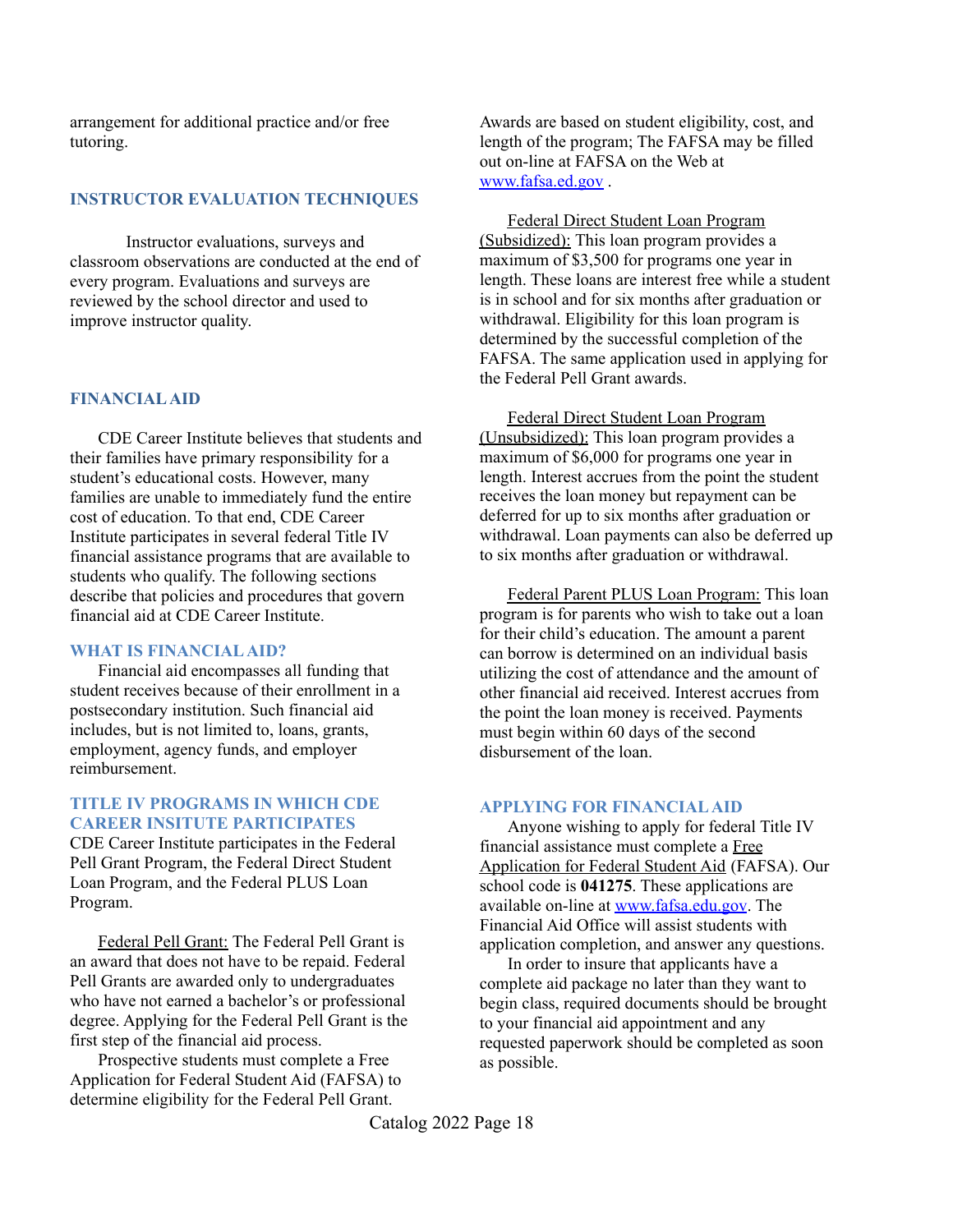arrangement for additional practice and/or free tutoring.

### **INSTRUCTOR EVALUATION TECHNIQUES**

Instructor evaluations, surveys and classroom observations are conducted at the end of every program. Evaluations and surveys are reviewed by the school director and used to improve instructor quality.

### **FINANCIALAID**

CDE Career Institute believes that students and their families have primary responsibility for a student's educational costs. However, many families are unable to immediately fund the entire cost of education. To that end, CDE Career Institute participates in several federal Title IV financial assistance programs that are available to students who qualify. The following sections describe that policies and procedures that govern financial aid at CDE Career Institute.

### **WHAT IS FINANCIALAID?**

Financial aid encompasses all funding that student receives because of their enrollment in a postsecondary institution. Such financial aid includes, but is not limited to, loans, grants, employment, agency funds, and employer reimbursement.

### **TITLE IV PROGRAMS IN WHICH CDE CAREER INSITUTE PARTICIPATES**

CDE Career Institute participates in the Federal Pell Grant Program, the Federal Direct Student Loan Program, and the Federal PLUS Loan Program.

Federal Pell Grant: The Federal Pell Grant is an award that does not have to be repaid. Federal Pell Grants are awarded only to undergraduates who have not earned a bachelor's or professional degree. Applying for the Federal Pell Grant is the first step of the financial aid process.

Prospective students must complete a Free Application for Federal Student Aid (FAFSA) to determine eligibility for the Federal Pell Grant.

Awards are based on student eligibility, cost, and length of the program; The FAFSA may be filled out on-line at FAFSA on the Web at [www.fafsa.ed.gov](http://www.fafsa.ed.gov) .

Federal Direct Student Loan Program (Subsidized): This loan program provides a maximum of \$3,500 for programs one year in length. These loans are interest free while a student is in school and for six months after graduation or withdrawal. Eligibility for this loan program is determined by the successful completion of the FAFSA. The same application used in applying for the Federal Pell Grant awards.

Federal Direct Student Loan Program (Unsubsidized): This loan program provides a maximum of \$6,000 for programs one year in length. Interest accrues from the point the student receives the loan money but repayment can be deferred for up to six months after graduation or withdrawal. Loan payments can also be deferred up to six months after graduation or withdrawal.

Federal Parent PLUS Loan Program: This loan program is for parents who wish to take out a loan for their child's education. The amount a parent can borrow is determined on an individual basis utilizing the cost of attendance and the amount of other financial aid received. Interest accrues from the point the loan money is received. Payments must begin within 60 days of the second disbursement of the loan.

### **APPLYING FOR FINANCIALAID**

Anyone wishing to apply for federal Title IV financial assistance must complete a Free Application for Federal Student Aid (FAFSA). Our school code is **041275**. These applications are available on-line at [www.fafsa.edu.gov](http://www.fafsa.edu.gov). The Financial Aid Office will assist students with application completion, and answer any questions.

In order to insure that applicants have a complete aid package no later than they want to begin class, required documents should be brought to your financial aid appointment and any requested paperwork should be completed as soon as possible.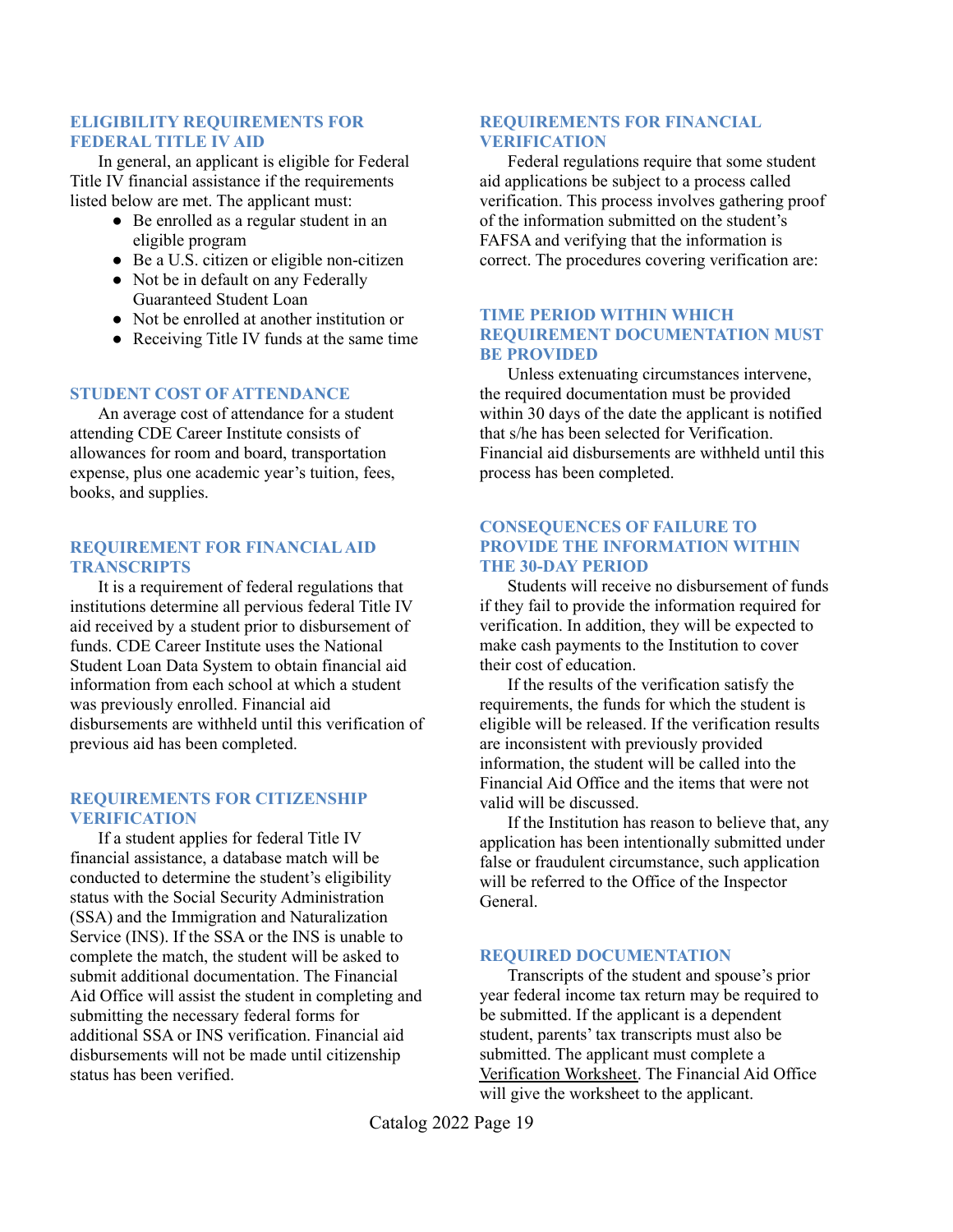### **ELIGIBILITY REQUIREMENTS FOR FEDERAL TITLE IV AID**

In general, an applicant is eligible for Federal Title IV financial assistance if the requirements listed below are met. The applicant must:

- Be enrolled as a regular student in an eligible program
- Be a U.S. citizen or eligible non-citizen
- Not be in default on any Federally Guaranteed Student Loan
- Not be enrolled at another institution or
- Receiving Title IV funds at the same time

### **STUDENT COST OF ATTENDANCE**

An average cost of attendance for a student attending CDE Career Institute consists of allowances for room and board, transportation expense, plus one academic year's tuition, fees, books, and supplies.

### **REQUIREMENT FOR FINANCIALAID TRANSCRIPTS**

It is a requirement of federal regulations that institutions determine all pervious federal Title IV aid received by a student prior to disbursement of funds. CDE Career Institute uses the National Student Loan Data System to obtain financial aid information from each school at which a student was previously enrolled. Financial aid disbursements are withheld until this verification of previous aid has been completed.

### **REQUIREMENTS FOR CITIZENSHIP VERIFICATION**

If a student applies for federal Title IV financial assistance, a database match will be conducted to determine the student's eligibility status with the Social Security Administration (SSA) and the Immigration and Naturalization Service (INS). If the SSA or the INS is unable to complete the match, the student will be asked to submit additional documentation. The Financial Aid Office will assist the student in completing and submitting the necessary federal forms for additional SSA or INS verification. Financial aid disbursements will not be made until citizenship status has been verified.

### **REQUIREMENTS FOR FINANCIAL VERIFICATION**

Federal regulations require that some student aid applications be subject to a process called verification. This process involves gathering proof of the information submitted on the student's FAFSA and verifying that the information is correct. The procedures covering verification are:

### **TIME PERIOD WITHIN WHICH REQUIREMENT DOCUMENTATION MUST BE PROVIDED**

Unless extenuating circumstances intervene, the required documentation must be provided within 30 days of the date the applicant is notified that s/he has been selected for Verification. Financial aid disbursements are withheld until this process has been completed.

### **CONSEQUENCES OF FAILURE TO PROVIDE THE INFORMATION WITHIN THE 30-DAY PERIOD**

Students will receive no disbursement of funds if they fail to provide the information required for verification. In addition, they will be expected to make cash payments to the Institution to cover their cost of education.

If the results of the verification satisfy the requirements, the funds for which the student is eligible will be released. If the verification results are inconsistent with previously provided information, the student will be called into the Financial Aid Office and the items that were not valid will be discussed.

If the Institution has reason to believe that, any application has been intentionally submitted under false or fraudulent circumstance, such application will be referred to the Office of the Inspector General.

### **REQUIRED DOCUMENTATION**

Transcripts of the student and spouse's prior year federal income tax return may be required to be submitted. If the applicant is a dependent student, parents' tax transcripts must also be submitted. The applicant must complete a Verification Worksheet. The Financial Aid Office will give the worksheet to the applicant.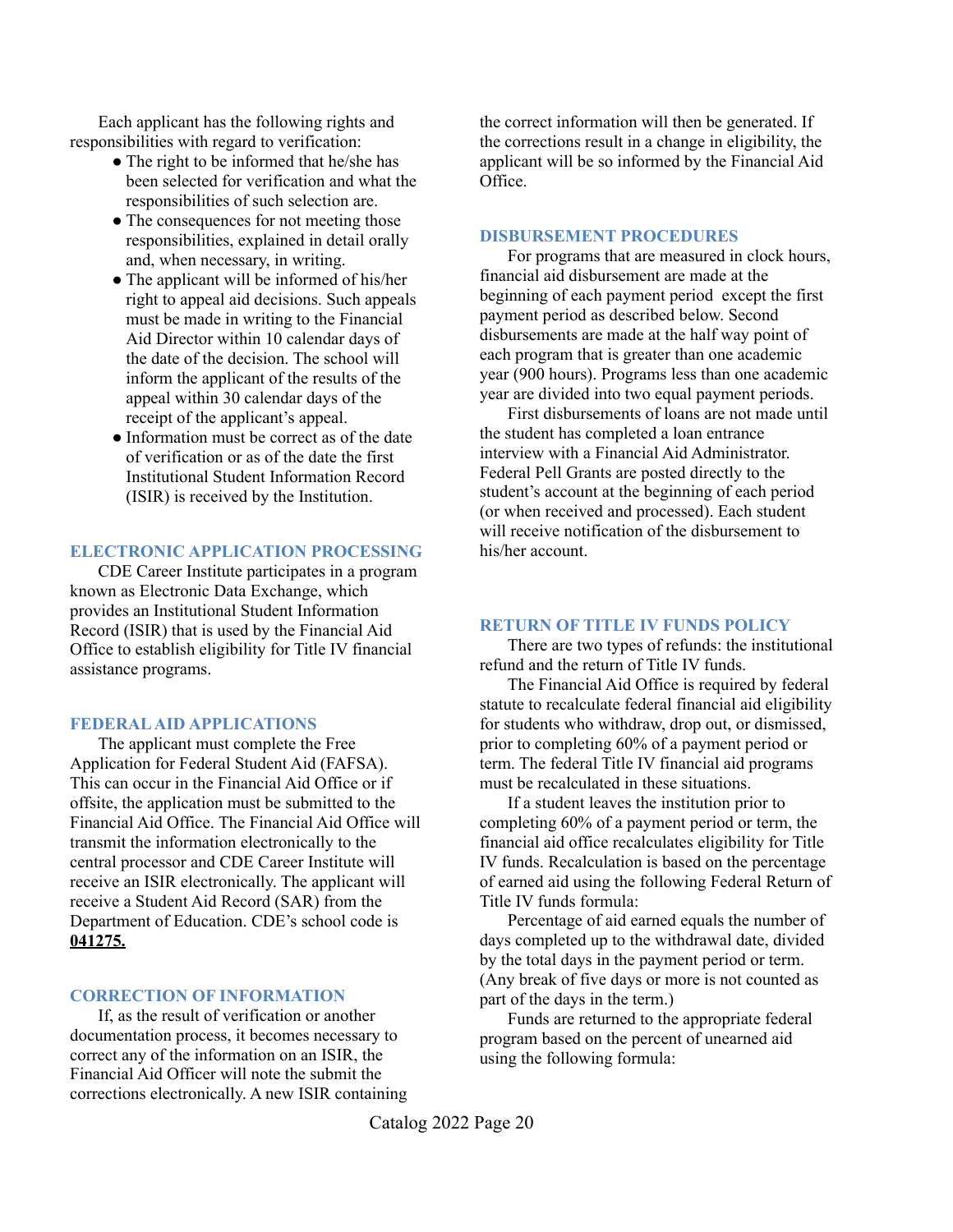Each applicant has the following rights and responsibilities with regard to verification:

- The right to be informed that he/she has been selected for verification and what the responsibilities of such selection are.
- The consequences for not meeting those responsibilities, explained in detail orally and, when necessary, in writing.
- The applicant will be informed of his/her right to appeal aid decisions. Such appeals must be made in writing to the Financial Aid Director within 10 calendar days of the date of the decision. The school will inform the applicant of the results of the appeal within 30 calendar days of the receipt of the applicant's appeal.
- Information must be correct as of the date of verification or as of the date the first Institutional Student Information Record (ISIR) is received by the Institution.

### **ELECTRONIC APPLICATION PROCESSING**

CDE Career Institute participates in a program known as Electronic Data Exchange, which provides an Institutional Student Information Record (ISIR) that is used by the Financial Aid Office to establish eligibility for Title IV financial assistance programs.

### **FEDERALAID APPLICATIONS**

The applicant must complete the Free Application for Federal Student Aid (FAFSA). This can occur in the Financial Aid Office or if offsite, the application must be submitted to the Financial Aid Office. The Financial Aid Office will transmit the information electronically to the central processor and CDE Career Institute will receive an ISIR electronically. The applicant will receive a Student Aid Record (SAR) from the Department of Education. CDE's school code is **041275.**

### **CORRECTION OF INFORMATION**

If, as the result of verification or another documentation process, it becomes necessary to correct any of the information on an ISIR, the Financial Aid Officer will note the submit the corrections electronically. A new ISIR containing the correct information will then be generated. If the corrections result in a change in eligibility, the applicant will be so informed by the Financial Aid Office.

### **DISBURSEMENT PROCEDURES**

For programs that are measured in clock hours, financial aid disbursement are made at the beginning of each payment period except the first payment period as described below. Second disbursements are made at the half way point of each program that is greater than one academic year (900 hours). Programs less than one academic year are divided into two equal payment periods.

First disbursements of loans are not made until the student has completed a loan entrance interview with a Financial Aid Administrator. Federal Pell Grants are posted directly to the student's account at the beginning of each period (or when received and processed). Each student will receive notification of the disbursement to his/her account.

### **RETURN OF TITLE IV FUNDS POLICY**

There are two types of refunds: the institutional refund and the return of Title IV funds.

The Financial Aid Office is required by federal statute to recalculate federal financial aid eligibility for students who withdraw, drop out, or dismissed, prior to completing 60% of a payment period or term. The federal Title IV financial aid programs must be recalculated in these situations.

If a student leaves the institution prior to completing 60% of a payment period or term, the financial aid office recalculates eligibility for Title IV funds. Recalculation is based on the percentage of earned aid using the following Federal Return of Title IV funds formula:

Percentage of aid earned equals the number of days completed up to the withdrawal date, divided by the total days in the payment period or term. (Any break of five days or more is not counted as part of the days in the term.)

Funds are returned to the appropriate federal program based on the percent of unearned aid using the following formula: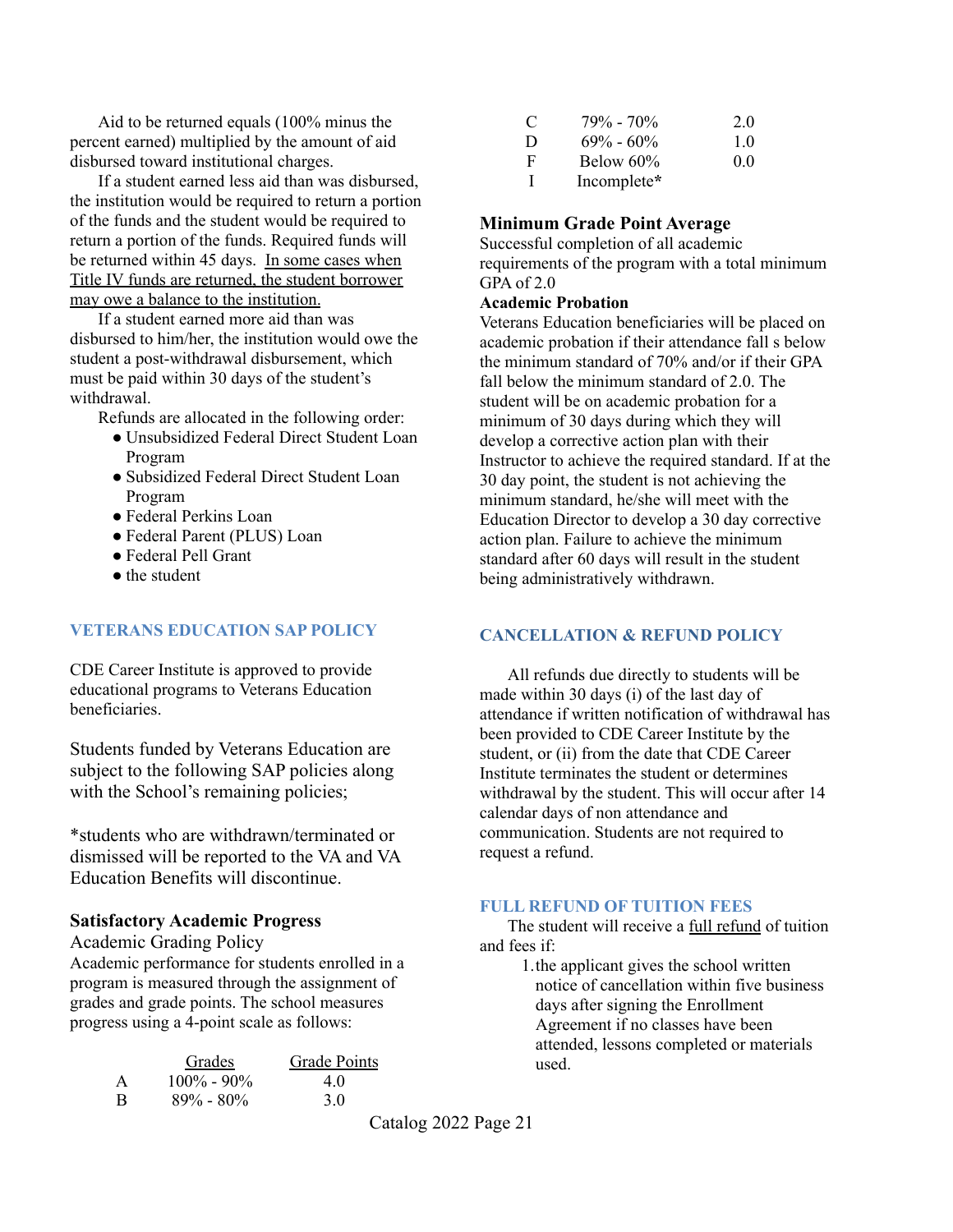A  $100\% - 90\%$  4.0 B  $89\% - 80\%$  3.0

\*students who are withdrawn/terminated or dismissed will be reported to the VA and VA Education Benefits will discontinue.

Academic performance for students enrolled in a program is measured through the assignment of grades and grade points. The school measures progress using a 4-point scale as follows:

Grades Grade Points

**Satisfactory Academic Progress**

Academic Grading Policy

with the School's remaining policies;

Students funded by Veterans Education are subject to the following SAP policies along

CDE Career Institute is approved to provide educational programs to Veterans Education beneficiaries.

● Federal Pell Grant • the student

Program

Aid to be returned equals (100% minus the percent earned) multiplied by the amount of aid

If a student earned less aid than was disbursed, the institution would be required to return a portion of the funds and the student would be required to return a portion of the funds. Required funds will be returned within 45 days. In some cases when Title IV funds are returned, the student borrower

disbursed toward institutional charges.

may owe a balance to the institution.

If a student earned more aid than was disbursed to him/her, the institution would owe the student a post-withdrawal disbursement, which must be paid within 30 days of the student's

● Unsubsidized Federal Direct Student Loan

Refunds are allocated in the following order:

- Subsidized Federal Direct Student Loan
- 
- 
- 
- Program

withdrawal.

- Federal Perkins Loan
- Federal Parent (PLUS) Loan
- 

# **VETERANS EDUCATION SAP POLICY**

Veterans Education beneficiaries will be placed on academic probation if their attendance fall s below

the minimum standard of 70% and/or if their GPA fall below the minimum standard of 2.0. The student will be on academic probation for a minimum of 30 days during which they will develop a corrective action plan with their Instructor to achieve the required standard. If at the 30 day point, the student is not achieving the minimum standard, he/she will meet with the Education Director to develop a 30 day corrective action plan. Failure to achieve the minimum standard after 60 days will result in the student being administratively withdrawn.

requirements of the program with a total minimum

## **CANCELLATION & REFUND POLICY**

All refunds due directly to students will be made within 30 days (i) of the last day of attendance if written notification of withdrawal has been provided to CDE Career Institute by the student, or (ii) from the date that CDE Career Institute terminates the student or determines withdrawal by the student. This will occur after 14 calendar days of non attendance and communication. Students are not required to request a refund.

## **FULL REFUND OF TUITION FEES**

The student will receive a full refund of tuition and fees if:

1.the applicant gives the school written notice of cancellation within five business days after signing the Enrollment Agreement if no classes have been attended, lessons completed or materials used.

Catalog 2022 Page 21

C  $79\% - 70\%$  2.0 D  $69\% - 60\%$  1.0  $F =$  Below 60% 0.0 I Incomplete**\***

**Minimum Grade Point Average** Successful completion of all academic

GPA of 2.0

**Academic Probation**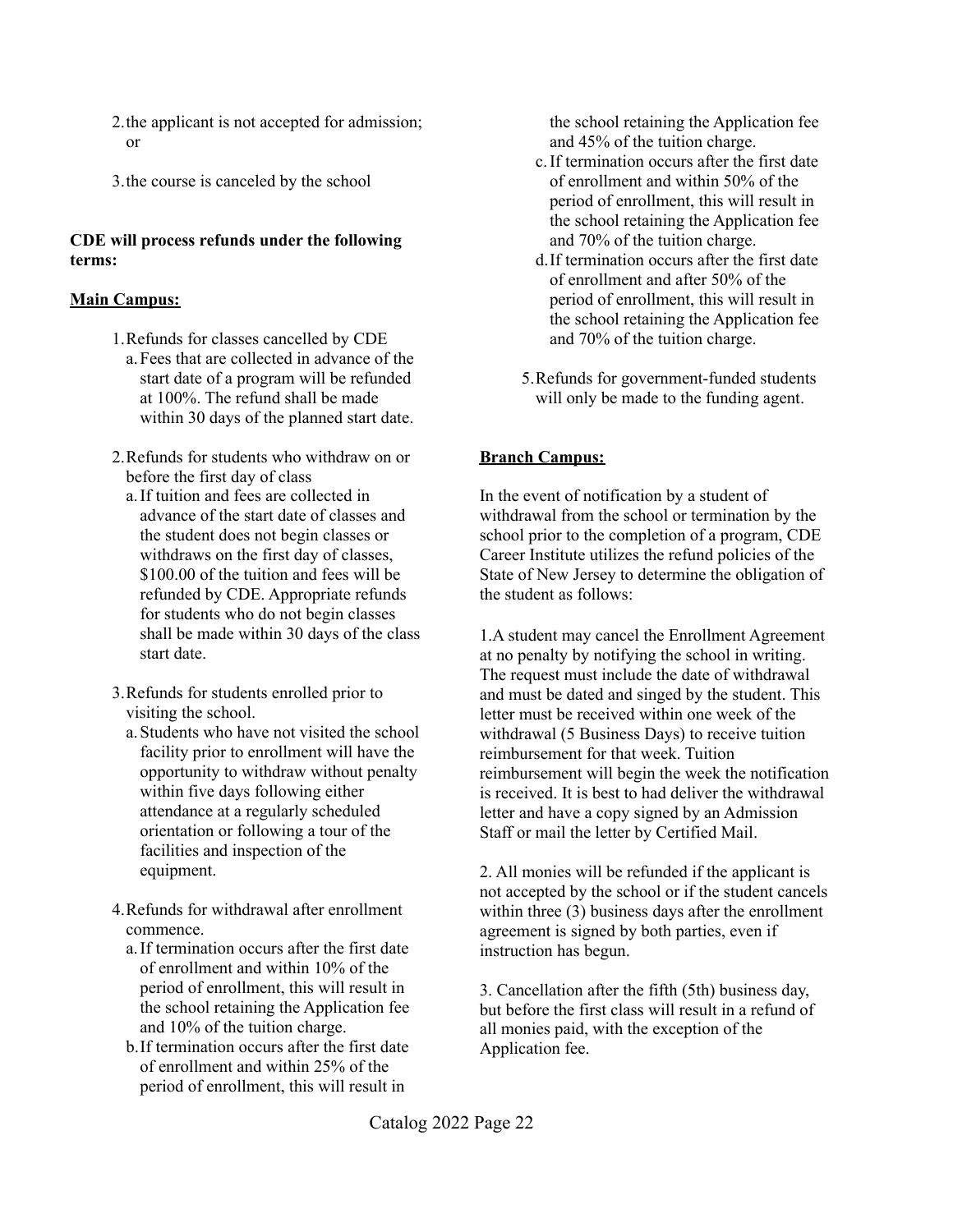- 2.the applicant is not accepted for admission; or
- 3.the course is canceled by the school

### **CDE will process refunds under the following terms:**

### **Main Campus:**

- 1.Refunds for classes cancelled by CDE a.Fees that are collected in advance of the start date of a program will be refunded at 100%. The refund shall be made within 30 days of the planned start date.
- 2.Refunds for students who withdraw on or before the first day of class
	- a.If tuition and fees are collected in advance of the start date of classes and the student does not begin classes or withdraws on the first day of classes, \$100.00 of the tuition and fees will be refunded by CDE. Appropriate refunds for students who do not begin classes shall be made within 30 days of the class start date.
- 3.Refunds for students enrolled prior to visiting the school.
	- a.Students who have not visited the school facility prior to enrollment will have the opportunity to withdraw without penalty within five days following either attendance at a regularly scheduled orientation or following a tour of the facilities and inspection of the equipment.
- 4.Refunds for withdrawal after enrollment commence.
	- a.If termination occurs after the first date of enrollment and within 10% of the period of enrollment, this will result in the school retaining the Application fee and 10% of the tuition charge.
	- b.If termination occurs after the first date of enrollment and within 25% of the period of enrollment, this will result in

the school retaining the Application fee and 45% of the tuition charge.

- c.If termination occurs after the first date of enrollment and within 50% of the period of enrollment, this will result in the school retaining the Application fee and 70% of the tuition charge.
- d.If termination occurs after the first date of enrollment and after 50% of the period of enrollment, this will result in the school retaining the Application fee and 70% of the tuition charge.
- 5.Refunds for government-funded students will only be made to the funding agent.

## **Branch Campus:**

In the event of notification by a student of withdrawal from the school or termination by the school prior to the completion of a program, CDE Career Institute utilizes the refund policies of the State of New Jersey to determine the obligation of the student as follows:

1.A student may cancel the Enrollment Agreement at no penalty by notifying the school in writing. The request must include the date of withdrawal and must be dated and singed by the student. This letter must be received within one week of the withdrawal (5 Business Days) to receive tuition reimbursement for that week. Tuition reimbursement will begin the week the notification is received. It is best to had deliver the withdrawal letter and have a copy signed by an Admission Staff or mail the letter by Certified Mail.

2. All monies will be refunded if the applicant is not accepted by the school or if the student cancels within three (3) business days after the enrollment agreement is signed by both parties, even if instruction has begun.

3. Cancellation after the fifth (5th) business day, but before the first class will result in a refund of all monies paid, with the exception of the Application fee.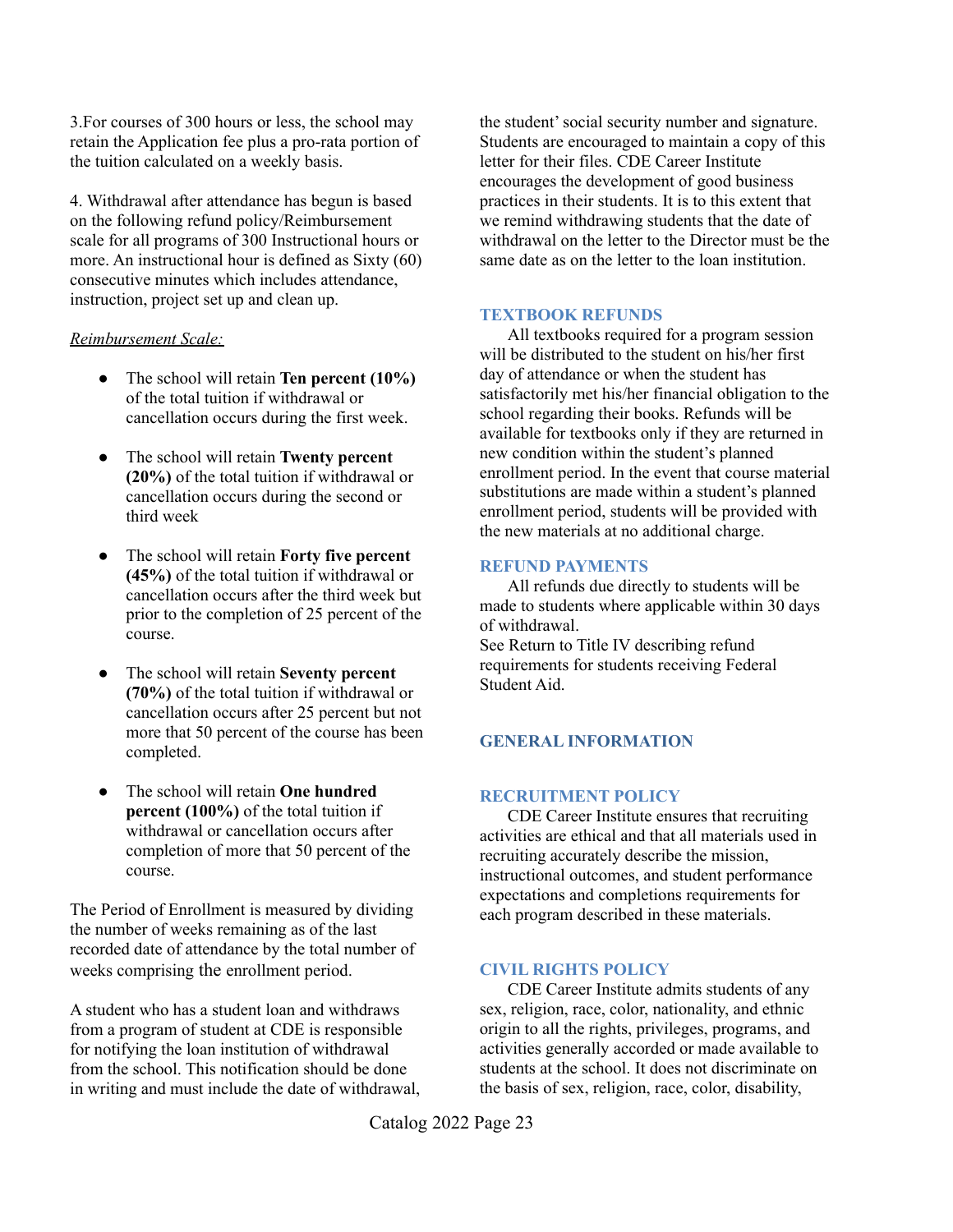3.For courses of 300 hours or less, the school may retain the Application fee plus a pro-rata portion of the tuition calculated on a weekly basis.

4. Withdrawal after attendance has begun is based on the following refund policy/Reimbursement scale for all programs of 300 Instructional hours or more. An instructional hour is defined as Sixty (60) consecutive minutes which includes attendance, instruction, project set up and clean up.

### *Reimbursement Scale:*

- The school will retain **Ten percent (10%)** of the total tuition if withdrawal or cancellation occurs during the first week.
- The school will retain **Twenty percent (20%)** of the total tuition if withdrawal or cancellation occurs during the second or third week
- The school will retain **Forty five percent (45%)** of the total tuition if withdrawal or cancellation occurs after the third week but prior to the completion of 25 percent of the course.
- The school will retain **Seventy percent (70%)** of the total tuition if withdrawal or cancellation occurs after 25 percent but not more that 50 percent of the course has been completed.
- The school will retain **One hundred percent (100%)** of the total tuition if withdrawal or cancellation occurs after completion of more that 50 percent of the course.

The Period of Enrollment is measured by dividing the number of weeks remaining as of the last recorded date of attendance by the total number of weeks comprising the enrollment period.

A student who has a student loan and withdraws from a program of student at CDE is responsible for notifying the loan institution of withdrawal from the school. This notification should be done in writing and must include the date of withdrawal, the student'social security number and signature. Students are encouraged to maintain a copy of this letter for their files. CDE Career Institute encourages the development of good business practices in their students. It is to this extent that we remind withdrawing students that the date of withdrawal on the letter to the Director must be the same date as on the letter to the loan institution.

### **TEXTBOOK REFUNDS**

All textbooks required for a program session will be distributed to the student on his/her first day of attendance or when the student has satisfactorily met his/her financial obligation to the school regarding their books. Refunds will be available for textbooks only if they are returned in new condition within the student's planned enrollment period. In the event that course material substitutions are made within a student's planned enrollment period, students will be provided with the new materials at no additional charge.

### **REFUND PAYMENTS**

All refunds due directly to students will be made to students where applicable within 30 days of withdrawal. See Return to Title IV describing refund requirements for students receiving Federal Student Aid.

### **GENERAL INFORMATION**

### **RECRUITMENT POLICY**

CDE Career Institute ensures that recruiting activities are ethical and that all materials used in recruiting accurately describe the mission, instructional outcomes, and student performance expectations and completions requirements for each program described in these materials.

### **CIVIL RIGHTS POLICY**

CDE Career Institute admits students of any sex, religion, race, color, nationality, and ethnic origin to all the rights, privileges, programs, and activities generally accorded or made available to students at the school. It does not discriminate on the basis of sex, religion, race, color, disability,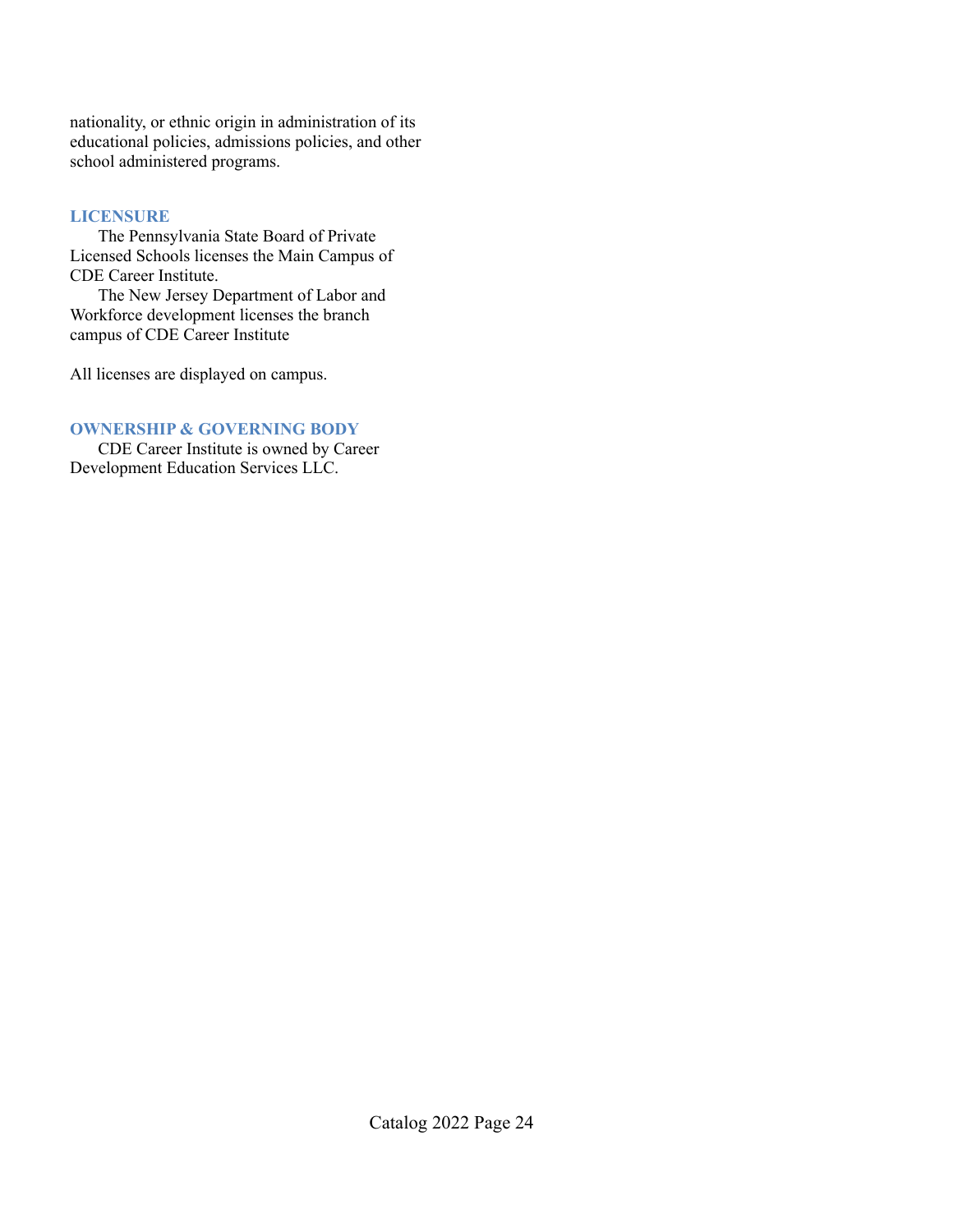nationality, or ethnic origin in administration of its educational policies, admissions policies, and other school administered programs.

### **LICENSURE**

The Pennsylvania State Board of Private Licensed Schools licenses the Main Campus of CDE Career Institute.

The New Jersey Department of Labor and Workforce development licenses the branch campus of CDE Career Institute

All licenses are displayed on campus.

### **OWNERSHIP & GOVERNING BODY**

CDE Career Institute is owned by Career Development Education Services LLC.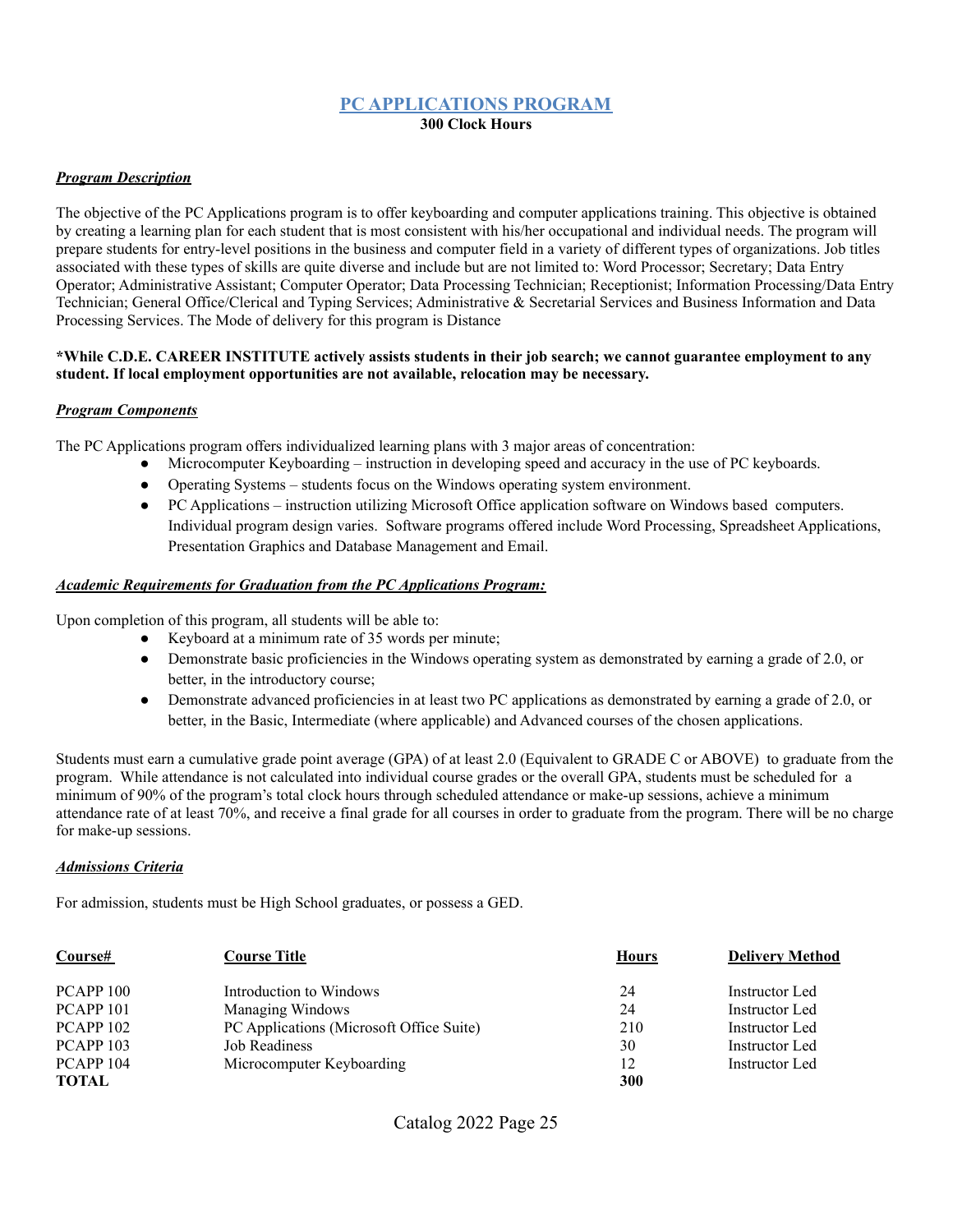### **PC APPLICATIONS PROGRAM 300 Clock Hours**

### *Program Description*

The objective of the PC Applications program is to offer keyboarding and computer applications training. This objective is obtained by creating a learning plan for each student that is most consistent with his/her occupational and individual needs. The program will prepare students for entry-level positions in the business and computer field in a variety of different types of organizations. Job titles associated with these types of skills are quite diverse and include but are not limited to: Word Processor; Secretary; Data Entry Operator; Administrative Assistant; Computer Operator; Data Processing Technician; Receptionist; Information Processing/Data Entry Technician; General Office/Clerical and Typing Services; Administrative & Secretarial Services and Business Information and Data Processing Services. The Mode of delivery for this program is Distance

#### \*While C.D.E. CAREER INSTITUTE actively assists students in their job search; we cannot guarantee employment to any **student. If local employment opportunities are not available, relocation may be necessary.**

### *Program Components*

The PC Applications program offers individualized learning plans with 3 major areas of concentration:

- Microcomputer Keyboarding instruction in developing speed and accuracy in the use of PC keyboards.
- Operating Systems students focus on the Windows operating system environment.
- PC Applications instruction utilizing Microsoft Office application software on Windows based computers. Individual program design varies. Software programs offered include Word Processing, Spreadsheet Applications, Presentation Graphics and Database Management and Email.

#### *Academic Requirements for Graduation from the PC Applications Program:*

Upon completion of this program, all students will be able to:

- Keyboard at a minimum rate of 35 words per minute;
- Demonstrate basic proficiencies in the Windows operating system as demonstrated by earning a grade of 2.0, or better, in the introductory course;
- Demonstrate advanced proficiencies in at least two PC applications as demonstrated by earning a grade of 2.0, or better, in the Basic, Intermediate (where applicable) and Advanced courses of the chosen applications.

Students must earn a cumulative grade point average (GPA) of at least 2.0 (Equivalent to GRADE C or ABOVE) to graduate from the program. While attendance is not calculated into individual course grades or the overall GPA, students must be scheduled for a minimum of 90% of the program's total clock hours through scheduled attendance or make-up sessions, achieve a minimum attendance rate of at least 70%, and receive a final grade for all courses in order to graduate from the program. There will be no charge for make-up sessions.

### *Admissions Criteria*

For admission, students must be High School graduates, or possess a GED.

| Course#              | Course Title                             | <b>Hours</b> | <b>Delivery Method</b> |
|----------------------|------------------------------------------|--------------|------------------------|
| PCAPP <sub>100</sub> | Introduction to Windows                  | 24           | Instructor Led         |
| PCAPP <sub>101</sub> | Managing Windows                         | 24           | Instructor Led         |
| PCAPP <sub>102</sub> | PC Applications (Microsoft Office Suite) | 210          | Instructor Led         |
| PCAPP <sub>103</sub> | Job Readiness                            | 30           | Instructor Led         |
| PCAPP <sub>104</sub> | Microcomputer Keyboarding                | 12           | Instructor Led         |
| <b>TOTAL</b>         |                                          | 300          |                        |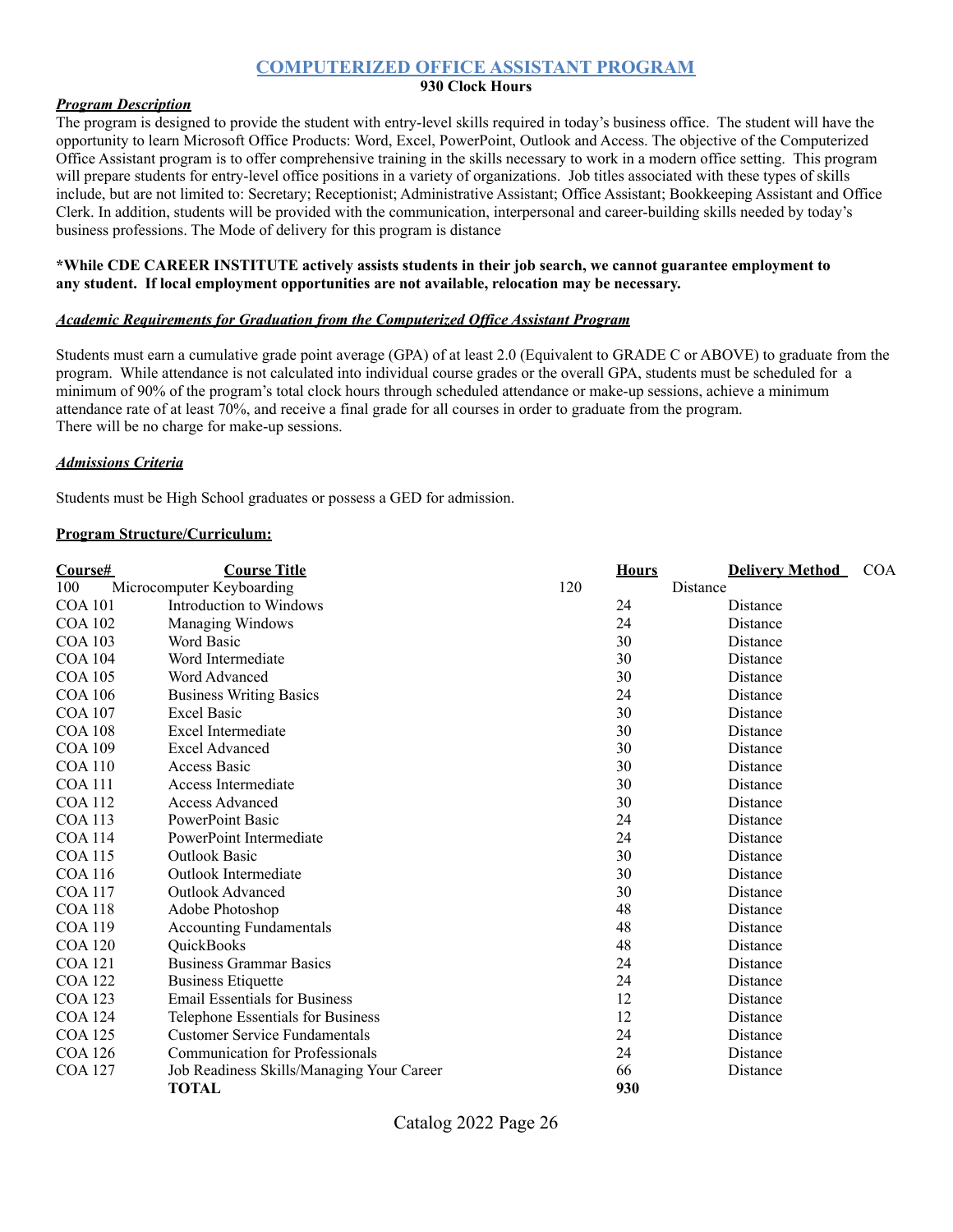### **COMPUTERIZED OFFICE ASSISTANT PROGRAM**

### **930 Clock Hours**

### *Program Description*

The program is designed to provide the student with entry-level skills required in today's business office. The student will have the opportunity to learn Microsoft Office Products: Word, Excel, PowerPoint, Outlook and Access. The objective of the Computerized Office Assistant program is to offer comprehensive training in the skills necessary to work in a modern office setting. This program will prepare students for entry-level office positions in a variety of organizations. Job titles associated with these types of skills include, but are not limited to: Secretary; Receptionist; Administrative Assistant; Office Assistant; Bookkeeping Assistant and Office Clerk. In addition, students will be provided with the communication, interpersonal and career-building skills needed by today's business professions. The Mode of delivery for this program is distance

### **\*While CDE CAREER INSTITUTE actively assists students in their job search, we cannot guarantee employment to any student. If local employment opportunities are not available, relocation may be necessary.**

### *Academic Requirements for Graduation from the Computerized Of ice Assistant Program*

Students must earn a cumulative grade point average (GPA) of at least 2.0 (Equivalent to GRADE C or ABOVE) to graduate from the program. While attendance is not calculated into individual course grades or the overall GPA, students must be scheduled for a minimum of 90% of the program's total clock hours through scheduled attendance or make-up sessions, achieve a minimum attendance rate of at least 70%, and receive a final grade for all courses in order to graduate from the program. There will be no charge for make-up sessions.

#### *Admissions Criteria*

Students must be High School graduates or possess a GED for admission.

#### **Program Structure/Curriculum:**

| Course#        | <b>Course Title</b>                       | <b>Hours</b> | <b>Delivery Method</b><br><b>COA</b> |
|----------------|-------------------------------------------|--------------|--------------------------------------|
| 100            | Microcomputer Keyboarding                 | 120          | Distance                             |
| <b>COA 101</b> | Introduction to Windows                   | 24           | Distance                             |
| <b>COA 102</b> | Managing Windows                          | 24           | Distance                             |
| <b>COA 103</b> | Word Basic                                | 30           | Distance                             |
| <b>COA 104</b> | Word Intermediate                         | 30           | Distance                             |
| <b>COA 105</b> | Word Advanced                             | 30           | Distance                             |
| <b>COA 106</b> | <b>Business Writing Basics</b>            | 24           | Distance                             |
| <b>COA 107</b> | <b>Excel Basic</b>                        | 30           | Distance                             |
| <b>COA 108</b> | Excel Intermediate                        | 30           | Distance                             |
| <b>COA 109</b> | <b>Excel Advanced</b>                     | 30           | Distance                             |
| <b>COA 110</b> | <b>Access Basic</b>                       | 30           | Distance                             |
| <b>COA</b> 111 | Access Intermediate                       | 30           | Distance                             |
| <b>COA 112</b> | <b>Access Advanced</b>                    | 30           | Distance                             |
| <b>COA 113</b> | PowerPoint Basic                          | 24           | Distance                             |
| <b>COA 114</b> | PowerPoint Intermediate                   | 24           | Distance                             |
| <b>COA115</b>  | <b>Outlook Basic</b>                      | 30           | Distance                             |
| <b>COA 116</b> | Outlook Intermediate                      | 30           | Distance                             |
| <b>COA 117</b> | <b>Outlook Advanced</b>                   | 30           | Distance                             |
| <b>COA 118</b> | Adobe Photoshop                           | 48           | Distance                             |
| <b>COA 119</b> | <b>Accounting Fundamentals</b>            | 48           | Distance                             |
| <b>COA 120</b> | QuickBooks                                | 48           | Distance                             |
| <b>COA 121</b> | <b>Business Grammar Basics</b>            | 24           | Distance                             |
| <b>COA 122</b> | <b>Business Etiquette</b>                 | 24           | Distance                             |
| <b>COA 123</b> | <b>Email Essentials for Business</b>      | 12           | Distance                             |
| <b>COA 124</b> | Telephone Essentials for Business         | 12           | Distance                             |
| <b>COA 125</b> | <b>Customer Service Fundamentals</b>      | 24           | Distance                             |
| <b>COA 126</b> | <b>Communication for Professionals</b>    | 24           | Distance                             |
| <b>COA 127</b> | Job Readiness Skills/Managing Your Career | 66           | Distance                             |
|                | <b>TOTAL</b>                              | 930          |                                      |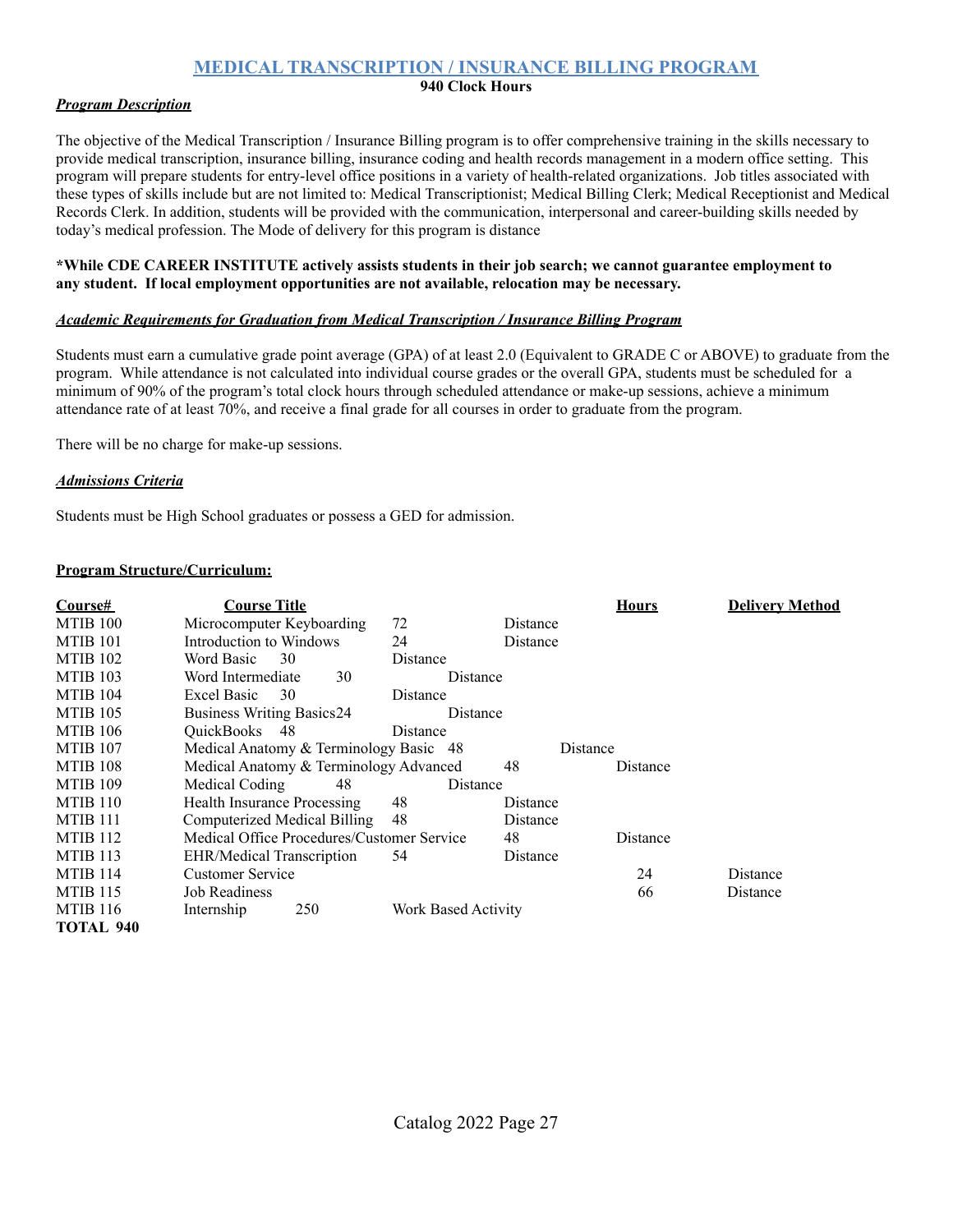### **MEDICAL TRANSCRIPTION / INSURANCE BILLING PROGRAM**

### **940 Clock Hours**

### *Program Description*

The objective of the Medical Transcription / Insurance Billing program is to offer comprehensive training in the skills necessary to provide medical transcription, insurance billing, insurance coding and health records management in a modern office setting. This program will prepare students for entry-level office positions in a variety of health-related organizations. Job titles associated with these types of skills include but are not limited to: Medical Transcriptionist; Medical Billing Clerk; Medical Receptionist and Medical Records Clerk. In addition, students will be provided with the communication, interpersonal and career-building skills needed by today's medical profession. The Mode of delivery for this program is distance

### **\*While CDE CAREER INSTITUTE actively assists students in their job search; we cannot guarantee employment to any student. If local employment opportunities are not available, relocation may be necessary.**

### *Academic Requirements for Graduation from Medical Transcription / Insurance Billing Program*

Students must earn a cumulative grade point average (GPA) of at least 2.0 (Equivalent to GRADE C or ABOVE) to graduate from the program. While attendance is not calculated into individual course grades or the overall GPA, students must be scheduled for a minimum of 90% of the program's total clock hours through scheduled attendance or make-up sessions, achieve a minimum attendance rate of at least 70%, and receive a final grade for all courses in order to graduate from the program.

There will be no charge for make-up sessions.

### *Admissions Criteria*

Students must be High School graduates or possess a GED for admission.

| Course#             | <b>Course Title</b>                        |                     |          | <b>Hours</b> | <b>Delivery Method</b> |
|---------------------|--------------------------------------------|---------------------|----------|--------------|------------------------|
| MTIB 100            | Microcomputer Keyboarding                  | 72                  | Distance |              |                        |
| MTIB <sub>101</sub> | Introduction to Windows                    | 24                  | Distance |              |                        |
| MTIB <sub>102</sub> | Word Basic<br>30                           | Distance            |          |              |                        |
| MTIB <sub>103</sub> | Word Intermediate<br>30                    | Distance            |          |              |                        |
| MTIB 104            | Excel Basic<br>30                          | Distance            |          |              |                        |
| MTIB 105            | <b>Business Writing Basics24</b>           | Distance            |          |              |                        |
| <b>MTIB 106</b>     | QuickBooks 48                              | Distance            |          |              |                        |
| MTIB <sub>107</sub> | Medical Anatomy & Terminology Basic 48     |                     |          | Distance     |                        |
| MTIB 108            | Medical Anatomy & Terminology Advanced     |                     | 48       | Distance     |                        |
| MTIB <sub>109</sub> | Medical Coding<br>48                       | Distance            |          |              |                        |
| MTIB 110            | <b>Health Insurance Processing</b>         | 48                  | Distance |              |                        |
| MTIB 111            | Computerized Medical Billing               | 48                  | Distance |              |                        |
| MTIB <sub>112</sub> | Medical Office Procedures/Customer Service |                     | 48       | Distance     |                        |
| MTIB <sub>113</sub> | <b>EHR/Medical Transcription</b>           | 54                  | Distance |              |                        |
| MTIB 114            | Customer Service                           |                     |          | 24           | <b>Distance</b>        |
| <b>MTIB 115</b>     | <b>Job Readiness</b>                       |                     |          | 66           | Distance               |
| <b>MTIB</b> 116     | 250<br>Internship                          | Work Based Activity |          |              |                        |
| TOTAL 940           |                                            |                     |          |              |                        |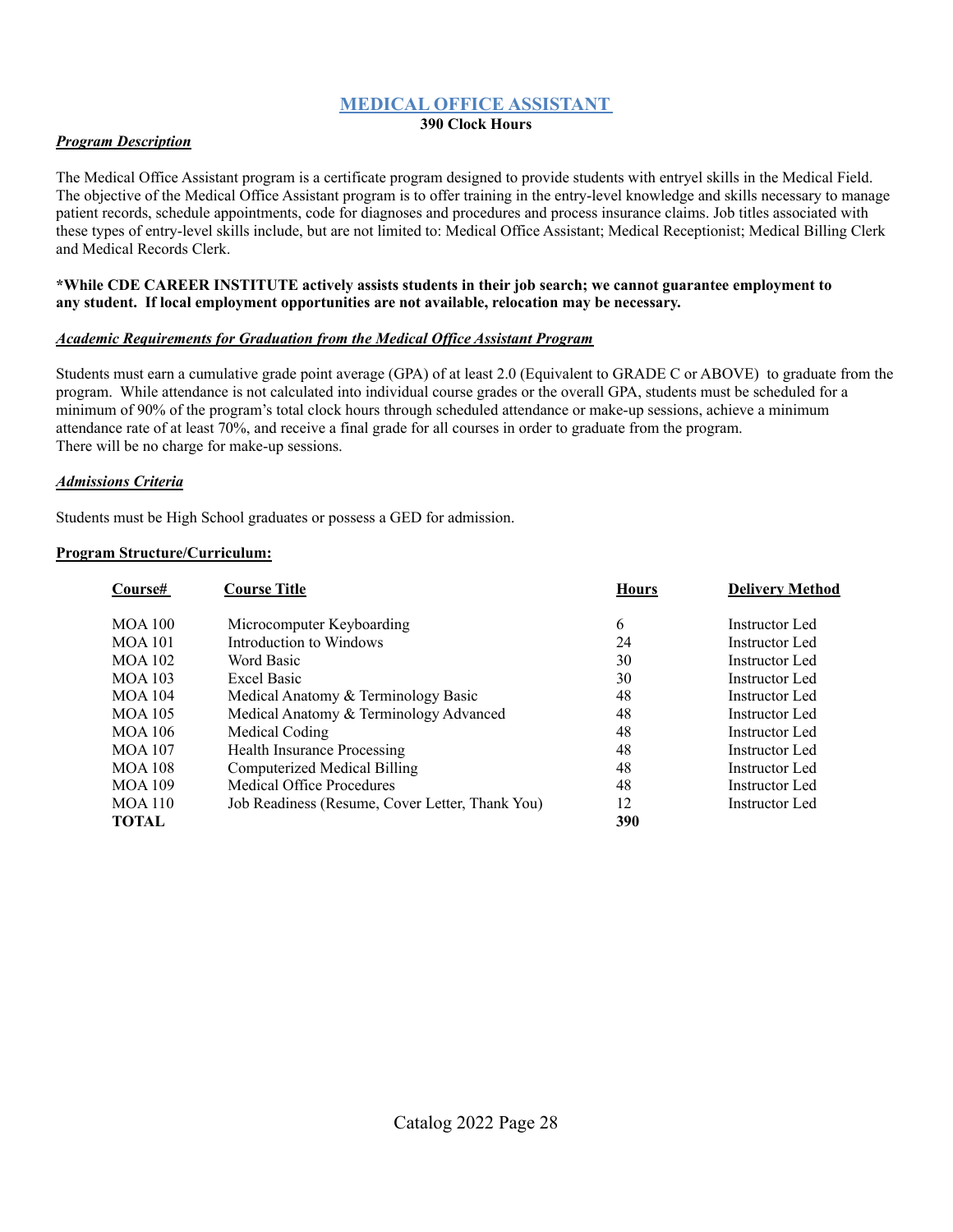### **MEDICAL OFFICE ASSISTANT**

#### **390 Clock Hours**

### *Program Description*

The Medical Office Assistant program is a certificate program designed to provide students with entryel skills in the Medical Field. The objective of the Medical Office Assistant program is to offer training in the entry-level knowledge and skills necessary to manage patient records, schedule appointments, code for diagnoses and procedures and process insurance claims. Job titles associated with these types of entry-level skills include, but are not limited to: Medical Office Assistant; Medical Receptionist; Medical Billing Clerk and Medical Records Clerk.

#### **\*While CDE CAREER INSTITUTE actively assists students in their job search; we cannot guarantee employment to any student. If local employment opportunities are not available, relocation may be necessary.**

### *Academic Requirements for Graduation from the Medical Of ice Assistant Program*

Students must earn a cumulative grade point average (GPA) of at least 2.0 (Equivalent to GRADE C or ABOVE) to graduate from the program. While attendance is not calculated into individual course grades or the overall GPA, students must be scheduled for a minimum of 90% of the program's total clock hours through scheduled attendance or make-up sessions, achieve a minimum attendance rate of at least 70%, and receive a final grade for all courses in order to graduate from the program. There will be no charge for make-up sessions.

### *Admissions Criteria*

Students must be High School graduates or possess a GED for admission.

| Course#        | <b>Course Title</b>                             | <b>Hours</b> | <b>Delivery Method</b> |
|----------------|-------------------------------------------------|--------------|------------------------|
| <b>MOA 100</b> | Microcomputer Keyboarding                       | 6            | Instructor Led         |
| <b>MOA 101</b> | Introduction to Windows                         | 24           | Instructor Led         |
| <b>MOA 102</b> | Word Basic                                      | 30           | Instructor Led         |
| <b>MOA 103</b> | <b>Excel Basic</b>                              | 30           | Instructor Led         |
| <b>MOA 104</b> | Medical Anatomy & Terminology Basic             | 48           | Instructor Led         |
| <b>MOA 105</b> | Medical Anatomy & Terminology Advanced          | 48           | Instructor Led         |
| MOA 106        | Medical Coding                                  | 48           | Instructor Led         |
| <b>MOA 107</b> | <b>Health Insurance Processing</b>              | 48           | Instructor Led         |
| <b>MOA 108</b> | Computerized Medical Billing                    | 48           | Instructor Led         |
| <b>MOA 109</b> | Medical Office Procedures                       | 48           | Instructor Led         |
| <b>MOA 110</b> | Job Readiness (Resume, Cover Letter, Thank You) | 12           | Instructor Led         |
| TOTAL          |                                                 | 390          |                        |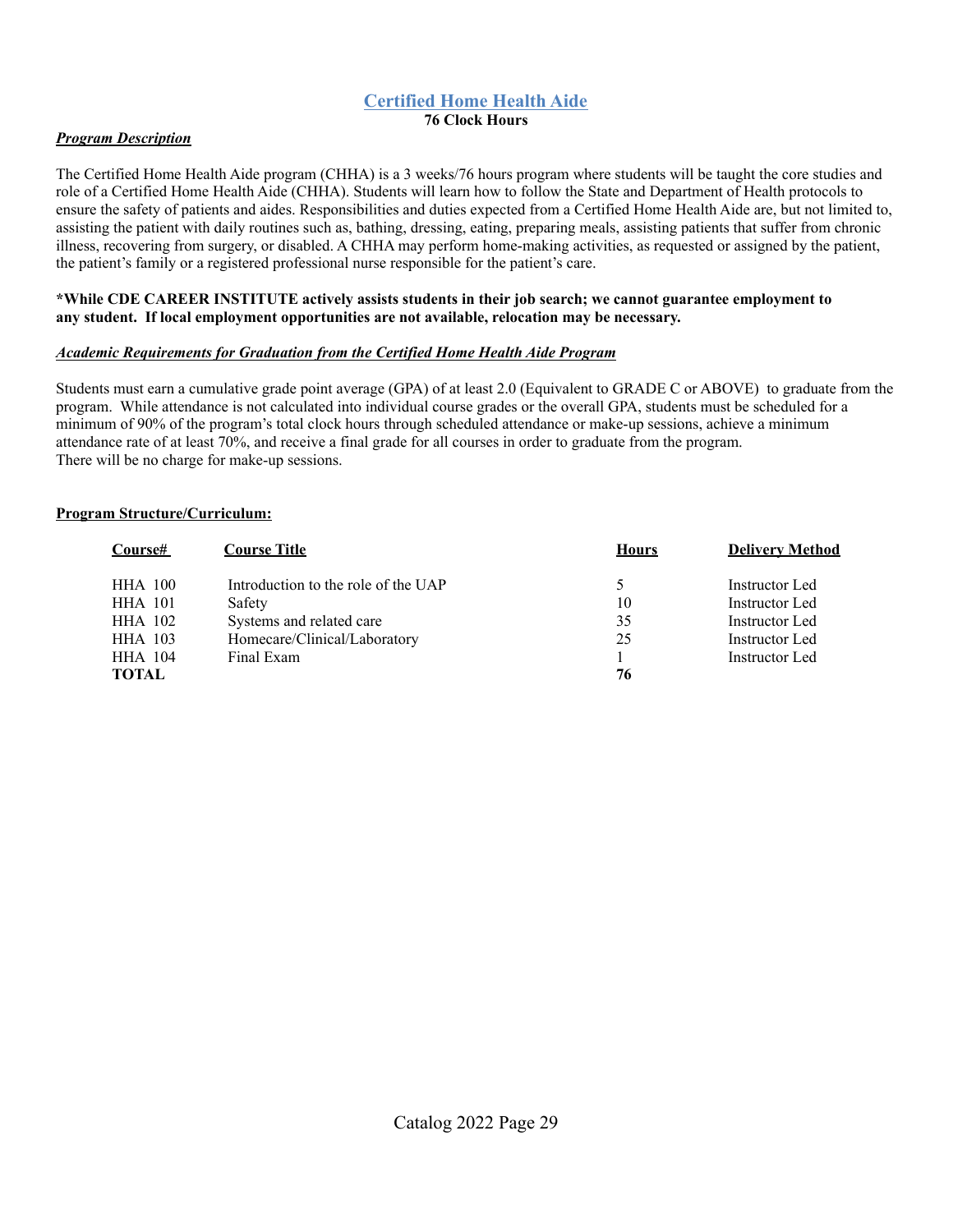### **Certified Home Health Aide 76 Clock Hours**

### *Program Description*

The Certified Home Health Aide program (CHHA) is a 3 weeks/76 hours program where students will be taught the core studies and role of a Certified Home Health Aide (CHHA). Students will learn how to follow the State and Department of Health protocols to ensure the safety of patients and aides. Responsibilities and duties expected from a Certified Home Health Aide are, but not limited to, assisting the patient with daily routines such as, bathing, dressing, eating, preparing meals, assisting patients that suffer from chronic illness, recovering from surgery, or disabled. A CHHA may perform home-making activities, as requested or assigned by the patient, the patient's family or a registered professional nurse responsible for the patient's care.

#### **\*While CDE CAREER INSTITUTE actively assists students in their job search; we cannot guarantee employment to any student. If local employment opportunities are not available, relocation may be necessary.**

### *Academic Requirements for Graduation from the Certified Home Health Aide Program*

Students must earn a cumulative grade point average (GPA) of at least 2.0 (Equivalent to GRADE C or ABOVE) to graduate from the program. While attendance is not calculated into individual course grades or the overall GPA, students must be scheduled for a minimum of 90% of the program's total clock hours through scheduled attendance or make-up sessions, achieve a minimum attendance rate of at least 70%, and receive a final grade for all courses in order to graduate from the program. There will be no charge for make-up sessions.

| Course#        | <b>Course Title</b>                 | <b>Hours</b> | <b>Delivery Method</b> |
|----------------|-------------------------------------|--------------|------------------------|
| <b>HHA 100</b> | Introduction to the role of the UAP | 5            | Instructor Led         |
| <b>HHA 101</b> | Safety                              | 10           | Instructor Led         |
| <b>HHA 102</b> | Systems and related care            | 35           | Instructor Led         |
| <b>HHA</b> 103 | Homecare/Clinical/Laboratory        | 25           | Instructor Led         |
| <b>HHA</b> 104 | Final Exam                          |              | Instructor Led         |
| <b>TOTAL</b>   |                                     | 76           |                        |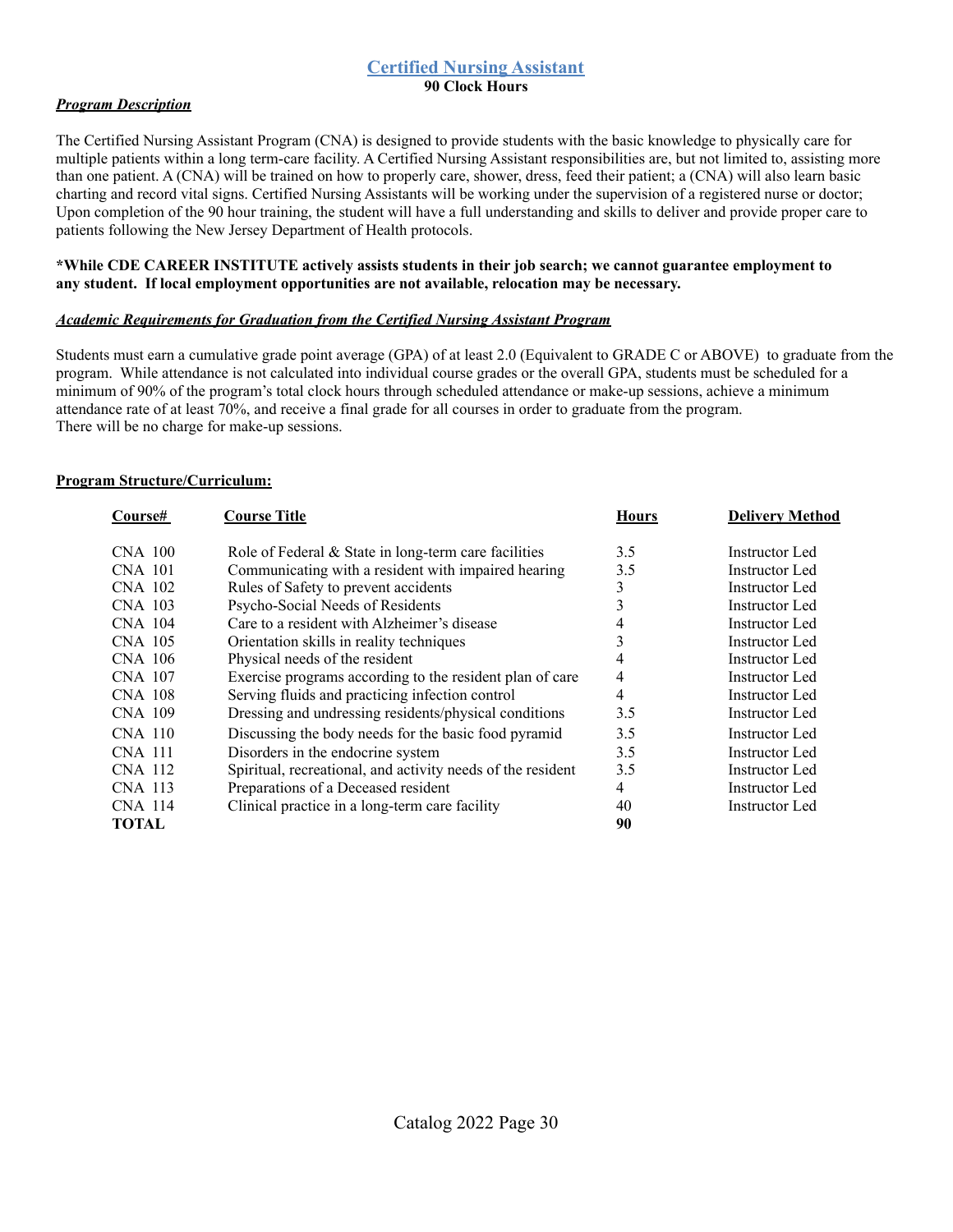## **Certified Nursing Assistant**

**90 Clock Hours**

### *Program Description*

The Certified Nursing Assistant Program (CNA) is designed to provide students with the basic knowledge to physically care for multiple patients within a long term-care facility. A Certified Nursing Assistant responsibilities are, but not limited to, assisting more than one patient. A (CNA) will be trained on how to properly care, shower, dress, feed their patient; a (CNA) will also learn basic charting and record vital signs. Certified Nursing Assistants will be working under the supervision of a registered nurse or doctor; Upon completion of the 90 hour training, the student will have a full understanding and skills to deliver and provide proper care to patients following the New Jersey Department of Health protocols.

### **\*While CDE CAREER INSTITUTE actively assists students in their job search; we cannot guarantee employment to any student. If local employment opportunities are not available, relocation may be necessary.**

### *Academic Requirements for Graduation from the Certified Nursing Assistant Program*

Students must earn a cumulative grade point average (GPA) of at least 2.0 (Equivalent to GRADE C or ABOVE) to graduate from the program. While attendance is not calculated into individual course grades or the overall GPA, students must be scheduled for a minimum of 90% of the program's total clock hours through scheduled attendance or make-up sessions, achieve a minimum attendance rate of at least 70%, and receive a final grade for all courses in order to graduate from the program. There will be no charge for make-up sessions.

| Course#        | <b>Course Title</b>                                         | <b>Hours</b> | <b>Delivery Method</b> |
|----------------|-------------------------------------------------------------|--------------|------------------------|
| CNA 100        | Role of Federal $&$ State in long-term care facilities      | 3.5          | Instructor Led         |
| CNA 101        | Communicating with a resident with impaired hearing         | 3.5          | Instructor Led         |
| CNA 102        | Rules of Safety to prevent accidents                        | 3            | Instructor Led         |
| CNA 103        | Psycho-Social Needs of Residents                            | 3            | Instructor Led         |
| CNA 104        | Care to a resident with Alzheimer's disease                 | 4            | Instructor Led         |
| <b>CNA 105</b> | Orientation skills in reality techniques                    |              | Instructor Led         |
| CNA 106        | Physical needs of the resident                              | 4            | Instructor Led         |
| <b>CNA 107</b> | Exercise programs according to the resident plan of care    | 4            | <b>Instructor Led</b>  |
| CNA 108        | Serving fluids and practicing infection control             | 4            | Instructor Led         |
| CNA 109        | Dressing and undressing residents/physical conditions       | 3.5          | Instructor Led         |
| <b>CNA 110</b> | Discussing the body needs for the basic food pyramid        | 3.5          | Instructor Led         |
| <b>CNA 111</b> | Disorders in the endocrine system                           | 3.5          | Instructor Led         |
| CNA 112        | Spiritual, recreational, and activity needs of the resident | 3.5          | Instructor Led         |
| CNA 113        | Preparations of a Deceased resident                         | 4            | Instructor Led         |
| CNA 114        | Clinical practice in a long-term care facility              | 40           | Instructor Led         |
| <b>TOTAL</b>   |                                                             | 90           |                        |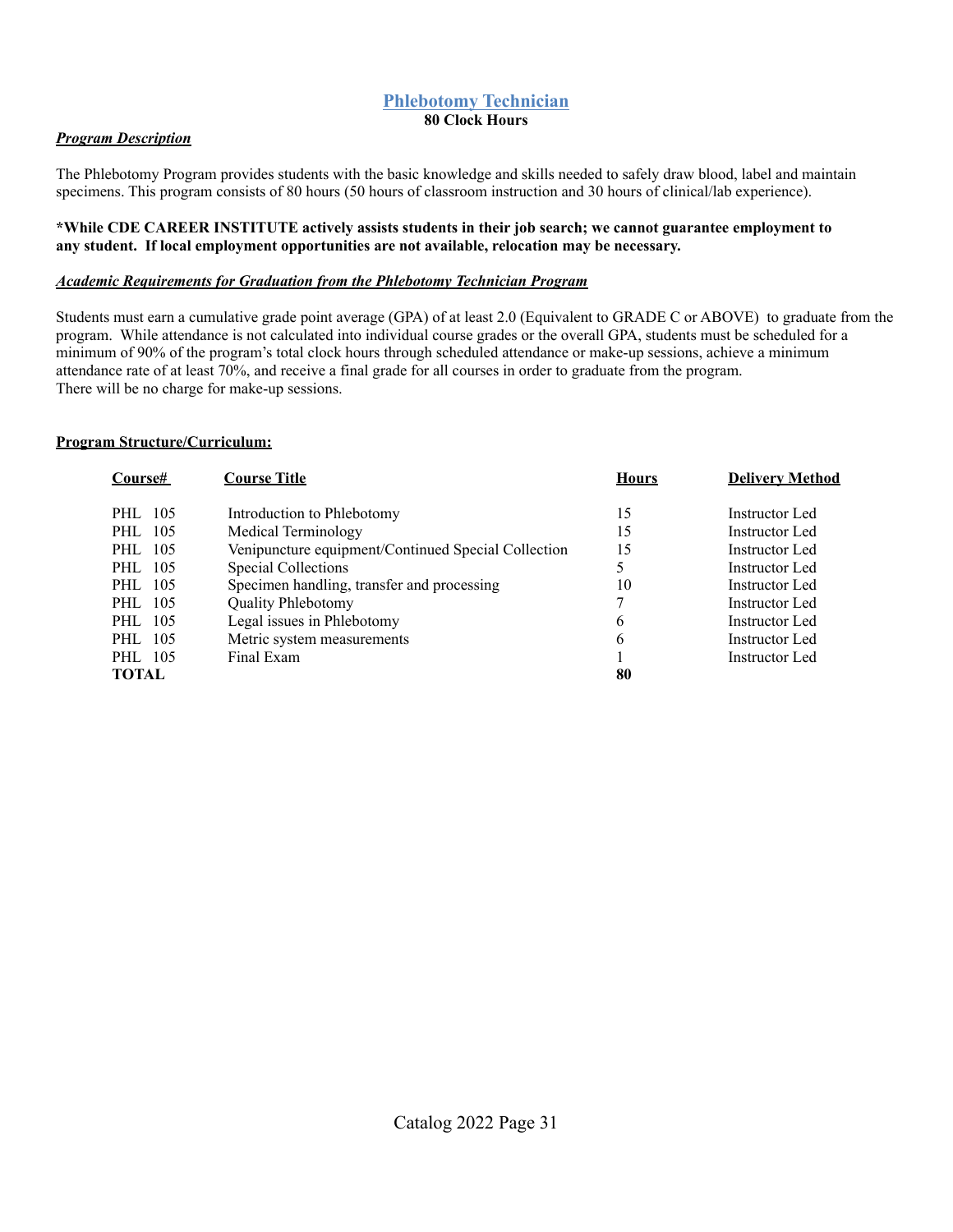### **Phlebotomy Technician 80 Clock Hours**

### *Program Description*

The Phlebotomy Program provides students with the basic knowledge and skills needed to safely draw blood, label and maintain specimens. This program consists of 80 hours (50 hours of classroom instruction and 30 hours of clinical/lab experience).

#### **\*While CDE CAREER INSTITUTE actively assists students in their job search; we cannot guarantee employment to any student. If local employment opportunities are not available, relocation may be necessary.**

#### *Academic Requirements for Graduation from the Phlebotomy Technician Program*

Students must earn a cumulative grade point average (GPA) of at least 2.0 (Equivalent to GRADE C or ABOVE) to graduate from the program. While attendance is not calculated into individual course grades or the overall GPA, students must be scheduled for a minimum of 90% of the program's total clock hours through scheduled attendance or make-up sessions, achieve a minimum attendance rate of at least 70%, and receive a final grade for all courses in order to graduate from the program. There will be no charge for make-up sessions.

| <b>Course#</b> | <b>Course Title</b>                                 | <b>Hours</b> | <b>Delivery Method</b> |
|----------------|-----------------------------------------------------|--------------|------------------------|
| 105<br>PHL     | Introduction to Phlebotomy                          | 15           | Instructor Led         |
| 105<br>PHL     | Medical Terminology                                 | 15           | Instructor Led         |
| 105<br>PHL     | Venipuncture equipment/Continued Special Collection | 15           | Instructor Led         |
| PHL 105        | <b>Special Collections</b>                          |              | Instructor Led         |
| PHL 105        | Specimen handling, transfer and processing          | 10           | Instructor Led         |
| 105<br>PHL     | <b>Quality Phlebotomy</b>                           | 7            | Instructor Led         |
| 105<br>PHL     | Legal issues in Phlebotomy                          | 6            | Instructor Led         |
| 105<br>PHL     | Metric system measurements                          | 6            | Instructor Led         |
| PHL 105        | Final Exam                                          |              | Instructor Led         |
| <b>TOTAL</b>   |                                                     | 80           |                        |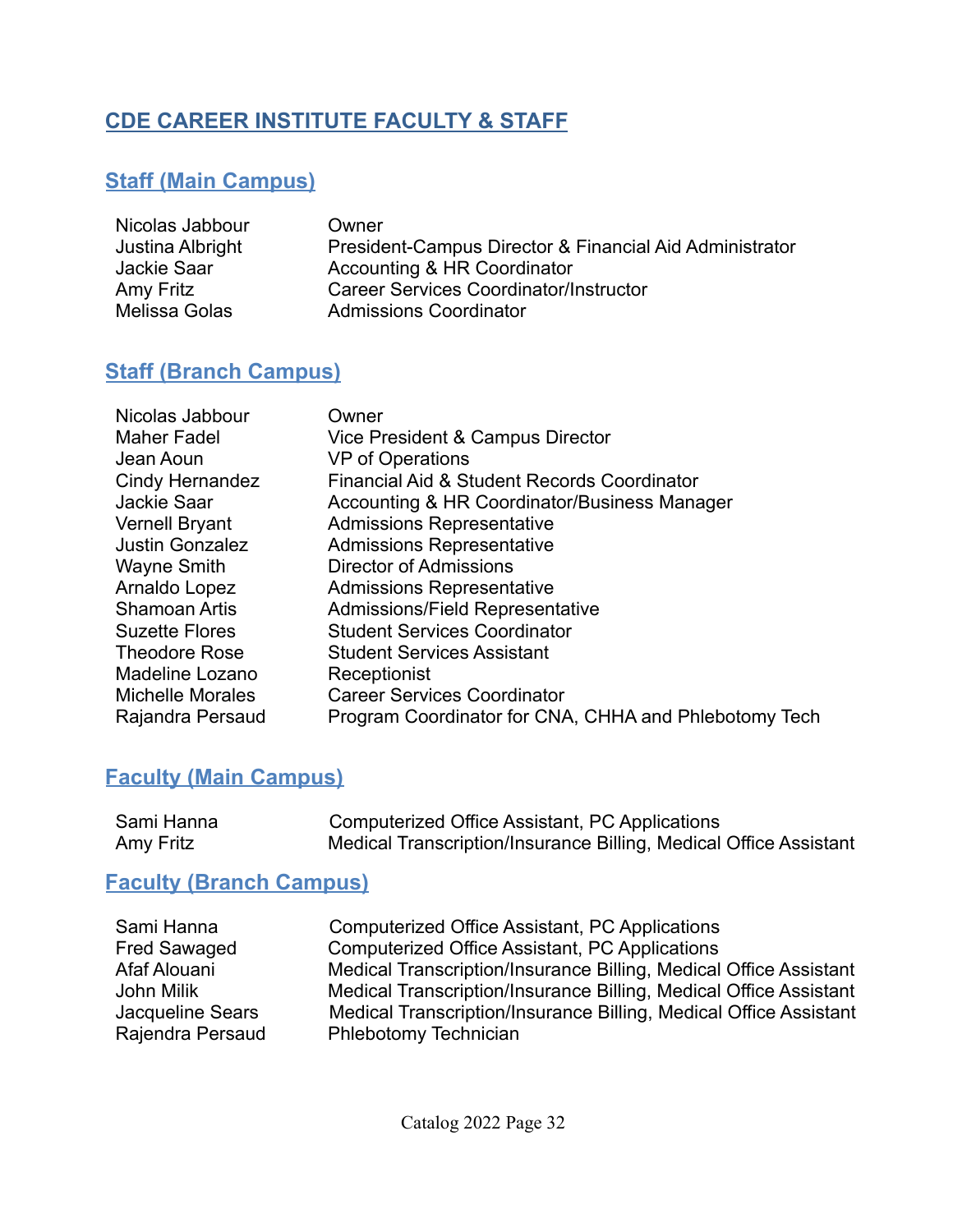# **CDE CAREER INSTITUTE FACULTY & STAFF**

# **Staff (Main Campus)**

| Nicolas Jabbour  | Owner                                                   |
|------------------|---------------------------------------------------------|
| Justina Albright | President-Campus Director & Financial Aid Administrator |
| Jackie Saar      | Accounting & HR Coordinator                             |
| Amy Fritz        | <b>Career Services Coordinator/Instructor</b>           |
| Melissa Golas    | <b>Admissions Coordinator</b>                           |

# **Staff (Branch Campus)**

| Nicolas Jabbour<br><b>Maher Fadel</b> | Owner<br>Vice President & Campus Director             |
|---------------------------------------|-------------------------------------------------------|
| Jean Aoun                             | <b>VP</b> of Operations                               |
| <b>Cindy Hernandez</b>                | Financial Aid & Student Records Coordinator           |
| Jackie Saar                           | Accounting & HR Coordinator/Business Manager          |
| Vernell Bryant                        | <b>Admissions Representative</b>                      |
| <b>Justin Gonzalez</b>                | <b>Admissions Representative</b>                      |
| Wayne Smith                           | Director of Admissions                                |
| Arnaldo Lopez                         | <b>Admissions Representative</b>                      |
| <b>Shamoan Artis</b>                  | Admissions/Field Representative                       |
| <b>Suzette Flores</b>                 | <b>Student Services Coordinator</b>                   |
| <b>Theodore Rose</b>                  | <b>Student Services Assistant</b>                     |
| Madeline Lozano                       | Receptionist                                          |
| <b>Michelle Morales</b>               | <b>Career Services Coordinator</b>                    |
| Rajandra Persaud                      | Program Coordinator for CNA, CHHA and Phlebotomy Tech |

# **Faculty (Main Campus)**

| Sami Hanna | Computerized Office Assistant, PC Applications                    |
|------------|-------------------------------------------------------------------|
| Amy Fritz  | Medical Transcription/Insurance Billing, Medical Office Assistant |

# **Faculty (Branch Campus)**

| Sami Hanna          | Computerized Office Assistant, PC Applications                    |
|---------------------|-------------------------------------------------------------------|
| <b>Fred Sawaged</b> | Computerized Office Assistant, PC Applications                    |
| Afaf Alouani        | Medical Transcription/Insurance Billing, Medical Office Assistant |
| John Milik          | Medical Transcription/Insurance Billing, Medical Office Assistant |
| Jacqueline Sears    | Medical Transcription/Insurance Billing, Medical Office Assistant |
| Rajendra Persaud    | <b>Phlebotomy Technician</b>                                      |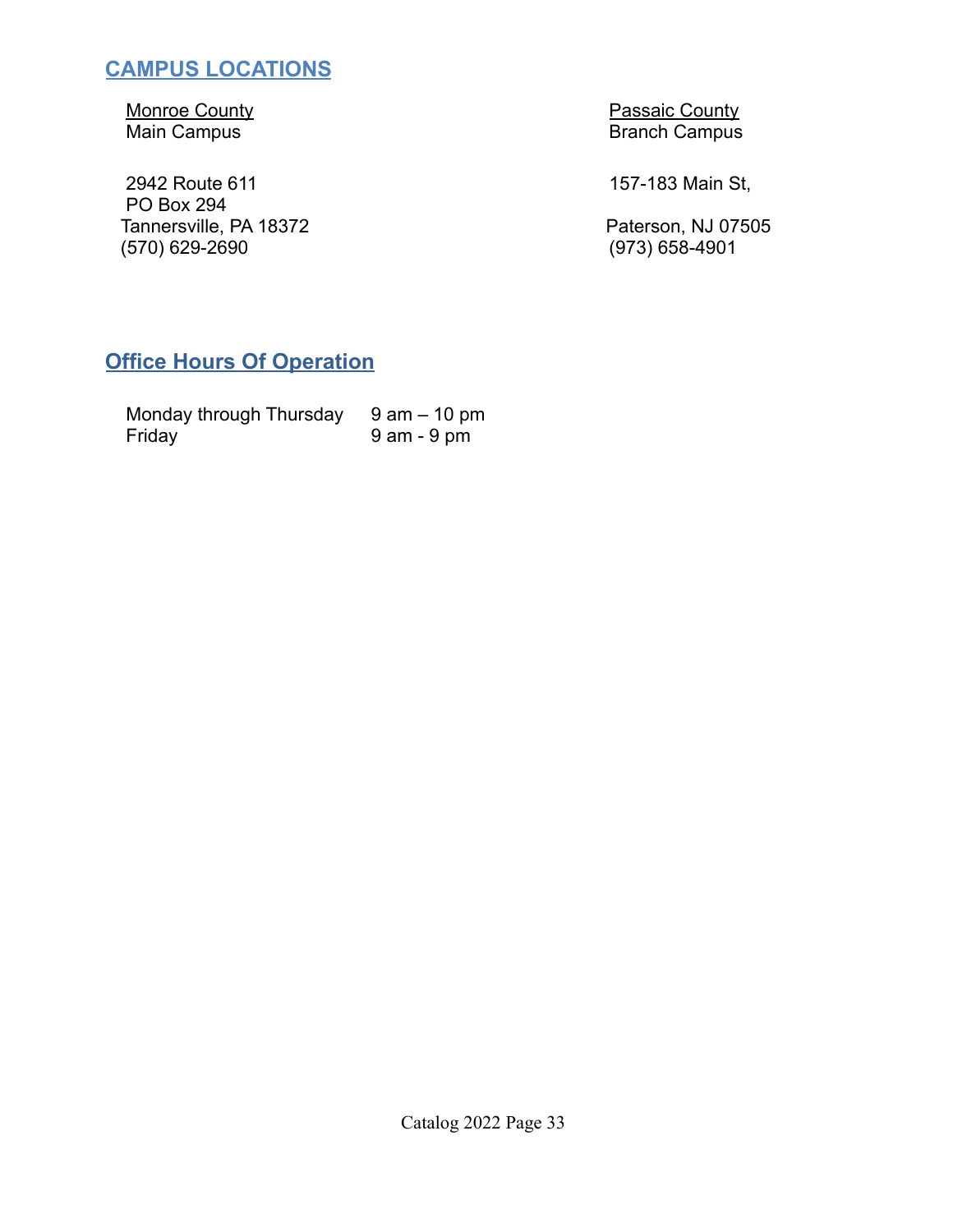# **CAMPUS LOCATIONS**

2942 Route 611 **157-183 Main St,** PO Box 294 Tannersville, PA 18372 **Paterson, NJ 07505** (570) 629-2690 (973) 658-4901

Monroe County<br>
Main Campus<br>
Main Campus<br>
Main Campus **Branch Campus** 

# **Office Hours Of Operation**

| Monday through Thursday | 9 am – 10 pm |
|-------------------------|--------------|
| Friday                  | 9 am - 9 pm  |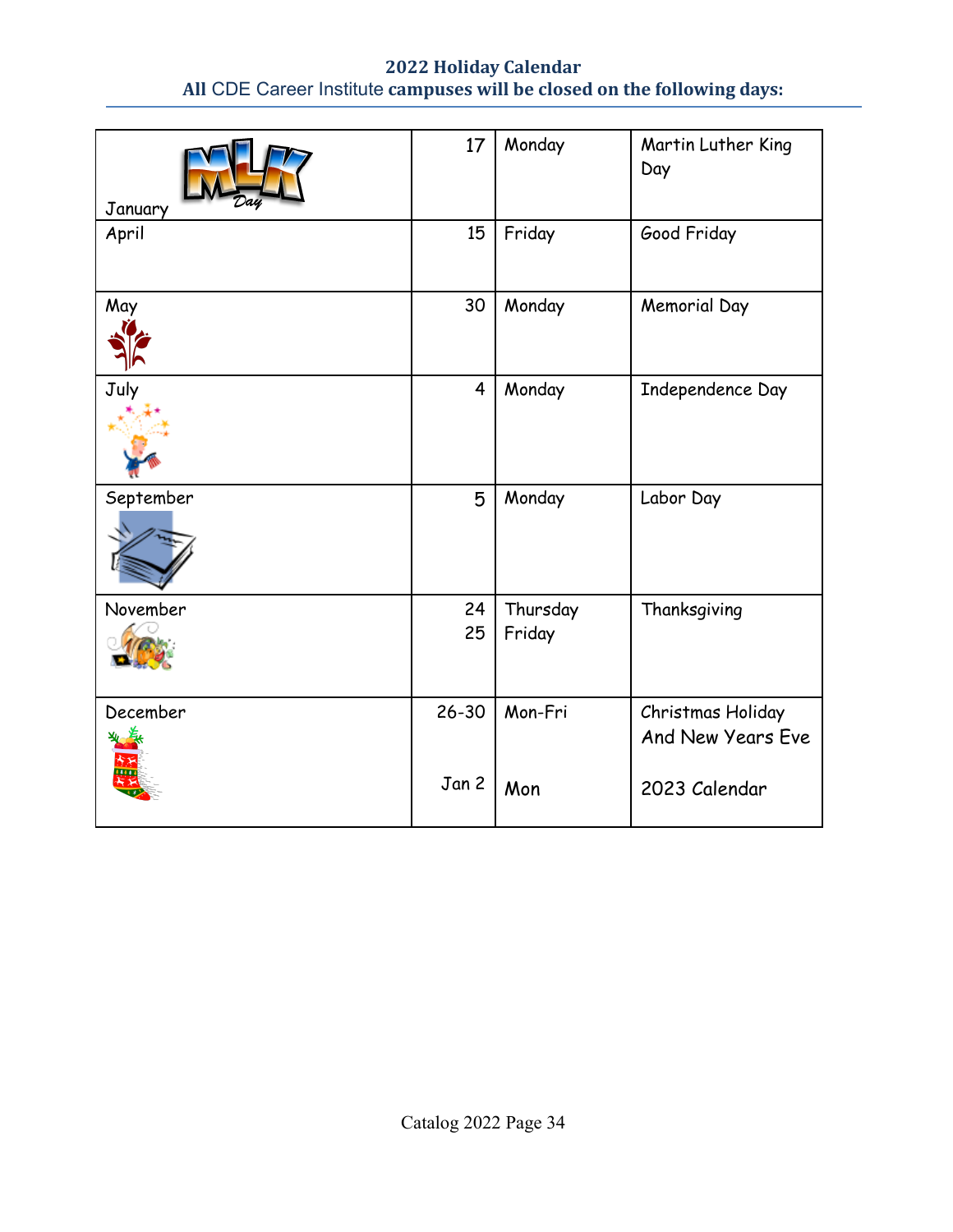## **2022 Holiday Calendar All** CDE Career Institute **campuses will be closed on the following days:**

| January   | 17             | Monday             | Martin Luther King<br>Day              |
|-----------|----------------|--------------------|----------------------------------------|
| April     | 15             | Friday             | Good Friday                            |
| May       | 30             | Monday             | <b>Memorial Day</b>                    |
| July      | $\overline{4}$ | Monday             | Independence Day                       |
| September | 5              | Monday             | Labor Day                              |
| November  | 24<br>25       | Thursday<br>Friday | Thanksgiving                           |
| December  | $26 - 30$      | Mon-Fri            | Christmas Holiday<br>And New Years Eve |
|           | Jan 2          | Mon                | 2023 Calendar                          |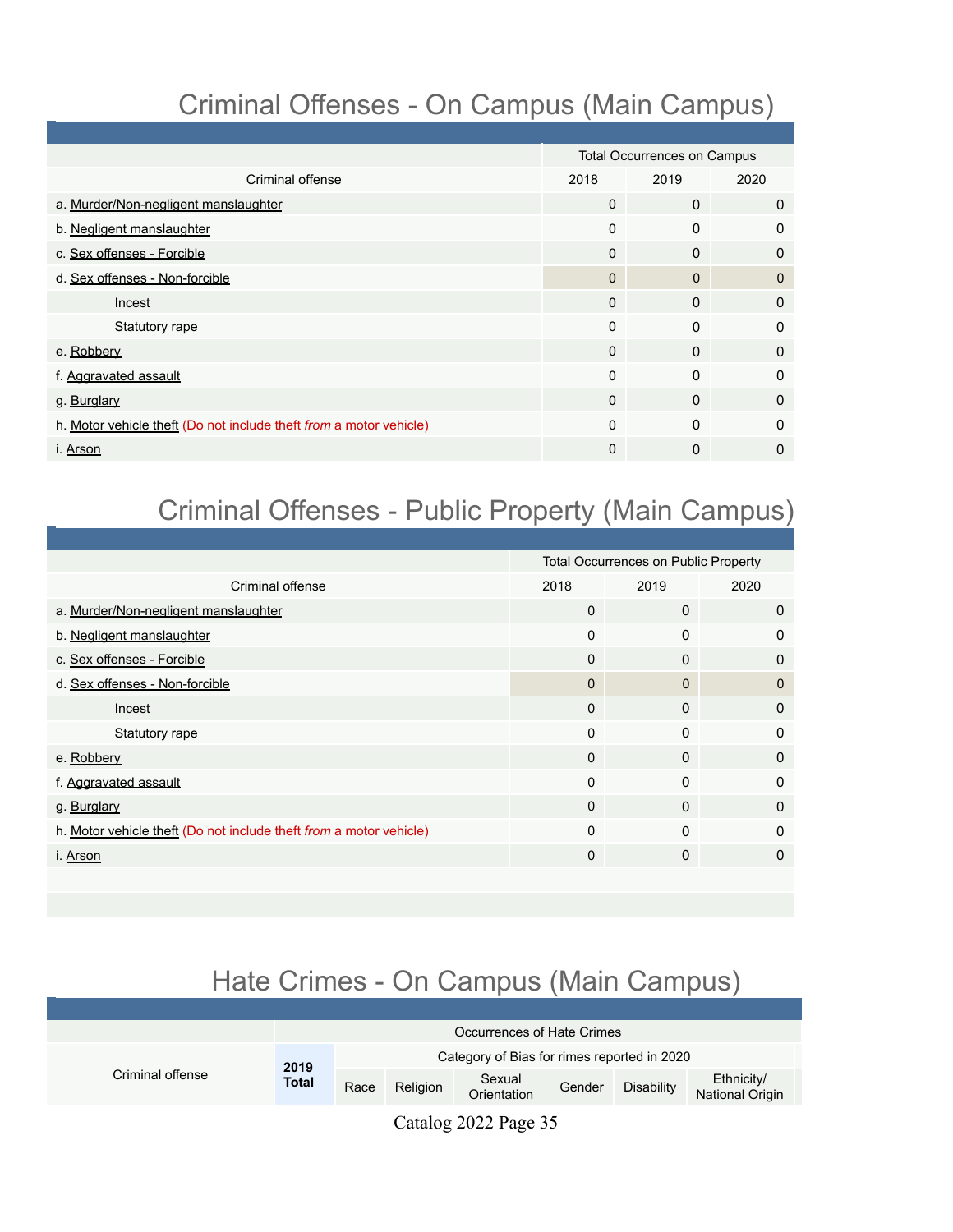# Criminal Offenses - On Campus (Main Campus)

|                                                                    | <b>Total Occurrences on Campus</b> |              |              |
|--------------------------------------------------------------------|------------------------------------|--------------|--------------|
| Criminal offense                                                   | 2018                               | 2019         | 2020         |
| a. Murder/Non-negligent manslaughter                               | $\Omega$                           | $\mathbf{0}$ | $\mathbf 0$  |
| b. Negligent manslaughter                                          | $\Omega$                           | $\mathbf{0}$ | 0            |
| c. Sex offenses - Forcible                                         | $\Omega$                           | $\mathbf{0}$ | $\mathbf{0}$ |
| d. Sex offenses - Non-forcible                                     | $\mathbf{0}$                       | $\Omega$     | $\Omega$     |
| Incest                                                             | $\Omega$                           | $\mathbf{0}$ | 0            |
| Statutory rape                                                     | $\Omega$                           | $\Omega$     | $\mathbf{0}$ |
| e. Robbery                                                         | $\Omega$                           | $\Omega$     | 0            |
| f. Aggravated assault                                              | $\Omega$                           | $\Omega$     | $\mathbf{0}$ |
| g. Burglary                                                        | $\Omega$                           | $\mathbf{0}$ | $\mathbf{0}$ |
| h. Motor vehicle theft (Do not include theft from a motor vehicle) | 0                                  | $\Omega$     | $\mathbf{0}$ |
| i. Arson                                                           | 0                                  | $\mathbf{0}$ | 0            |

# Criminal Offenses - Public Property (Main Campus)

|                                                                    |              | <b>Total Occurrences on Public Property</b> |              |
|--------------------------------------------------------------------|--------------|---------------------------------------------|--------------|
| Criminal offense                                                   | 2018         | 2019                                        | 2020         |
| a. Murder/Non-negligent manslaughter                               | $\Omega$     | 0                                           | $\mathbf 0$  |
| b. Negligent manslaughter                                          | $\Omega$     | 0                                           | $\mathbf{0}$ |
| c. Sex offenses - Forcible                                         | $\Omega$     | 0                                           | $\mathbf{0}$ |
| d. Sex offenses - Non-forcible                                     | $\Omega$     | $\Omega$                                    | $\Omega$     |
| Incest                                                             | $\Omega$     | 0                                           | $\mathbf{0}$ |
| Statutory rape                                                     | $\mathbf{0}$ | 0                                           | $\mathbf{0}$ |
| e. Robbery                                                         | $\Omega$     | 0                                           | $\mathbf{0}$ |
| f. Aggravated assault                                              | $\Omega$     | $\Omega$                                    | $\mathbf{0}$ |
| g. Burglary                                                        | $\Omega$     | 0                                           | $\Omega$     |
| h. Motor vehicle theft (Do not include theft from a motor vehicle) | $\mathbf{0}$ | $\Omega$                                    | $\mathbf{0}$ |
| i. Arson                                                           | $\Omega$     | 0                                           | 0            |
|                                                                    |              |                                             |              |

# Hate Crimes - On Campus (Main Campus)

|                  | Occurrences of Hate Crimes |      |                                             |                             |        |            |                               |
|------------------|----------------------------|------|---------------------------------------------|-----------------------------|--------|------------|-------------------------------|
|                  | 2019                       |      | Category of Bias for rimes reported in 2020 |                             |        |            |                               |
| Criminal offense | <b>Total</b>               | Race | Religion                                    | Sexual<br>Orientation       | Gender | Disability | Ethnicity/<br>National Origin |
|                  |                            |      | $\sim$ $\sim$ 1                             | $\sim$ $\sim$ $\sim$ $\sim$ |        |            |                               |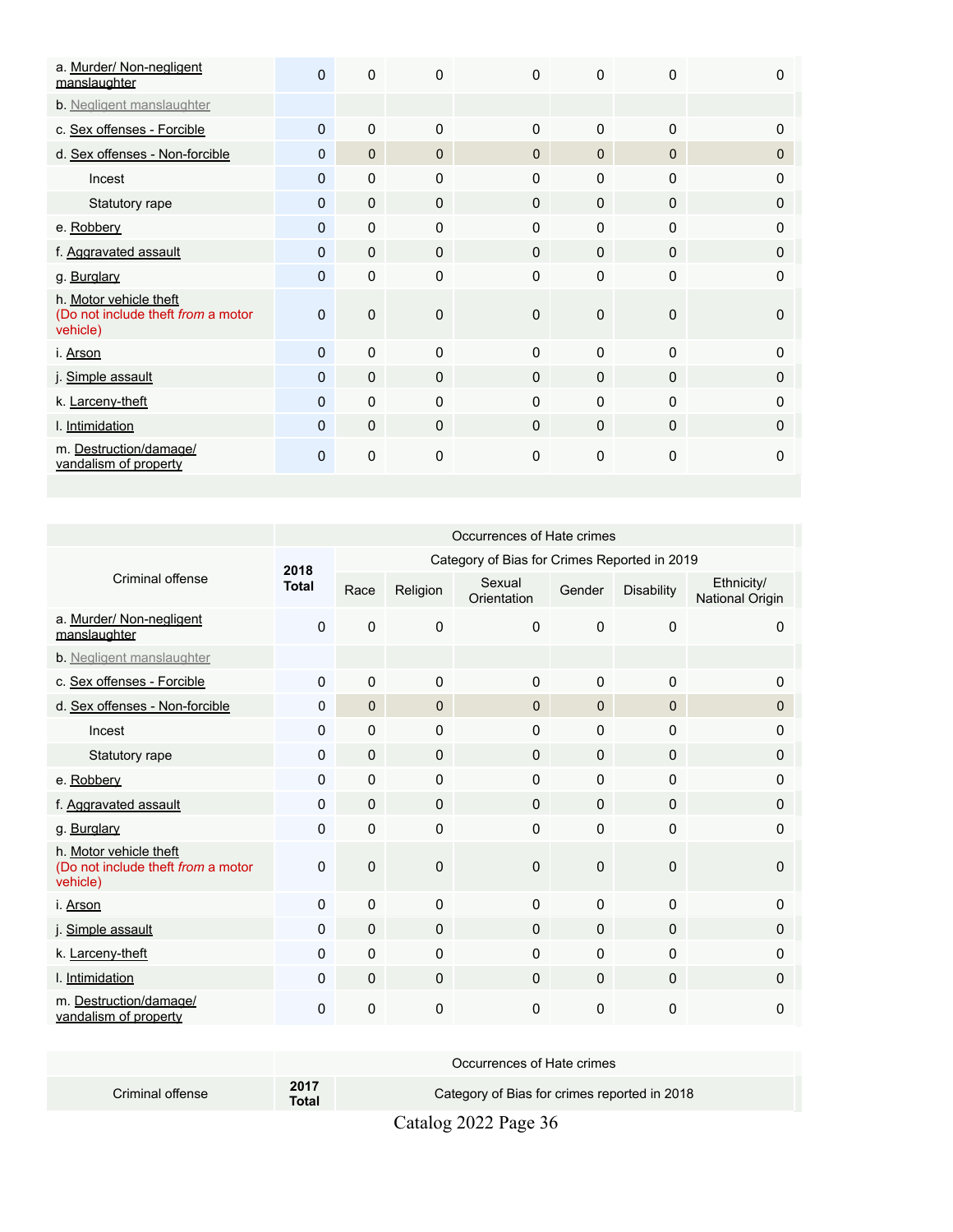| a. Murder/ Non-negligent<br>manslaughter                                 | $\mathbf{0}$ | 0            | $\Omega$     | $\Omega$     | $\mathbf{0}$ | $\Omega$     | ŋ        |
|--------------------------------------------------------------------------|--------------|--------------|--------------|--------------|--------------|--------------|----------|
| b. Negligent manslaughter                                                |              |              |              |              |              |              |          |
| c. Sex offenses - Forcible                                               | $\Omega$     | 0            | $\Omega$     | $\Omega$     | $\Omega$     | $\mathbf{0}$ | 0        |
| d. Sex offenses - Non-forcible                                           | $\Omega$     | $\mathbf{0}$ | $\Omega$     | 0            | $\mathbf{0}$ | $\Omega$     | $\Omega$ |
| Incest                                                                   | $\Omega$     | $\Omega$     | $\Omega$     | $\Omega$     | $\Omega$     | $\mathbf{0}$ | 0        |
| Statutory rape                                                           | 0            | $\mathbf{0}$ | $\mathbf{0}$ | $\mathbf{0}$ | $\mathbf{0}$ | $\mathbf{0}$ | 0        |
| e. Robbery                                                               | $\mathbf{0}$ | $\Omega$     | $\mathbf{0}$ | $\mathbf{0}$ | $\mathbf{0}$ | $\Omega$     | 0        |
| f. Aggravated assault                                                    | $\Omega$     | $\Omega$     | $\mathbf{0}$ | $\Omega$     | $\Omega$     | $\Omega$     | 0        |
| g. Burglary                                                              | $\Omega$     | $\mathbf{0}$ | $\mathbf{0}$ | $\Omega$     | $\mathbf{0}$ | $\mathbf{0}$ | 0        |
| h. Motor vehicle theft<br>(Do not include theft from a motor<br>vehicle) | $\mathbf{0}$ | 0            | $\Omega$     | $\Omega$     | $\Omega$     | $\mathbf{0}$ | O        |
| i. <u>Arson</u>                                                          | $\Omega$     | 0            | $\mathbf{0}$ | $\Omega$     | $\Omega$     | $\mathbf{0}$ | 0        |
| j. Simple assault                                                        | $\Omega$     | $\mathbf 0$  | $\mathbf{0}$ | $\Omega$     | $\Omega$     | $\Omega$     | $\Omega$ |
| k. Larceny-theft                                                         | $\Omega$     | $\Omega$     | $\Omega$     | $\Omega$     | $\Omega$     | $\mathbf{0}$ | 0        |
| I. Intimidation                                                          | $\Omega$     | $\Omega$     | $\mathbf{0}$ | $\Omega$     | $\Omega$     | $\Omega$     | 0        |
| m. Destruction/damage/<br>vandalism of property                          | 0            | 0            | $\Omega$     | $\mathbf 0$  | $\mathbf 0$  | $\mathbf 0$  | $\Omega$ |

|                                                                          | Occurrences of Hate crimes |              |              |                                              |              |                   |                               |  |
|--------------------------------------------------------------------------|----------------------------|--------------|--------------|----------------------------------------------|--------------|-------------------|-------------------------------|--|
|                                                                          | 2018                       |              |              | Category of Bias for Crimes Reported in 2019 |              |                   |                               |  |
| Criminal offense                                                         | <b>Total</b>               | Race         | Religion     | Sexual<br>Orientation                        | Gender       | <b>Disability</b> | Ethnicity/<br>National Origin |  |
| a. Murder/ Non-negligent<br>manslaughter                                 | $\Omega$                   | 0            | $\mathbf 0$  | $\Omega$                                     | $\Omega$     | $\Omega$          | 0                             |  |
| b. Negligent manslaughter                                                |                            |              |              |                                              |              |                   |                               |  |
| c. Sex offenses - Forcible                                               | $\Omega$                   | 0            | $\Omega$     | 0                                            | $\Omega$     | $\mathbf{0}$      | 0                             |  |
| d. Sex offenses - Non-forcible                                           | $\mathbf 0$                | $\mathbf{0}$ | $\Omega$     | $\Omega$                                     | 0            | $\mathbf{0}$      | 0                             |  |
| Incest                                                                   | $\Omega$                   | $\Omega$     | $\mathbf{0}$ | 0                                            | $\Omega$     | $\Omega$          | 0                             |  |
| Statutory rape                                                           | 0                          | 0            | $\mathbf{0}$ | 0                                            | $\pmb{0}$    | $\mathbf 0$       | 0                             |  |
| e. Robbery                                                               | 0                          | 0            | $\mathbf 0$  | 0                                            | $\Omega$     | $\mathbf 0$       | 0                             |  |
| f. Aggravated assault                                                    | $\Omega$                   | $\Omega$     | $\mathbf{0}$ | 0                                            | $\mathbf{0}$ | $\Omega$          | $\mathbf{0}$                  |  |
| g. Burglary                                                              | $\Omega$                   | $\Omega$     | $\Omega$     | 0                                            | $\Omega$     | $\mathbf 0$       | 0                             |  |
| h. Motor vehicle theft<br>(Do not include theft from a motor<br>vehicle) | $\Omega$                   | $\mathbf 0$  | $\Omega$     | 0                                            | $\Omega$     | $\Omega$          | $\mathbf{0}$                  |  |
| i. Arson                                                                 | $\Omega$                   | $\Omega$     | $\Omega$     | 0                                            | $\Omega$     | $\Omega$          | $\mathbf{0}$                  |  |
| j. Simple assault                                                        | $\Omega$                   | $\Omega$     | $\mathbf{0}$ | $\Omega$                                     | $\Omega$     | $\mathbf{0}$      | 0                             |  |
| k. Larceny-theft                                                         | $\mathbf 0$                | 0            | $\mathbf 0$  | 0                                            | $\pmb{0}$    | $\mathbf 0$       | 0                             |  |
| I. Intimidation                                                          | 0                          | $\mathbf{0}$ | $\mathbf 0$  | 0                                            | $\mathbf 0$  | $\mathbf 0$       | $\mathbf 0$                   |  |
| m. Destruction/damage/<br>vandalism of property                          | 0                          | 0            | 0            | 0                                            | 0            | 0                 | 0                             |  |

|                  |               | Occurrences of Hate crimes                   |
|------------------|---------------|----------------------------------------------|
| Criminal offense | 2017<br>Total | Category of Bias for crimes reported in 2018 |
|                  |               | -----                                        |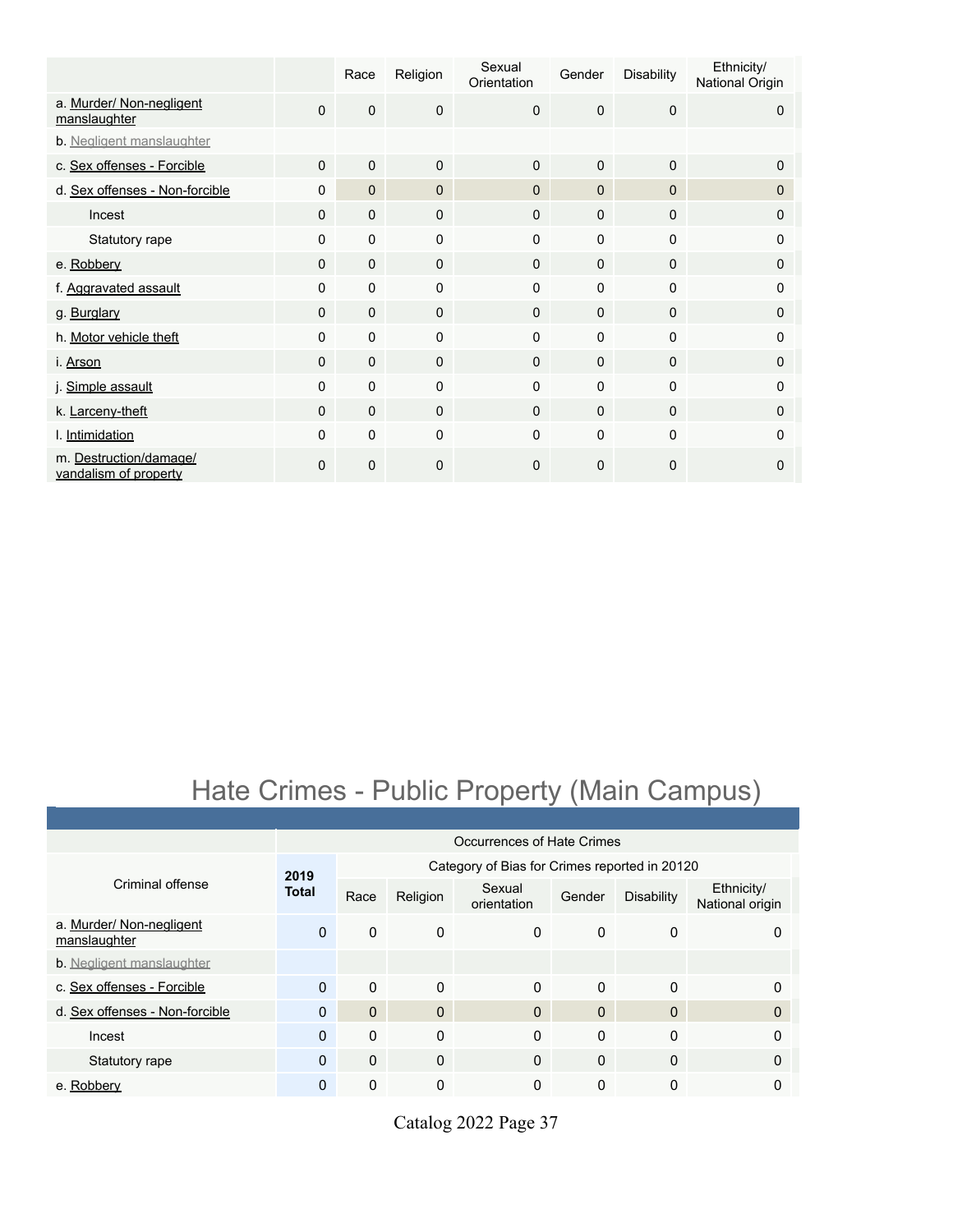|                                                 |              | Race         | Religion     | Sexual<br>Orientation | Gender       | <b>Disability</b> | Ethnicity/<br>National Origin |
|-------------------------------------------------|--------------|--------------|--------------|-----------------------|--------------|-------------------|-------------------------------|
| a. Murder/ Non-negligent<br>manslaughter        | $\mathbf 0$  | $\mathbf 0$  | $\mathbf 0$  | $\Omega$              | 0            | $\mathbf 0$       | 0                             |
| b. Negligent manslaughter                       |              |              |              |                       |              |                   |                               |
| c. Sex offenses - Forcible                      | $\Omega$     | $\mathbf{0}$ | $\Omega$     | $\Omega$              | $\Omega$     | $\mathbf{0}$      | $\Omega$                      |
| d. Sex offenses - Non-forcible                  | 0            | $\mathbf{0}$ | $\mathbf{0}$ | $\Omega$              | $\mathbf{0}$ | $\mathbf{0}$      | 0                             |
| Incest                                          | $\Omega$     | $\mathbf{0}$ | $\mathbf 0$  | $\mathbf{0}$          | $\Omega$     | 0                 | 0                             |
| Statutory rape                                  | $\Omega$     | $\mathbf 0$  | $\Omega$     | $\Omega$              | $\Omega$     | $\mathbf 0$       | 0                             |
| e. Robbery                                      | $\mathbf{0}$ | $\mathbf 0$  | $\Omega$     | $\mathbf 0$           | $\mathbf 0$  | $\mathbf 0$       | 0                             |
| f. Aggravated assault                           | $\Omega$     | $\mathbf 0$  | $\Omega$     | $\Omega$              | $\Omega$     | $\Omega$          | $\Omega$                      |
| g. Burglary                                     | $\Omega$     | $\mathbf 0$  | $\Omega$     | $\Omega$              | $\Omega$     | $\Omega$          | 0                             |
| h. Motor vehicle theft                          | $\mathbf 0$  | $\mathbf 0$  | $\mathbf 0$  | $\Omega$              | 0            | $\mathbf 0$       | 0                             |
| i. Arson                                        | $\mathbf{0}$ | $\mathbf 0$  | $\mathbf 0$  | $\mathbf 0$           | $\mathbf{0}$ | $\mathbf{0}$      | 0                             |
| j. Simple assault                               | 0            | $\mathbf 0$  | $\mathbf 0$  | $\Omega$              | $\Omega$     | $\mathbf 0$       | 0                             |
| k. Larceny-theft                                | $\Omega$     | $\Omega$     | $\Omega$     | $\Omega$              | $\Omega$     | $\Omega$          | $\Omega$                      |
| I. Intimidation                                 | $\mathbf 0$  | $\mathbf 0$  | $\mathbf 0$  | 0                     | 0            | $\mathbf 0$       | 0                             |
| m. Destruction/damage/<br>vandalism of property | 0            | $\mathbf{0}$ | 0            | $\Omega$              | 0            | $\mathbf 0$       | 0                             |

# Hate Crimes - Public Property (Main Campus)

|                                          |              | Occurrences of Hate Crimes                    |              |                       |              |                   |                               |  |  |  |
|------------------------------------------|--------------|-----------------------------------------------|--------------|-----------------------|--------------|-------------------|-------------------------------|--|--|--|
|                                          | 2019         | Category of Bias for Crimes reported in 20120 |              |                       |              |                   |                               |  |  |  |
| Criminal offense                         | <b>Total</b> | Race                                          | Religion     | Sexual<br>orientation | Gender       | <b>Disability</b> | Ethnicity/<br>National origin |  |  |  |
| a. Murder/ Non-negligent<br>manslaughter | $\Omega$     | $\Omega$                                      | $\mathbf{0}$ | $\Omega$              | $\Omega$     | 0                 | 0                             |  |  |  |
| <b>b</b> . Negligent manslaughter        |              |                                               |              |                       |              |                   |                               |  |  |  |
| c. Sex offenses - Forcible               | $\Omega$     | $\Omega$                                      | $\Omega$     | $\Omega$              | $\Omega$     | 0                 | $\Omega$                      |  |  |  |
| d. Sex offenses - Non-forcible           | $\Omega$     | $\Omega$                                      | $\mathbf{0}$ | $\Omega$              | $\Omega$     | $\mathbf{0}$      | $\Omega$                      |  |  |  |
| Incest                                   | $\Omega$     | $\Omega$                                      | 0            | $\Omega$              | $\Omega$     | 0                 | $\Omega$                      |  |  |  |
| Statutory rape                           | $\Omega$     | $\Omega$                                      | $\Omega$     | $\Omega$              | $\Omega$     | $\mathbf{0}$      | $\Omega$                      |  |  |  |
| e. Robbery                               | $\mathbf{0}$ | $\mathbf{0}$                                  | 0            | $\mathbf{0}$          | $\mathbf{0}$ | 0                 | 0                             |  |  |  |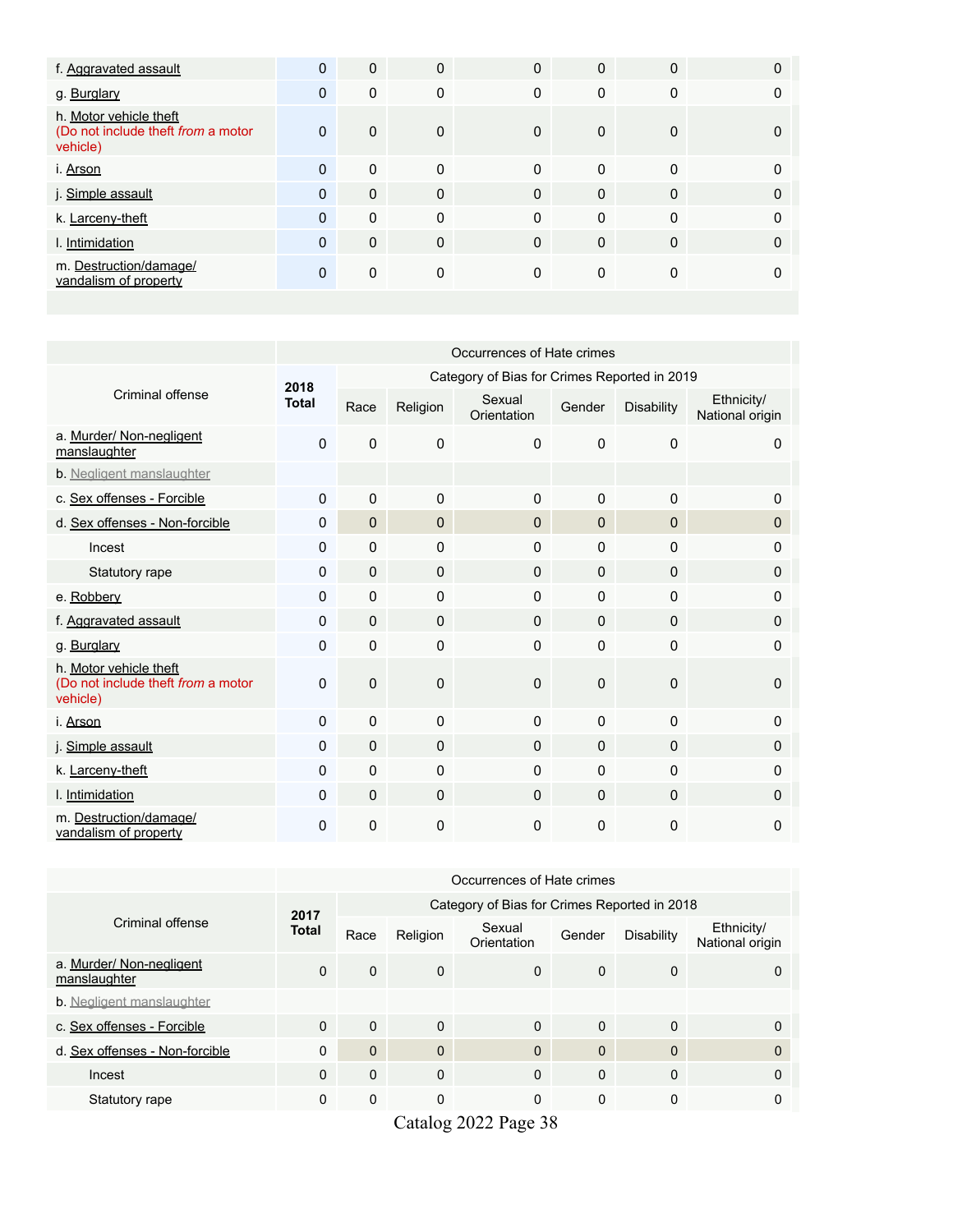| f. Aggravated assault                                                    | $\mathbf{0}$ | $\mathbf 0$  | $\mathbf{0}$ | $\Omega$    | $\Omega$     | $\Omega$    | 0        |
|--------------------------------------------------------------------------|--------------|--------------|--------------|-------------|--------------|-------------|----------|
| g. Burglary                                                              | $\mathbf 0$  | 0            | 0            | $\mathbf 0$ | $\Omega$     | $\mathbf 0$ |          |
| h. Motor vehicle theft<br>(Do not include theft from a motor<br>vehicle) | $\mathbf{0}$ | $\mathbf 0$  | $\mathbf{0}$ | $\Omega$    | $\mathbf{0}$ | 0           |          |
| i. Arson                                                                 | $\Omega$     | $\mathbf{0}$ | $\mathbf{0}$ | $\Omega$    | $\Omega$     | $\Omega$    |          |
| j. Simple assault                                                        | $\Omega$     | $\mathbf{0}$ | $\Omega$     | $\Omega$    | $\Omega$     | $\Omega$    | $\Omega$ |
| k. Larceny-theft                                                         | $\Omega$     | $\mathbf{0}$ | $\Omega$     | $\Omega$    | $\Omega$     | $\Omega$    | $\Omega$ |
| I. Intimidation                                                          | $\Omega$     | $\mathbf 0$  | $\Omega$     | $\Omega$    | $\Omega$     | $\Omega$    | 0        |
| m. Destruction/damage/<br>vandalism of property                          | 0            | $\mathbf{0}$ | 0            | $\Omega$    | $\Omega$     | 0           |          |

|                                                                          | Occurrences of Hate crimes |                                              |              |                       |              |                   |                               |  |  |
|--------------------------------------------------------------------------|----------------------------|----------------------------------------------|--------------|-----------------------|--------------|-------------------|-------------------------------|--|--|
|                                                                          | 2018                       | Category of Bias for Crimes Reported in 2019 |              |                       |              |                   |                               |  |  |
| Criminal offense                                                         | <b>Total</b>               | Race                                         | Religion     | Sexual<br>Orientation | Gender       | <b>Disability</b> | Ethnicity/<br>National origin |  |  |
| a. Murder/ Non-negligent<br>manslaughter                                 | 0                          | $\mathbf 0$                                  | 0            | $\Omega$              | $\Omega$     | $\mathbf 0$       | $\mathbf{0}$                  |  |  |
| b. Negligent manslaughter                                                |                            |                                              |              |                       |              |                   |                               |  |  |
| c. Sex offenses - Forcible                                               | $\mathbf{0}$               | $\Omega$                                     | 0            | $\Omega$              | $\Omega$     | $\mathbf{0}$      | 0                             |  |  |
| d. Sex offenses - Non-forcible                                           | $\mathbf 0$                | $\mathbf 0$                                  | 0            | $\mathbf{0}$          | $\mathbf 0$  | $\Omega$          | $\mathbf 0$                   |  |  |
| Incest                                                                   | 0                          | $\Omega$                                     | 0            | $\mathbf{0}$          | $\Omega$     | $\mathbf{0}$      | $\mathbf{0}$                  |  |  |
| Statutory rape                                                           | $\mathbf 0$                | $\mathbf 0$                                  | $\mathbf 0$  | $\mathbf 0$           | $\Omega$     | $\mathbf 0$       | $\mathbf 0$                   |  |  |
| e. Robbery                                                               | $\pmb{0}$                  | $\mathbf 0$                                  | 0            | $\Omega$              | $\mathbf{0}$ | $\mathbf 0$       | 0                             |  |  |
| f. Aggravated assault                                                    | 0                          | $\Omega$                                     | $\Omega$     | $\Omega$              | $\Omega$     | $\mathbf{0}$      | $\mathbf{0}$                  |  |  |
| g. Burglary                                                              | 0                          | $\mathbf 0$                                  | 0            | $\mathbf{0}$          | $\mathbf{0}$ | 0                 | $\mathbf{0}$                  |  |  |
| h. Motor vehicle theft<br>(Do not include theft from a motor<br>vehicle) | $\Omega$                   | $\mathbf 0$                                  | $\mathbf{0}$ | $\Omega$              | $\Omega$     | $\mathbf{0}$      | $\Omega$                      |  |  |
| i. Arson                                                                 | $\Omega$                   | $\Omega$                                     | $\Omega$     | $\Omega$              | $\Omega$     | $\mathbf{0}$      | $\mathbf{0}$                  |  |  |
| j. Simple assault                                                        | $\mathbf 0$                | $\mathbf 0$                                  | $\mathbf 0$  | $\mathbf 0$           | $\Omega$     | $\mathbf 0$       | $\mathbf 0$                   |  |  |
| k. Larceny-theft                                                         | $\Omega$                   | $\mathbf 0$                                  | 0            | $\Omega$              | $\Omega$     | $\mathbf 0$       | 0                             |  |  |
| I. Intimidation                                                          | 0                          | $\mathbf 0$                                  | $\mathbf 0$  | $\mathbf 0$           | $\mathbf{0}$ | $\mathbf 0$       | $\mathbf 0$                   |  |  |
| m. Destruction/damage/<br>vandalism of property                          | $\mathbf 0$                | $\mathbf 0$                                  | 0            | $\mathbf{0}$          | $\mathbf 0$  | 0                 | 0                             |  |  |

|                                          | Occurrences of Hate crimes |              |              |                                              |              |                   |                               |  |
|------------------------------------------|----------------------------|--------------|--------------|----------------------------------------------|--------------|-------------------|-------------------------------|--|
|                                          | 2017                       |              |              | Category of Bias for Crimes Reported in 2018 |              |                   |                               |  |
| Criminal offense                         | <b>Total</b>               | Race         | Religion     | Sexual<br>Orientation                        | Gender       | <b>Disability</b> | Ethnicity/<br>National origin |  |
| a. Murder/ Non-negligent<br>manslaughter | $\Omega$                   | $\mathbf 0$  | $\Omega$     | $\Omega$                                     | $\Omega$     | $\Omega$          | 0                             |  |
| <b>b.</b> Negligent manslaughter         |                            |              |              |                                              |              |                   |                               |  |
| c. Sex offenses - Forcible               | $\Omega$                   | $\mathbf 0$  | $\Omega$     | $\Omega$                                     | $\Omega$     | $\Omega$          | 0                             |  |
| d. Sex offenses - Non-forcible           | $\Omega$                   | $\mathbf{0}$ | $\Omega$     | $\Omega$                                     | $\Omega$     | $\Omega$          | 0                             |  |
| Incest                                   | $\mathbf{0}$               | $\mathbf{0}$ | $\mathbf{0}$ | $\Omega$                                     | $\mathbf{0}$ | $\Omega$          | 0                             |  |
| Statutory rape                           | 0                          | 0            | 0            | $\mathbf 0$                                  | $\Omega$     | $\Omega$          | 0                             |  |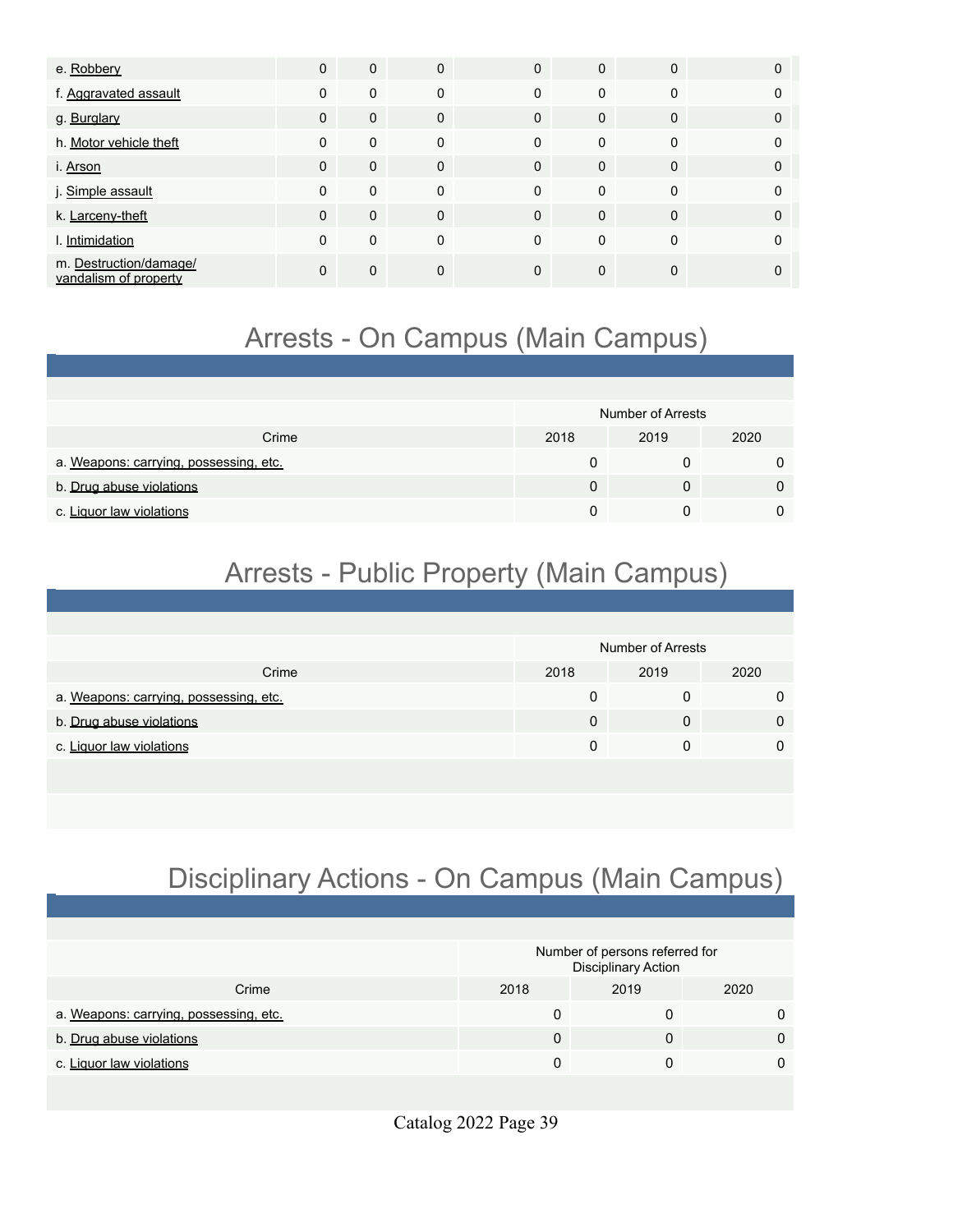| e. Robbery                                      | $\Omega$ | $\mathbf 0$  | $\Omega$     | $\mathbf{0}$ | $\Omega$ | $\Omega$     |   |
|-------------------------------------------------|----------|--------------|--------------|--------------|----------|--------------|---|
| f. Aggravated assault                           | $\Omega$ | $\mathbf 0$  | 0            | $\Omega$     | $\Omega$ | $\mathbf 0$  |   |
| g. Burglary                                     | $\Omega$ | $\mathbf{0}$ | $\Omega$     | $\Omega$     | $\Omega$ | $\mathbf 0$  | 0 |
| h. Motor vehicle theft                          | $\Omega$ | $\mathbf 0$  | $\Omega$     | $\Omega$     | $\Omega$ | $\Omega$     |   |
| i. Arson                                        | $\Omega$ | $\mathbf 0$  | $\mathbf{0}$ | $\Omega$     | $\Omega$ | $\mathbf{0}$ | 0 |
| j. Simple assault                               | $\Omega$ | $\mathbf 0$  | 0            | $\Omega$     | $\Omega$ | $\Omega$     |   |
| k. Larceny-theft                                | $\Omega$ | $\mathbf{0}$ | $\Omega$     | $\Omega$     | $\Omega$ | $\Omega$     |   |
| I. Intimidation                                 | $\Omega$ | $\mathbf 0$  | 0            | $\Omega$     | $\Omega$ | 0            |   |
| m. Destruction/damage/<br>vandalism of property | $\Omega$ | $\mathbf{0}$ | 0            | $\Omega$     | $\Omega$ | $\mathbf 0$  |   |

# Arrests - On Campus (Main Campus)

|                                        |      | Number of Arrests |      |
|----------------------------------------|------|-------------------|------|
| Crime                                  | 2018 | 2019              | 2020 |
| a. Weapons: carrying, possessing, etc. |      |                   |      |
| b. Drug abuse violations               |      | 0                 |      |
| c. Liquor law violations               |      |                   |      |

# Arrests - Public Property (Main Campus)

|                                        |      | Number of Arrests |      |
|----------------------------------------|------|-------------------|------|
| Crime                                  | 2018 | 2019              | 2020 |
| a. Weapons: carrying, possessing, etc. |      |                   |      |
| b. Drug abuse violations               |      |                   |      |
| c. Liquor law violations               |      |                   |      |
|                                        |      |                   |      |

# Disciplinary Actions - On Campus (Main Campus)

|                                        | Number of persons referred for<br><b>Disciplinary Action</b> |      |      |  |  |
|----------------------------------------|--------------------------------------------------------------|------|------|--|--|
| Crime                                  | 2018                                                         | 2019 | 2020 |  |  |
| a. Weapons: carrying, possessing, etc. |                                                              |      |      |  |  |
| b. Drug abuse violations               |                                                              |      |      |  |  |
| c. Liquor law violations               |                                                              |      |      |  |  |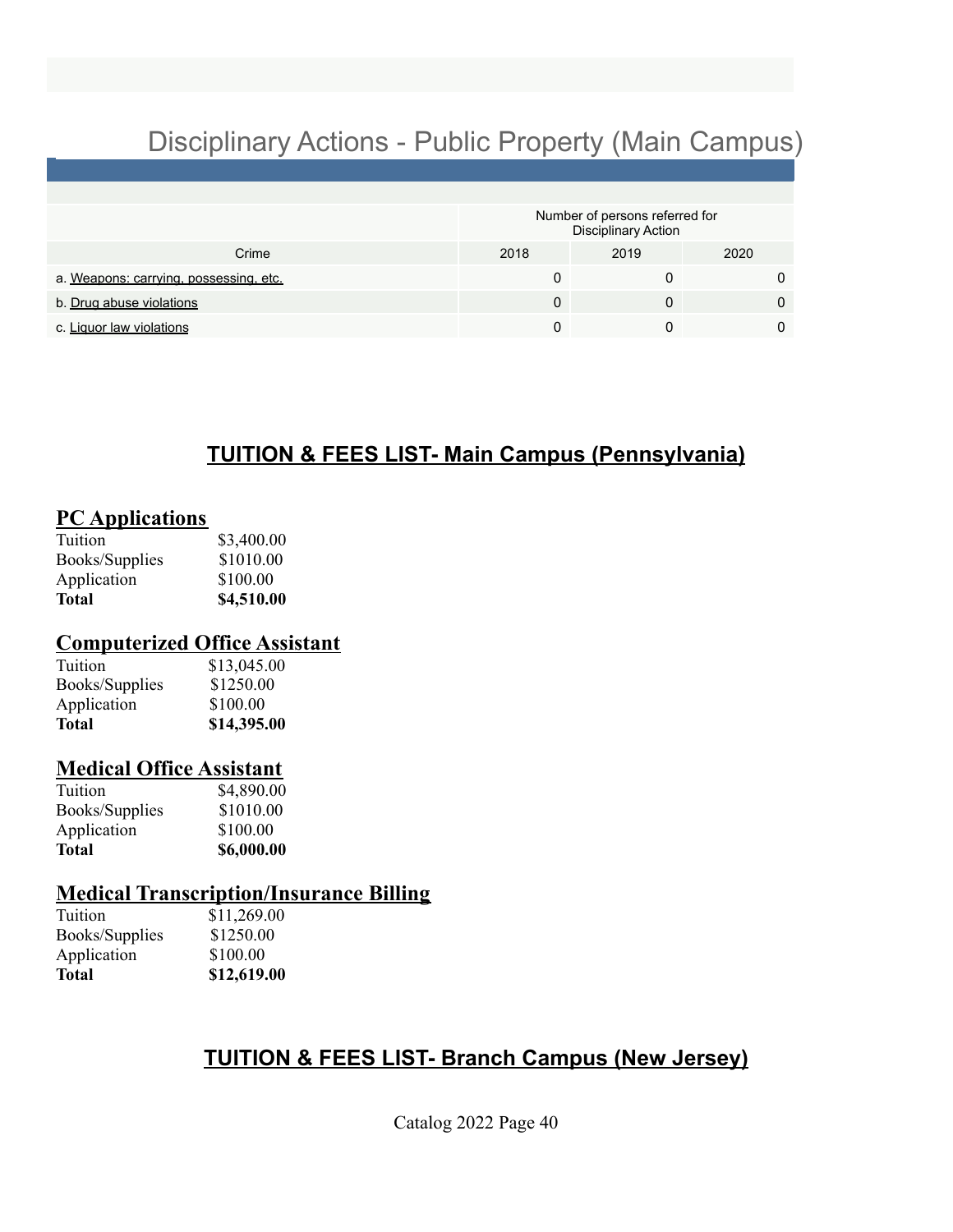# Disciplinary Actions - Public Property (Main Campus)

|                                        | Number of persons referred for<br><b>Disciplinary Action</b> |      |      |  |  |
|----------------------------------------|--------------------------------------------------------------|------|------|--|--|
| Crime                                  | 2018                                                         | 2019 | 2020 |  |  |
| a. Weapons: carrying. possessing. etc. |                                                              |      |      |  |  |
| b. Drug abuse violations               |                                                              |      |      |  |  |
| c. Liquor law violations               |                                                              |      |      |  |  |

# **TUITION & FEES LIST- Main Campus (Pennsylvania)**

## **PC Applications**

| Tuition               | \$3,400.00 |
|-----------------------|------------|
| <b>Books/Supplies</b> | \$1010.00  |
| Application           | \$100.00   |
| Total                 | \$4,510.00 |

## **Computerized Office Assistant**

| Total          | \$14,395.00 |
|----------------|-------------|
| Application    | \$100.00    |
| Books/Supplies | \$1250.00   |
| Tuition        | \$13,045.00 |

## **Medical Office Assistant**

| Total                 | \$6,000.00 |
|-----------------------|------------|
| Application           | \$100.00   |
| <b>Books/Supplies</b> | \$1010.00  |
| Tuition               | \$4,890.00 |

# **Medical Transcription/Insurance Billing**

| Tuition        |    |
|----------------|----|
| Books/Supplies | \$ |
| Application    | S  |
| Total          |    |

 $11,269.00$  $1250.00$ 100.00 **Total \$12,619.00**

# **TUITION & FEES LIST- Branch Campus (New Jersey)**